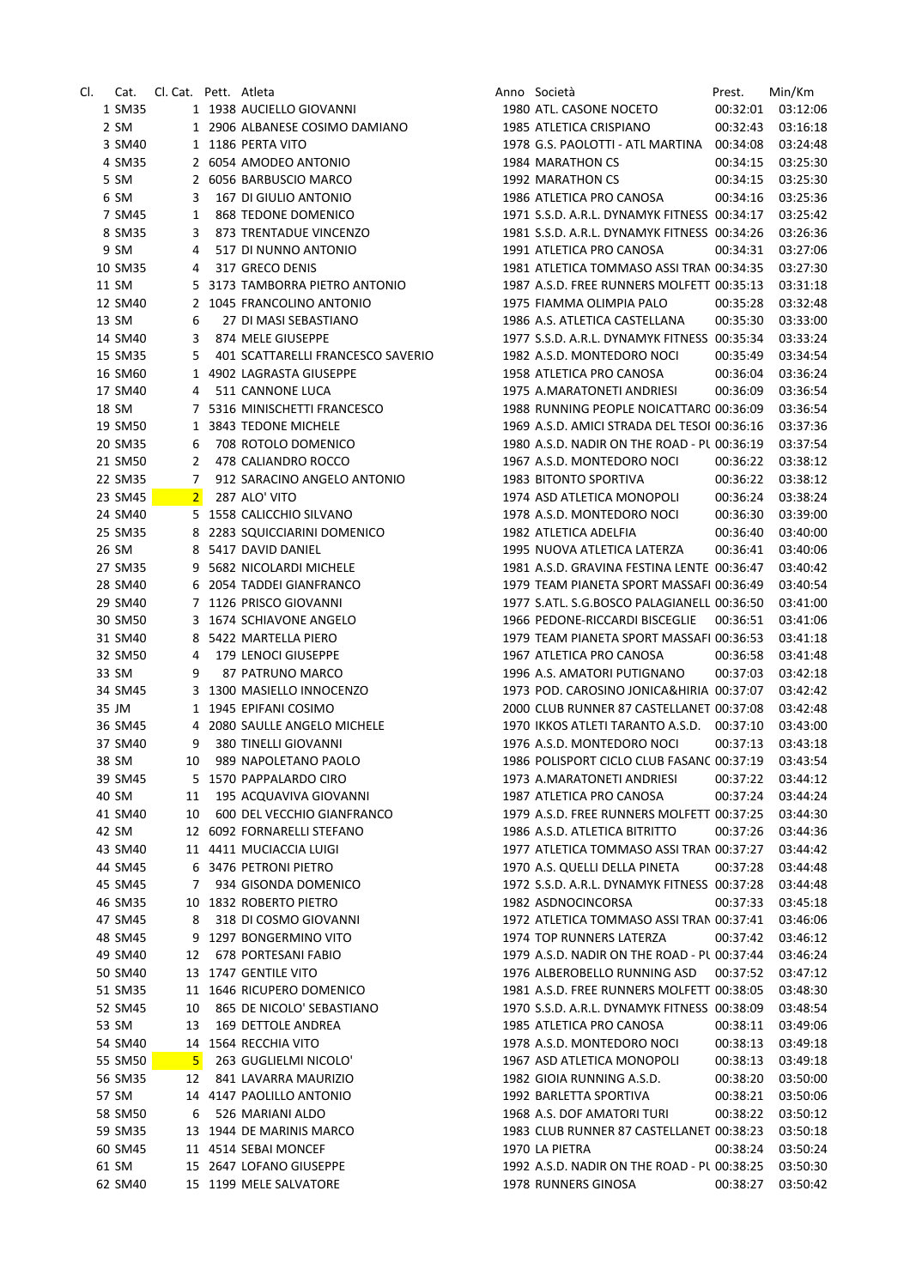| CI. | Cat.    | Cl. Cat. Pett. Atleta |                                   | Anno Società                                | Prest.   | Min/Km |
|-----|---------|-----------------------|-----------------------------------|---------------------------------------------|----------|--------|
|     | 1 SM35  |                       | 1 1938 AUCIELLO GIOVANNI          | 1980 ATL. CASONE NOCETO                     | 00:32:01 | 03:12: |
|     | 2 SM    |                       | 1 2906 ALBANESE COSIMO DAMIANO    | 1985 ATLETICA CRISPIANO                     | 00:32:43 | 03:16: |
|     | 3 SM40  |                       | 1 1186 PERTA VITO                 | 1978 G.S. PAOLOTTI - ATL MARTINA            | 00:34:08 | 03:24: |
|     | 4 SM35  |                       | 2 6054 AMODEO ANTONIO             | 1984 MARATHON CS                            | 00:34:15 | 03:25: |
|     | 5 SM    |                       | 2 6056 BARBUSCIO MARCO            | 1992 MARATHON CS                            | 00:34:15 | 03:25: |
|     | 6 SM    | 3                     | 167 DI GIULIO ANTONIO             | 1986 ATLETICA PRO CANOSA                    | 00:34:16 | 03:25: |
|     | 7 SM45  | $\mathbf{1}$          | 868 TEDONE DOMENICO               | 1971 S.S.D. A.R.L. DYNAMYK FITNESS 00:34:17 |          | 03:25: |
|     | 8 SM35  | 3                     | 873 TRENTADUE VINCENZO            | 1981 S.S.D. A.R.L. DYNAMYK FITNESS 00:34:26 |          | 03:26: |
|     | 9 SM    | 4                     | 517 DI NUNNO ANTONIO              | 1991 ATLETICA PRO CANOSA                    | 00:34:31 | 03:27: |
|     | 10 SM35 | 4                     | 317 GRECO DENIS                   | 1981 ATLETICA TOMMASO ASSI TRAN 00:34:35    |          | 03:27: |
|     | 11 SM   |                       | 5 3173 TAMBORRA PIETRO ANTONIO    | 1987 A.S.D. FREE RUNNERS MOLFETT 00:35:13   |          | 03:31: |
|     | 12 SM40 |                       | 2 1045 FRANCOLINO ANTONIO         | 1975 FIAMMA OLIMPIA PALO                    | 00:35:28 | 03:32: |
|     |         |                       |                                   |                                             |          |        |
|     | 13 SM   | 6                     | 27 DI MASI SEBASTIANO             | 1986 A.S. ATLETICA CASTELLANA               | 00:35:30 | 03:33: |
|     | 14 SM40 | 3                     | 874 MELE GIUSEPPE                 | 1977 S.S.D. A.R.L. DYNAMYK FITNESS 00:35:34 |          | 03:33: |
|     | 15 SM35 | 5                     | 401 SCATTARELLI FRANCESCO SAVERIO | 1982 A.S.D. MONTEDORO NOCI                  | 00:35:49 | 03:34: |
|     | 16 SM60 |                       | 1 4902 LAGRASTA GIUSEPPE          | 1958 ATLETICA PRO CANOSA                    | 00:36:04 | 03:36: |
|     | 17 SM40 | 4                     | 511 CANNONE LUCA                  | 1975 A.MARATONETI ANDRIESI                  | 00:36:09 | 03:36: |
|     | 18 SM   |                       | 7 5316 MINISCHETTI FRANCESCO      | 1988 RUNNING PEOPLE NOICATTARO 00:36:09     |          | 03:36: |
|     | 19 SM50 |                       | 1 3843 TEDONE MICHELE             | 1969 A.S.D. AMICI STRADA DEL TESOI 00:36:16 |          | 03:37: |
|     | 20 SM35 | 6                     | 708 ROTOLO DOMENICO               | 1980 A.S.D. NADIR ON THE ROAD - PL 00:36:19 |          | 03:37: |
|     | 21 SM50 | 2                     | 478 CALIANDRO ROCCO               | 1967 A.S.D. MONTEDORO NOCI                  | 00:36:22 | 03:38: |
|     | 22 SM35 | $\overline{7}$        | 912 SARACINO ANGELO ANTONIO       | <b>1983 BITONTO SPORTIVA</b>                | 00:36:22 | 03:38: |
|     | 23 SM45 | $\overline{2}$        | 287 ALO' VITO                     | 1974 ASD ATLETICA MONOPOLI                  | 00:36:24 | 03:38: |
|     | 24 SM40 |                       | 5 1558 CALICCHIO SILVANO          | 1978 A.S.D. MONTEDORO NOCI                  | 00:36:30 | 03:39: |
|     | 25 SM35 |                       | 8 2283 SQUICCIARINI DOMENICO      | 1982 ATLETICA ADELFIA                       | 00:36:40 | 03:40: |
|     | 26 SM   |                       | 8 5417 DAVID DANIEL               | 1995 NUOVA ATLETICA LATERZA                 | 00:36:41 | 03:40: |
|     | 27 SM35 |                       | 9 5682 NICOLARDI MICHELE          | 1981 A.S.D. GRAVINA FESTINA LENTE 00:36:47  |          | 03:40: |
|     | 28 SM40 |                       | 6 2054 TADDEI GIANFRANCO          | 1979 TEAM PIANETA SPORT MASSAFI 00:36:49    |          | 03:40: |
|     | 29 SM40 |                       | 7 1126 PRISCO GIOVANNI            | 1977 S.ATL. S.G.BOSCO PALAGIANELL 00:36:50  |          | 03:41: |
|     | 30 SM50 |                       | 3 1674 SCHIAVONE ANGELO           | 1966 PEDONE-RICCARDI BISCEGLIE              | 00:36:51 | 03:41: |
|     | 31 SM40 |                       | 8 5422 MARTELLA PIERO             | 1979 TEAM PIANETA SPORT MASSAFI 00:36:53    |          | 03:41: |
|     | 32 SM50 | 4                     | 179 LENOCI GIUSEPPE               | 1967 ATLETICA PRO CANOSA                    | 00:36:58 | 03:41: |
|     | 33 SM   | 9                     | 87 PATRUNO MARCO                  | 1996 A.S. AMATORI PUTIGNANO                 | 00:37:03 | 03:42: |
|     |         |                       | 3 1300 MASIELLO INNOCENZO         | 1973 POD, CAROSINO JONICA&HIRIA 00:37:07    |          |        |
|     | 34 SM45 |                       | 1 1945 EPIFANI COSIMO             |                                             |          | 03:42: |
|     | 35 JM   |                       |                                   | 2000 CLUB RUNNER 87 CASTELLANET 00:37:08    |          | 03:42: |
|     | 36 SM45 |                       | 4 2080 SAULLE ANGELO MICHELE      | 1970 IKKOS ATLETI TARANTO A.S.D. 00:37:10   |          | 03:43: |
|     | 37 SM40 | 9                     | <b>380 TINELLI GIOVANNI</b>       | 1976 A.S.D. MONTEDORO NOCI                  | 00:37:13 | 03:43: |
|     | 38 SM   | 10                    | 989 NAPOLETANO PAOLO              | 1986 POLISPORT CICLO CLUB FASANC 00:37:19   |          | 03:43: |
|     | 39 SM45 |                       | 5 1570 PAPPALARDO CIRO            | 1973 A.MARATONETI ANDRIESI                  | 00:37:22 | 03:44: |
|     | 40 SM   | 11                    | 195 ACQUAVIVA GIOVANNI            | 1987 ATLETICA PRO CANOSA                    | 00:37:24 | 03:44: |
|     | 41 SM40 | 10                    | 600 DEL VECCHIO GIANFRANCO        | 1979 A.S.D. FREE RUNNERS MOLFETT 00:37:25   |          | 03:44: |
|     | 42 SM   |                       | 12 6092 FORNARELLI STEFANO        | 1986 A.S.D. ATLETICA BITRITTO               | 00:37:26 | 03:44: |
|     | 43 SM40 |                       | 11 4411 MUCIACCIA LUIGI           | 1977 ATLETICA TOMMASO ASSI TRAN 00:37:27    |          | 03:44: |
|     | 44 SM45 |                       | 6 3476 PETRONI PIETRO             | 1970 A.S. QUELLI DELLA PINETA               | 00:37:28 | 03:44: |
|     | 45 SM45 | 7                     | 934 GISONDA DOMENICO              | 1972 S.S.D. A.R.L. DYNAMYK FITNESS 00:37:28 |          | 03:44: |
|     | 46 SM35 |                       | 10 1832 ROBERTO PIETRO            | 1982 ASDNOCINCORSA                          | 00:37:33 | 03:45: |
|     | 47 SM45 | 8                     | 318 DI COSMO GIOVANNI             | 1972 ATLETICA TOMMASO ASSI TRAN 00:37:41    |          | 03:46: |
|     | 48 SM45 |                       | 9 1297 BONGERMINO VITO            | 1974 TOP RUNNERS LATERZA                    | 00:37:42 | 03:46: |
|     | 49 SM40 | 12                    | 678 PORTESANI FABIO               | 1979 A.S.D. NADIR ON THE ROAD - PL 00:37:44 |          | 03:46: |
|     | 50 SM40 |                       | 13 1747 GENTILE VITO              | 1976 ALBEROBELLO RUNNING ASD                | 00:37:52 | 03:47: |
|     | 51 SM35 |                       | 11 1646 RICUPERO DOMENICO         | 1981 A.S.D. FREE RUNNERS MOLFETT 00:38:05   |          | 03:48: |
|     | 52 SM45 | 10                    | 865 DE NICOLO' SEBASTIANO         | 1970 S.S.D. A.R.L. DYNAMYK FITNESS 00:38:09 |          | 03:48: |
|     | 53 SM   | 13                    | 169 DETTOLE ANDREA                | 1985 ATLETICA PRO CANOSA                    | 00:38:11 | 03:49: |
|     | 54 SM40 |                       | 14 1564 RECCHIA VITO              | 1978 A.S.D. MONTEDORO NOCI                  | 00:38:13 | 03:49: |
|     | 55 SM50 | 5 <sub>5</sub>        | 263 GUGLIELMI NICOLO'             | 1967 ASD ATLETICA MONOPOLI                  | 00:38:13 | 03:49: |
|     | 56 SM35 | 12                    | 841 LAVARRA MAURIZIO              | 1982 GIOIA RUNNING A.S.D.                   | 00:38:20 | 03:50: |
|     | 57 SM   |                       | 14 4147 PAOLILLO ANTONIO          | 1992 BARLETTA SPORTIVA                      | 00:38:21 | 03:50: |
|     | 58 SM50 | 6                     | 526 MARIANI ALDO                  | 1968 A.S. DOF AMATORI TURI                  | 00:38:22 | 03:50: |
|     |         |                       |                                   |                                             |          |        |
|     | 59 SM35 |                       | 13 1944 DE MARINIS MARCO          | 1983 CLUB RUNNER 87 CASTELLANET 00:38:23    |          | 03:50: |
|     | 60 SM45 |                       | 11 4514 SEBAI MONCEF              | 1970 LA PIETRA                              | 00:38:24 | 03:50: |
|     | 61 SM   |                       | 15 2647 LOFANO GIUSEPPE           | 1992 A.S.D. NADIR ON THE ROAD - PL 00:38:25 |          | 03:50: |
|     | 62 SM40 |                       | 15 1199 MELE SALVATORE            | 1978 RUNNERS GINOSA                         | 00:38:27 | 03:50: |

1 BBO ATL. CASONE NOCETO 00:32:01 03:12:06 985 ATLETICA CRISPIANO 00:32:43 03:16:18 978 G.S. PAOLOTTI - ATL MARTINA 00:34:08 03:24:48 984 MARATHON CS 00:34:15 03:25:30 992 MARATHON CS 00:34:15 03:25:30 986 ATLETICA PRO CANOSA 00:34:16 03:25:36 971 S.S.D. A.R.L. DYNAMYK FITNESS 00:34:17 03:25:42 981 S.S.D. A.R.L. DYNAMYK FITNESS 00:34:26 03:26:36 991 ATLETICA PRO CANOSA 00:34:31 03:27:06 981 ATLETICA TOMMASO ASSI TRAN 00:34:35 03:27:30 987 A.S.D. FREE RUNNERS MOLFETT 00:35:13 03:31:18 12 SM40 2 1045 FRANCOLINO ANTONIO 1975 FIAMMA OLIMPIA PALO 00:35:28 03:32:48 13 SM 6 27 DI MASI SEBASTIANO 1986 A.S. ATLETICA CASTELLANA 00:35:30 03:33:00 977 S.S.D. A.R.L. DYNAMYK FITNESS 00:35:34 03:33:24 982 A.S.D. MONTEDORO NOCI 00:35:49 03:34:54 16 SM60 1 4902 LAGRASTA GIUSEPPE 1958 ATLETICA PRO CANOSA 00:36:04 03:36:24 975 A.MARATONETI ANDRIESI 00:36:09 03:36:54 988 RUNNING PEOPLE NOICATTARO 00:36:09 03:36:54 969 A.S.D. AMICI STRADA DEL TESOL 00:36:16 03:37:36 980 A.S.D. NADIR ON THE ROAD - PL 00:36:19 03:37:54 967 A.S.D. MONTEDORO NOCI 00:36:22 03:38:12 22 SM35 7 912 SARACINO ANGELO ANTONIO 1983 BITONTO SPORTIVA 00:36:22 03:38:12 974 ASD ATLETICA MONOPOLI 00:36:24 03:38:24 978 A.S.D. MONTEDORO NOCI 00:36:30 03:39:00  $25$  ATI FTICA ADELFIA  $00.3640$   $03.4000$ 26 SM 8 5417 DAVID DANIEL 1995 NUOVA ATLETICA LATERZA 00:36:41 03:40:06 981 A.S.D. GRAVINA FESTINA LENTE 00:36:47 03:40:42 979 TEAM PIANETA SPORT MASSAFI 00:36:49 03:40:54 29 SM40 7 1126 PRISCO GIOVANNI 1977 S.ATL. S.G.BOSCO PALAGIANELLO00:36:50 03:41:00 966 PEDONE-RICCARDI BISCEGLIE 00:36:51 03:41:06 979 TEAM PIANETA SPORT MASSAFI 00:36:53 03:41:18 967 ATLETICA PRO CANOSA 00:36:58 03:41:48 996 A.S. AMATORI PUTIGNANO 00:37:03 03:42:18 973 POD. CAROSINO JONICA&HIRIA 00:37:07 03:42:42 000 CLUB RUNNER 87 CASTELLANET 00:37:08 03:42:48 970 IKKOS ATLETI TARANTO A.S.D. 00:37:10 03:43:00 976 A.S.D. MONTEDORO NOCI 00:37:13 03:43:18 986 POLISPORT CICLO CLUB FASANC 00:37:19 03:43:54 973 A MARATONETI ANDRIESI 00:37:22 03:44:12 40 SM 11 195 ACQUAVIVA GIOVANNI 1987 ATLETICA PRO CANOSA 00:37:24 03:44:24 979 A.S.D. FREE RUNNERS MOLFETT 00:37:25 03:44:30 986 A.S.D. ATLETICA BITRITTO 00:37:26 03:44:36 977 ATLETICA TOMMASO ASSI TRAN 00:37:27 03:44:42 44 SM45 6 3476 PETRONI PIETRO 1970 A.S. QUELLI DELLA PINETA 00:37:28 03:44:48 972 S.S.D. A.R.L. DYNAMYK FITNESS 00:37:28 03:44:48 46 SM35 10 1832 ROBERTO PIETRO 1982 ASDNOCINCORSA 00:37:33 03:45:18 972 ATLETICA TOMMASO ASSI TRAN 00:37:41 03:46:06  $\overline{974}$  TOP RUNNERS LATERZA 00:37:42 03:46:12 979 A.S.D. NADIR ON THE ROAD - PL 00:37:44 03:46:24 50 SM40 13 1747 GENTILE VITO 1976 ALBEROBELLO RUNNING ASD 00:37:52 03:47:12 981 A.S.D. FREE RUNNERS MOLFETT 00:38:05 03:48:30 970 S.S.D. A.R.L. DYNAMYK FITNESS 00:38:09 03:48:54 985 ATLETICA PRO CANOSA  $00:38:11$  03:49:06 978 A.S.D. MONTEDORO NOCI 00:38:13 03:49:18 967 ASD ATLETICA MONOPOLI 00:38:13 03:49:18 56 SM35 12 841 LAVARRA MAURIZIO 1982 GIOIA RUNNING A.S.D. 00:38:20 03:50:00 57 SM 14 4147 PAOLILLO ANTONIO 1992 BARLETTA SPORTIVA 00:38:21 03:50:06  $968$  A.S. DOF AMATORI TURI  $00.38.22$  03:50:12 59 SM35 13 1944 DE MARINIS MARCO 1983 CLUB RUNNER 87 CASTELLANETA00:38:23 03:50:18 60 SM45 11 4514 SEBAI MONCEF 1970 LA PIETRA 00:38:24 03:50:24 992 A.S.D. NADIR ON THE ROAD - PL 00:38:25 03:50:30 978 RUNNERS GINOSA 00:38:27 03:50:42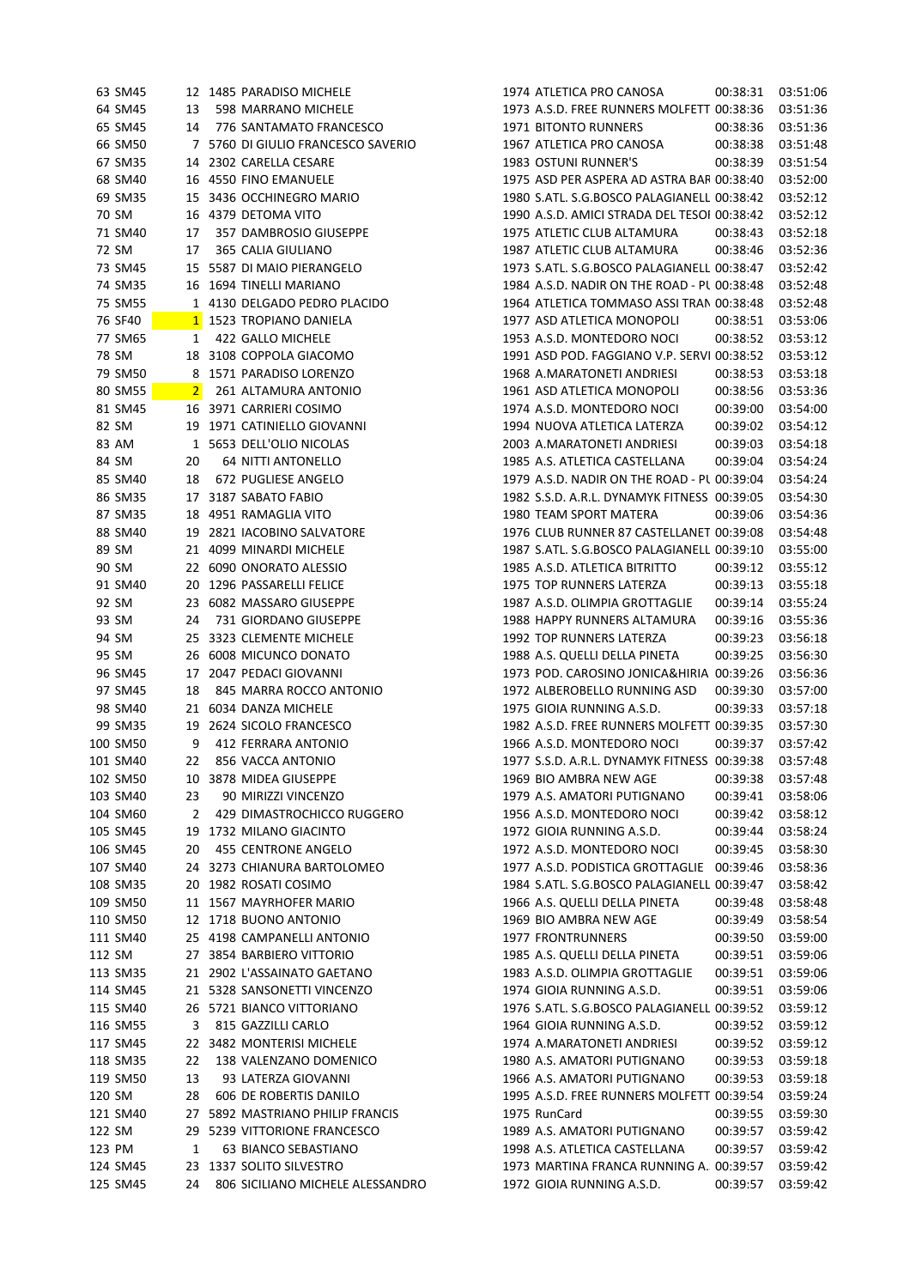|        | 63 SM45  |                | 12 1485 PARADISO MICHELE           | 1974 ATLETICA PRO CANOSA                    | 00:38:31 | 03:51:06 |
|--------|----------|----------------|------------------------------------|---------------------------------------------|----------|----------|
|        | 64 SM45  | 13             | 598 MARRANO MICHELE                | 1973 A.S.D. FREE RUNNERS MOLFETT 00:38:36   |          | 03:51:36 |
|        | 65 SM45  | 14             | 776 SANTAMATO FRANCESCO            | 1971 BITONTO RUNNERS                        | 00:38:36 | 03:51:36 |
|        | 66 SM50  |                | 7 5760 DI GIULIO FRANCESCO SAVERIO | 1967 ATLETICA PRO CANOSA                    | 00:38:38 | 03:51:48 |
|        | 67 SM35  |                | 14 2302 CARELLA CESARE             | 1983 OSTUNI RUNNER'S                        | 00:38:39 | 03:51:54 |
|        | 68 SM40  |                | 16 4550 FINO EMANUELE              | 1975 ASD PER ASPERA AD ASTRA BAF 00:38:40   |          | 03:52:00 |
|        | 69 SM35  |                | 15 3436 OCCHINEGRO MARIO           | 1980 S.ATL. S.G.BOSCO PALAGIANELL 00:38:42  |          | 03:52:12 |
|        | 70 SM    |                | 16 4379 DETOMA VITO                | 1990 A.S.D. AMICI STRADA DEL TESOI 00:38:42 |          | 03:52:12 |
|        | 71 SM40  | 17             | 357 DAMBROSIO GIUSEPPE             | 1975 ATLETIC CLUB ALTAMURA                  | 00:38:43 | 03:52:18 |
|        | 72 SM    | 17             | 365 CALIA GIULIANO                 | 1987 ATLETIC CLUB ALTAMURA                  | 00:38:46 | 03:52:36 |
|        | 73 SM45  |                | 15 5587 DI MAIO PIERANGELO         | 1973 S.ATL. S.G.BOSCO PALAGIANELL 00:38:47  |          | 03:52:42 |
|        | 74 SM35  |                | 16 1694 TINELLI MARIANO            | 1984 A.S.D. NADIR ON THE ROAD - PL 00:38:48 |          | 03:52:48 |
|        | 75 SM55  |                | 1 4130 DELGADO PEDRO PLACIDO       | 1964 ATLETICA TOMMASO ASSI TRAN 00:38:48    |          | 03:52:48 |
|        | 76 SF40  |                | 1 1523 TROPIANO DANIELA            | 1977 ASD ATLETICA MONOPOLI                  | 00:38:51 | 03:53:06 |
|        | 77 SM65  | $\mathbf{1}$   | 422 GALLO MICHELE                  | 1953 A.S.D. MONTEDORO NOCI                  | 00:38:52 | 03:53:12 |
|        | 78 SM    |                | 18 3108 COPPOLA GIACOMO            | 1991 ASD POD. FAGGIANO V.P. SERVI 00:38:52  |          | 03:53:12 |
|        | 79 SM50  |                | 8 1571 PARADISO LORENZO            | 1968 A.MARATONETI ANDRIESI                  | 00:38:53 | 03:53:18 |
|        | 80 SM55  | $\overline{2}$ | 261 ALTAMURA ANTONIO               | 1961 ASD ATLETICA MONOPOLI                  | 00:38:56 | 03:53:36 |
|        | 81 SM45  |                | 16 3971 CARRIERI COSIMO            | 1974 A.S.D. MONTEDORO NOCI                  | 00:39:00 | 03:54:00 |
|        | 82 SM    |                | 19 1971 CATINIELLO GIOVANNI        | 1994 NUOVA ATLETICA LATERZA                 | 00:39:02 | 03:54:12 |
|        | 83 AM    |                | 1 5653 DELL'OLIO NICOLAS           | 2003 A.MARATONETI ANDRIESI                  | 00:39:03 | 03:54:18 |
|        | 84 SM    | 20             | <b>64 NITTI ANTONELLO</b>          | 1985 A.S. ATLETICA CASTELLANA               | 00:39:04 | 03:54:24 |
|        | 85 SM40  | 18             | 672 PUGLIESE ANGELO                | 1979 A.S.D. NADIR ON THE ROAD - PL 00:39:04 |          | 03:54:24 |
|        | 86 SM35  |                | 17 3187 SABATO FABIO               | 1982 S.S.D. A.R.L. DYNAMYK FITNESS 00:39:05 |          | 03:54:30 |
|        | 87 SM35  |                | 18 4951 RAMAGLIA VITO              | 1980 TEAM SPORT MATERA                      | 00:39:06 | 03:54:36 |
|        | 88 SM40  |                | 19 2821 IACOBINO SALVATORE         | 1976 CLUB RUNNER 87 CASTELLANET 00:39:08    |          | 03:54:48 |
|        | 89 SM    |                | 21 4099 MINARDI MICHELE            | 1987 S.ATL. S.G.BOSCO PALAGIANELL 00:39:10  |          | 03:55:00 |
|        | 90 SM    |                | 22 6090 ONORATO ALESSIO            | 1985 A.S.D. ATLETICA BITRITTO               | 00:39:12 | 03:55:12 |
|        | 91 SM40  |                | 20 1296 PASSARELLI FELICE          | 1975 TOP RUNNERS LATERZA                    | 00:39:13 | 03:55:18 |
|        |          |                |                                    |                                             |          |          |
|        | 92 SM    |                | 23 6082 MASSARO GIUSEPPE           | 1987 A.S.D. OLIMPIA GROTTAGLIE              | 00:39:14 | 03:55:24 |
|        | 93 SM    | 24             | 731 GIORDANO GIUSEPPE              | 1988 HAPPY RUNNERS ALTAMURA                 | 00:39:16 | 03:55:36 |
|        | 94 SM    |                | 25 3323 CLEMENTE MICHELE           | 1992 TOP RUNNERS LATERZA                    | 00:39:23 | 03:56:18 |
|        | 95 SM    |                | 26 6008 MICUNCO DONATO             | 1988 A.S. QUELLI DELLA PINETA               | 00:39:25 | 03:56:30 |
|        | 96 SM45  |                | 17 2047 PEDACI GIOVANNI            | 1973 POD. CAROSINO JONICA&HIRIA 00:39:26    |          | 03:56:36 |
|        | 97 SM45  | 18             | 845 MARRA ROCCO ANTONIO            | 1972 ALBEROBELLO RUNNING ASD                | 00:39:30 | 03:57:00 |
|        | 98 SM40  |                | 21 6034 DANZA MICHELE              | 1975 GIOIA RUNNING A.S.D.                   | 00:39:33 | 03:57:18 |
|        | 99 SM35  |                | 19 2624 SICOLO FRANCESCO           | 1982 A.S.D. FREE RUNNERS MOLFETT 00:39:35   |          | 03:57:30 |
|        | 100 SM50 | 9              | 412 FERRARA ANTONIO                | 1966 A.S.D. MONTEDORO NOCI                  | 00:39:37 | 03:57:42 |
|        | 101 SM40 | 22             | 856 VACCA ANTONIO                  | 1977 S.S.D. A.R.L. DYNAMYK FITNESS 00:39:38 |          | 03:57:48 |
|        | 102 SM50 | 10             | 3878 MIDEA GIUSEPPE                | 1969 BIO AMBRA NEW AGE                      | 00:39:38 | 03:57:48 |
|        | 103 SM40 | 23             | 90 MIRIZZI VINCENZO                | 1979 A.S. AMATORI PUTIGNANO                 | 00:39:41 | 03:58:06 |
|        | 104 SM60 | 2              | 429 DIMASTROCHICCO RUGGERO         | 1956 A.S.D. MONTEDORO NOCI                  | 00:39:42 | 03:58:12 |
|        | 105 SM45 | 19             | 1732 MILANO GIACINTO               | 1972 GIOIA RUNNING A.S.D.                   | 00:39:44 | 03:58:24 |
|        | 106 SM45 | 20             | 455 CENTRONE ANGELO                | 1972 A.S.D. MONTEDORO NOCI                  | 00:39:45 | 03:58:30 |
|        | 107 SM40 |                | 24 3273 CHIANURA BARTOLOMEO        | 1977 A.S.D. PODISTICA GROTTAGLIE            | 00:39:46 | 03:58:36 |
|        | 108 SM35 | 20             | 1982 ROSATI COSIMO                 | 1984 S.ATL. S.G.BOSCO PALAGIANELL 00:39:47  |          | 03:58:42 |
|        | 109 SM50 |                | 11 1567 MAYRHOFER MARIO            | 1966 A.S. QUELLI DELLA PINETA               | 00:39:48 | 03:58:48 |
|        | 110 SM50 |                | 12 1718 BUONO ANTONIO              | 1969 BIO AMBRA NEW AGE                      | 00:39:49 | 03:58:54 |
|        | 111 SM40 |                | 25 4198 CAMPANELLI ANTONIO         | 1977 FRONTRUNNERS                           | 00:39:50 | 03:59:00 |
| 112 SM |          |                | 27 3854 BARBIERO VITTORIO          | 1985 A.S. QUELLI DELLA PINETA               | 00:39:51 | 03:59:06 |
|        | 113 SM35 |                | 21 2902 L'ASSAINATO GAETANO        | 1983 A.S.D. OLIMPIA GROTTAGLIE              | 00:39:51 | 03:59:06 |
|        | 114 SM45 |                | 21 5328 SANSONETTI VINCENZO        | 1974 GIOIA RUNNING A.S.D.                   | 00:39:51 | 03:59:06 |
|        | 115 SM40 |                | 26 5721 BIANCO VITTORIANO          | 1976 S.ATL. S.G.BOSCO PALAGIANELL 00:39:52  |          | 03:59:12 |
|        | 116 SM55 | 3              | 815 GAZZILLI CARLO                 | 1964 GIOIA RUNNING A.S.D.                   | 00:39:52 | 03:59:12 |
|        | 117 SM45 |                | 22 3482 MONTERISI MICHELE          | 1974 A.MARATONETI ANDRIESI                  | 00:39:52 | 03:59:12 |
|        | 118 SM35 | 22             | 138 VALENZANO DOMENICO             | 1980 A.S. AMATORI PUTIGNANO                 | 00:39:53 | 03:59:18 |
|        | 119 SM50 | 13             | 93 LATERZA GIOVANNI                | 1966 A.S. AMATORI PUTIGNANO                 | 00:39:53 | 03:59:18 |
| 120 SM |          | 28             | 606 DE ROBERTIS DANILO             | 1995 A.S.D. FREE RUNNERS MOLFETT 00:39:54   |          | 03:59:24 |
|        | 121 SM40 |                | 27 5892 MASTRIANO PHILIP FRANCIS   | 1975 RunCard                                | 00:39:55 | 03:59:30 |
| 122 SM |          | 29             | 5239 VITTORIONE FRANCESCO          | 1989 A.S. AMATORI PUTIGNANO                 | 00:39:57 | 03:59:42 |
| 123 PM |          | $\mathbf{1}$   | 63 BIANCO SEBASTIANO               | 1998 A.S. ATLETICA CASTELLANA               | 00:39:57 | 03:59:42 |
|        | 124 SM45 |                | 23 1337 SOLITO SILVESTRO           | 1973 MARTINA FRANCA RUNNING A. 00:39:57     |          | 03:59:42 |
|        | 125 SM45 | 24             | 806 SICILIANO MICHELE ALESSANDRO   | 1972 GIOIA RUNNING A.S.D.                   | 00:39:57 | 03:59:42 |
|        |          |                |                                    |                                             |          |          |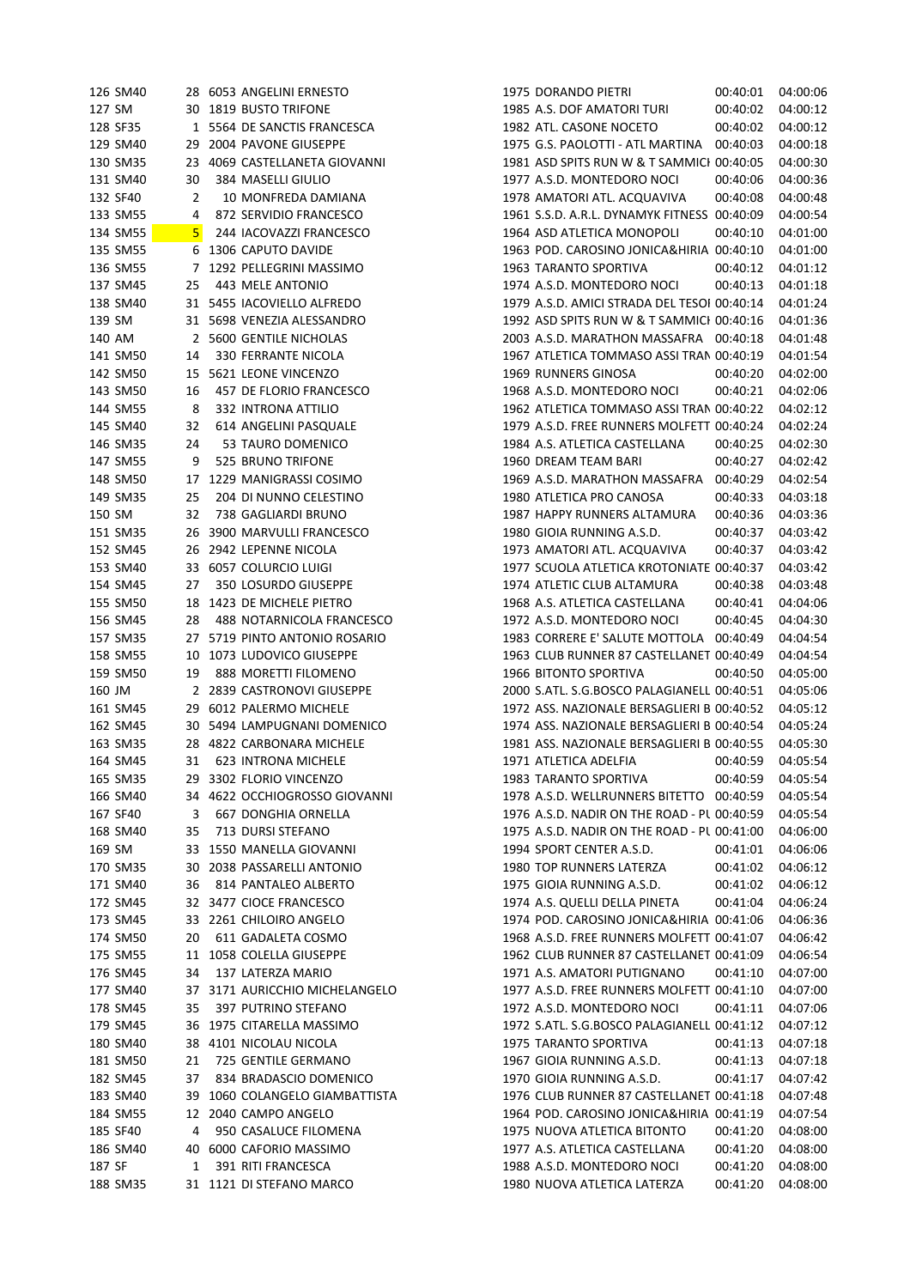| 126 SM40 |                | 28 6053 ANGELINI ERNESTO       | 1975 DORANDO PIETRI                         | 00:40:01 | 04:00:06 |
|----------|----------------|--------------------------------|---------------------------------------------|----------|----------|
| 127 SM   |                | 30 1819 BUSTO TRIFONE          | 1985 A.S. DOF AMATORI TURI                  | 00:40:02 | 04:00:12 |
| 128 SF35 |                | 1 5564 DE SANCTIS FRANCESCA    | 1982 ATL. CASONE NOCETO                     | 00:40:02 | 04:00:12 |
| 129 SM40 |                | 29 2004 PAVONE GIUSEPPE        | 1975 G.S. PAOLOTTI - ATL MARTINA            | 00:40:03 | 04:00:18 |
| 130 SM35 |                | 23 4069 CASTELLANETA GIOVANNI  | 1981 ASD SPITS RUN W & T SAMMICI 00:40:05   |          | 04:00:30 |
| 131 SM40 | 30             | 384 MASELLI GIULIO             | 1977 A.S.D. MONTEDORO NOCI                  | 00:40:06 | 04:00:36 |
| 132 SF40 | 2              | 10 MONFREDA DAMIANA            | 1978 AMATORI ATL. ACQUAVIVA                 | 00:40:08 | 04:00:48 |
| 133 SM55 | 4              | 872 SERVIDIO FRANCESCO         | 1961 S.S.D. A.R.L. DYNAMYK FITNESS 00:40:09 |          | 04:00:54 |
| 134 SM55 | 5 <sub>5</sub> | 244 IACOVAZZI FRANCESCO        | 1964 ASD ATLETICA MONOPOLI                  | 00:40:10 | 04:01:00 |
| 135 SM55 |                | 6 1306 CAPUTO DAVIDE           | 1963 POD. CAROSINO JONICA&HIRIA 00:40:10    |          | 04:01:00 |
| 136 SM55 |                | 7 1292 PELLEGRINI MASSIMO      | 1963 TARANTO SPORTIVA                       | 00:40:12 | 04:01:12 |
| 137 SM45 | 25             | 443 MELE ANTONIO               | 1974 A.S.D. MONTEDORO NOCI                  | 00:40:13 | 04:01:18 |
| 138 SM40 |                | 31 5455 IACOVIELLO ALFREDO     | 1979 A.S.D. AMICI STRADA DEL TESOI 00:40:14 |          | 04:01:24 |
| 139 SM   |                | 31 5698 VENEZIA ALESSANDRO     | 1992 ASD SPITS RUN W & T SAMMICI 00:40:16   |          | 04:01:36 |
| 140 AM   |                | 2 5600 GENTILE NICHOLAS        | 2003 A.S.D. MARATHON MASSAFRA 00:40:18      |          | 04:01:48 |
| 141 SM50 | 14             | 330 FERRANTE NICOLA            | 1967 ATLETICA TOMMASO ASSI TRAN 00:40:19    |          | 04:01:54 |
| 142 SM50 |                | 15 5621 LEONE VINCENZO         | 1969 RUNNERS GINOSA                         | 00:40:20 | 04:02:00 |
| 143 SM50 | 16             | 457 DE FLORIO FRANCESCO        | 1968 A.S.D. MONTEDORO NOCI                  | 00:40:21 | 04:02:06 |
| 144 SM55 | 8              | 332 INTRONA ATTILIO            | 1962 ATLETICA TOMMASO ASSI TRAN 00:40:22    |          | 04:02:12 |
| 145 SM40 | 32             | 614 ANGELINI PASQUALE          | 1979 A.S.D. FREE RUNNERS MOLFETT 00:40:24   |          | 04:02:24 |
| 146 SM35 | 24             | 53 TAURO DOMENICO              | 1984 A.S. ATLETICA CASTELLANA               | 00:40:25 | 04:02:30 |
| 147 SM55 | 9              | 525 BRUNO TRIFONE              | 1960 DREAM TEAM BARI                        | 00:40:27 | 04:02:42 |
| 148 SM50 |                | 17 1229 MANIGRASSI COSIMO      | 1969 A.S.D. MARATHON MASSAFRA 00:40:29      |          | 04:02:54 |
| 149 SM35 | 25             | 204 DI NUNNO CELESTINO         | 1980 ATLETICA PRO CANOSA                    | 00:40:33 | 04:03:18 |
| 150 SM   | 32             | 738 GAGLIARDI BRUNO            | 1987 HAPPY RUNNERS ALTAMURA                 | 00:40:36 | 04:03:36 |
| 151 SM35 |                | 26 3900 MARVULLI FRANCESCO     | 1980 GIOIA RUNNING A.S.D.                   | 00:40:37 | 04:03:42 |
| 152 SM45 |                | 26 2942 LEPENNE NICOLA         | 1973 AMATORI ATL. ACQUAVIVA                 | 00:40:37 | 04:03:42 |
| 153 SM40 |                | 33 6057 COLURCIO LUIGI         | 1977 SCUOLA ATLETICA KROTONIATE 00:40:37    |          | 04:03:42 |
| 154 SM45 | 27             | 350 LOSURDO GIUSEPPE           | 1974 ATLETIC CLUB ALTAMURA                  | 00:40:38 | 04:03:48 |
| 155 SM50 |                | 18 1423 DE MICHELE PIETRO      | 1968 A.S. ATLETICA CASTELLANA               | 00:40:41 | 04:04:06 |
| 156 SM45 | 28             | 488 NOTARNICOLA FRANCESCO      | 1972 A.S.D. MONTEDORO NOCI                  | 00:40:45 | 04:04:30 |
| 157 SM35 |                | 27 5719 PINTO ANTONIO ROSARIO  | 1983 CORRERE E' SALUTE MOTTOLA 00:40:49     |          | 04:04:54 |
| 158 SM55 | 10             | 1073 LUDOVICO GIUSEPPE         | 1963 CLUB RUNNER 87 CASTELLANET 00:40:49    |          | 04:04:54 |
| 159 SM50 | 19             | 888 MORETTI FILOMENO           | 1966 BITONTO SPORTIVA                       | 00:40:50 | 04:05:00 |
| 160 JM   |                | 2 2839 CASTRONOVI GIUSEPPE     | 2000 S.ATL. S.G.BOSCO PALAGIANELL 00:40:51  |          | 04:05:06 |
| 161 SM45 |                | 29 6012 PALERMO MICHELE        | 1972 ASS. NAZIONALE BERSAGLIERI B 00:40:52  |          | 04:05:12 |
| 162 SM45 |                | 30 5494 LAMPUGNANI DOMENICO    | 1974 ASS. NAZIONALE BERSAGLIERI B 00:40:54  |          | 04:05:24 |
| 163 SM35 |                | 28 4822 CARBONARA MICHELE      | 1981 ASS. NAZIONALE BERSAGLIERI B 00:40:55  |          | 04:05:30 |
| 164 SM45 | 31             | 623 INTRONA MICHELE            | 1971 ATLETICA ADELFIA                       | 00:40:59 | 04:05:54 |
| 165 SM35 |                | 29 3302 FLORIO VINCENZO        | 1983 TARANTO SPORTIVA                       | 00:40:59 | 04:05:54 |
| 166 SM40 |                | 34 4622 OCCHIOGROSSO GIOVANNI  | 1978 A.S.D. WELLRUNNERS BITETTO 00:40:59    |          | 04:05:54 |
| 167 SF40 | 3              | 667 DONGHIA ORNELLA            | 1976 A.S.D. NADIR ON THE ROAD - PL 00:40:59 |          | 04:05:54 |
| 168 SM40 | 35             | 713 DURSI STEFANO              | 1975 A.S.D. NADIR ON THE ROAD - PL 00:41:00 |          | 04:06:00 |
| 169 SM   |                | 33 1550 MANELLA GIOVANNI       | 1994 SPORT CENTER A.S.D.                    | 00:41:01 | 04:06:06 |
| 170 SM35 |                | 30 2038 PASSARELLI ANTONIO     | 1980 TOP RUNNERS LATERZA                    | 00:41:02 | 04:06:12 |
| 171 SM40 | 36             | 814 PANTALEO ALBERTO           | 1975 GIOIA RUNNING A.S.D.                   | 00:41:02 | 04:06:12 |
| 172 SM45 |                | 32 3477 CIOCE FRANCESCO        | 1974 A.S. QUELLI DELLA PINETA               | 00:41:04 | 04:06:24 |
| 173 SM45 |                | 33 2261 CHILOIRO ANGELO        | 1974 POD. CAROSINO JONICA&HIRIA 00:41:06    |          | 04:06:36 |
| 174 SM50 | 20             | 611 GADALETA COSMO             | 1968 A.S.D. FREE RUNNERS MOLFETT 00:41:07   |          | 04:06:42 |
| 175 SM55 |                | 11 1058 COLELLA GIUSEPPE       | 1962 CLUB RUNNER 87 CASTELLANET 00:41:09    |          | 04:06:54 |
| 176 SM45 | 34             | 137 LATERZA MARIO              | 1971 A.S. AMATORI PUTIGNANO                 | 00:41:10 | 04:07:00 |
| 177 SM40 |                | 37 3171 AURICCHIO MICHELANGELO | 1977 A.S.D. FREE RUNNERS MOLFETT 00:41:10   |          | 04:07:00 |
| 178 SM45 | 35             | 397 PUTRINO STEFANO            | 1972 A.S.D. MONTEDORO NOCI                  | 00:41:11 | 04:07:06 |
| 179 SM45 |                | 36 1975 CITARELLA MASSIMO      | 1972 S.ATL. S.G.BOSCO PALAGIANELL 00:41:12  |          | 04:07:12 |
| 180 SM40 |                | 38 4101 NICOLAU NICOLA         | 1975 TARANTO SPORTIVA                       | 00:41:13 | 04:07:18 |
| 181 SM50 | 21             | 725 GENTILE GERMANO            | 1967 GIOIA RUNNING A.S.D.                   | 00:41:13 | 04:07:18 |
| 182 SM45 | 37             | 834 BRADASCIO DOMENICO         | 1970 GIOIA RUNNING A.S.D.                   | 00:41:17 | 04:07:42 |
| 183 SM40 | 39             | 1060 COLANGELO GIAMBATTISTA    | 1976 CLUB RUNNER 87 CASTELLANET 00:41:18    |          | 04:07:48 |
| 184 SM55 |                | 12 2040 CAMPO ANGELO           | 1964 POD. CAROSINO JONICA&HIRIA 00:41:19    |          | 04:07:54 |
| 185 SF40 | 4              | 950 CASALUCE FILOMENA          | 1975 NUOVA ATLETICA BITONTO                 | 00:41:20 | 04:08:00 |
| 186 SM40 |                | 40 6000 CAFORIO MASSIMO        | 1977 A.S. ATLETICA CASTELLANA               | 00:41:20 | 04:08:00 |
| 187 SF   | 1              | 391 RITI FRANCESCA             | 1988 A.S.D. MONTEDORO NOCI                  | 00:41:20 | 04:08:00 |
|          |                | 31 1121 DI STEFANO MARCO       | 1980 NUOVA ATLETICA LATERZA                 | 00:41:20 | 04:08:00 |
| 188 SM35 |                |                                |                                             |          |          |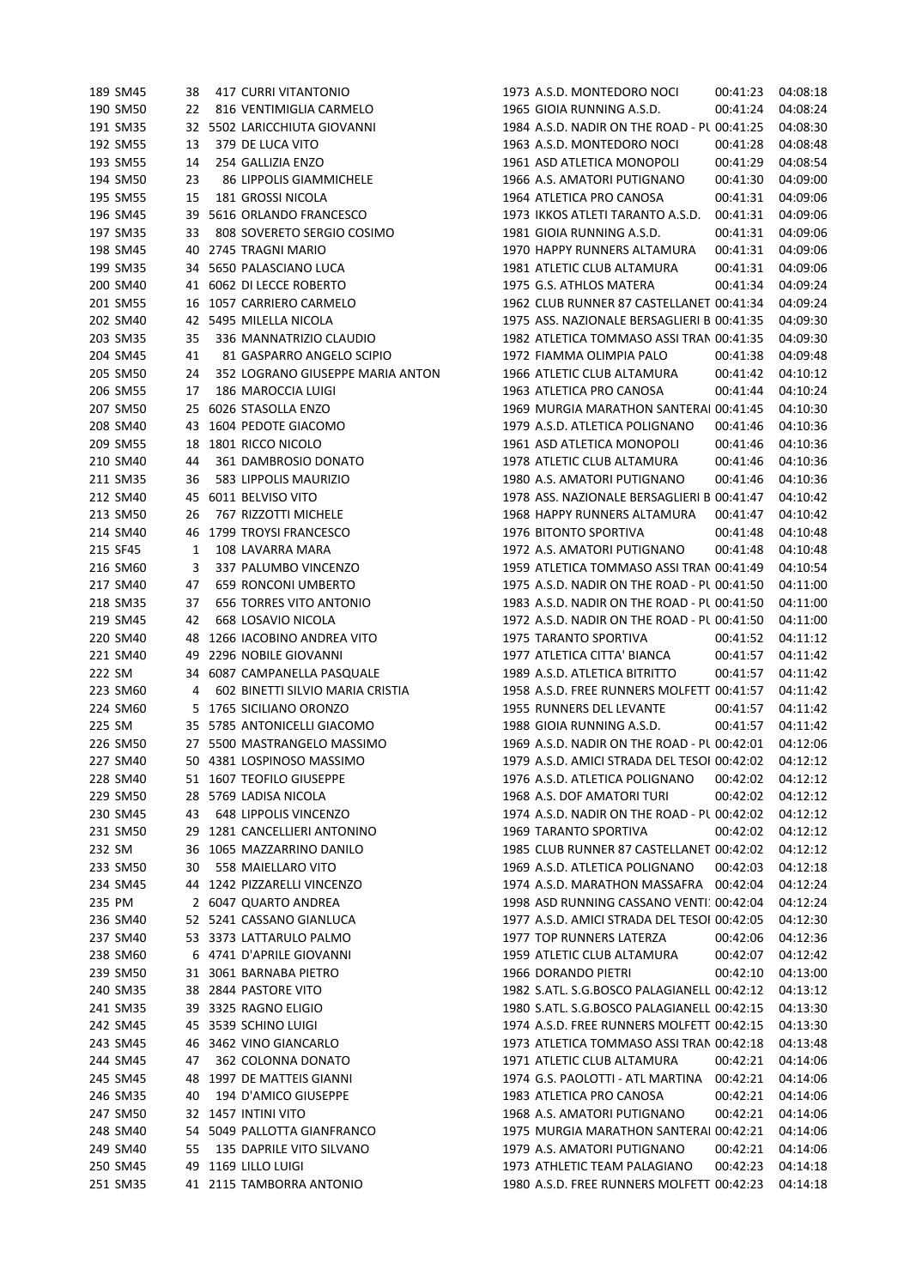|        | 189 SM45 | 38 | 417 CURRI VITANTONIO             | 1973 A.S.D. MONTEDORO NOCI                  | 00:41:23 | 04:08:18 |
|--------|----------|----|----------------------------------|---------------------------------------------|----------|----------|
|        | 190 SM50 | 22 | 816 VENTIMIGLIA CARMELO          | 1965 GIOIA RUNNING A.S.D.                   | 00:41:24 | 04:08:24 |
|        | 191 SM35 |    | 32 5502 LARICCHIUTA GIOVANNI     | 1984 A.S.D. NADIR ON THE ROAD - PL 00:41:25 |          | 04:08:30 |
|        | 192 SM55 | 13 | 379 DE LUCA VITO                 | 1963 A.S.D. MONTEDORO NOCI                  | 00:41:28 | 04:08:48 |
|        | 193 SM55 | 14 | 254 GALLIZIA ENZO                | 1961 ASD ATLETICA MONOPOLI                  | 00:41:29 | 04:08:54 |
|        | 194 SM50 | 23 | 86 LIPPOLIS GIAMMICHELE          | 1966 A.S. AMATORI PUTIGNANO                 | 00:41:30 | 04:09:00 |
|        | 195 SM55 | 15 | 181 GROSSI NICOLA                | 1964 ATLETICA PRO CANOSA                    | 00:41:31 | 04:09:06 |
|        | 196 SM45 |    | 39 5616 ORLANDO FRANCESCO        | 1973 IKKOS ATLETI TARANTO A.S.D.            | 00:41:31 | 04:09:06 |
|        | 197 SM35 | 33 | 808 SOVERETO SERGIO COSIMO       | 1981 GIOIA RUNNING A.S.D.                   | 00:41:31 | 04:09:06 |
|        | 198 SM45 |    | 40 2745 TRAGNI MARIO             | 1970 HAPPY RUNNERS ALTAMURA                 | 00:41:31 | 04:09:06 |
|        | 199 SM35 |    | 34 5650 PALASCIANO LUCA          | 1981 ATLETIC CLUB ALTAMURA                  | 00:41:31 | 04:09:06 |
|        | 200 SM40 |    | 41 6062 DI LECCE ROBERTO         | 1975 G.S. ATHLOS MATERA                     | 00:41:34 | 04:09:24 |
|        | 201 SM55 |    | 16 1057 CARRIERO CARMELO         | 1962 CLUB RUNNER 87 CASTELLANET 00:41:34    |          | 04:09:24 |
|        | 202 SM40 |    | 42 5495 MILELLA NICOLA           | 1975 ASS. NAZIONALE BERSAGLIERI B 00:41:35  |          | 04:09:30 |
|        | 203 SM35 |    | 336 MANNATRIZIO CLAUDIO          | 1982 ATLETICA TOMMASO ASSI TRAN 00:41:35    |          | 04:09:30 |
|        |          | 35 |                                  |                                             |          |          |
|        | 204 SM45 | 41 | 81 GASPARRO ANGELO SCIPIO        | 1972 FIAMMA OLIMPIA PALO                    | 00:41:38 | 04:09:48 |
|        | 205 SM50 | 24 | 352 LOGRANO GIUSEPPE MARIA ANTON | 1966 ATLETIC CLUB ALTAMURA                  | 00:41:42 | 04:10:12 |
|        | 206 SM55 | 17 | 186 MAROCCIA LUIGI               | 1963 ATLETICA PRO CANOSA                    | 00:41:44 | 04:10:24 |
|        | 207 SM50 |    | 25 6026 STASOLLA ENZO            | 1969 MURGIA MARATHON SANTERAI 00:41:45      |          | 04:10:30 |
|        | 208 SM40 |    | 43 1604 PEDOTE GIACOMO           | 1979 A.S.D. ATLETICA POLIGNANO              | 00:41:46 | 04:10:36 |
|        | 209 SM55 |    | 18 1801 RICCO NICOLO             | 1961 ASD ATLETICA MONOPOLI                  | 00:41:46 | 04:10:36 |
|        | 210 SM40 | 44 | 361 DAMBROSIO DONATO             | 1978 ATLETIC CLUB ALTAMURA                  | 00:41:46 | 04:10:36 |
|        | 211 SM35 | 36 | 583 LIPPOLIS MAURIZIO            | 1980 A.S. AMATORI PUTIGNANO                 | 00:41:46 | 04:10:36 |
|        | 212 SM40 |    | 45 6011 BELVISO VITO             | 1978 ASS. NAZIONALE BERSAGLIERI B 00:41:47  |          | 04:10:42 |
|        | 213 SM50 | 26 | 767 RIZZOTTI MICHELE             | 1968 HAPPY RUNNERS ALTAMURA                 | 00:41:47 | 04:10:42 |
|        | 214 SM40 |    | 46 1799 TROYSI FRANCESCO         | 1976 BITONTO SPORTIVA                       | 00:41:48 | 04:10:48 |
|        | 215 SF45 | 1  | 108 LAVARRA MARA                 | 1972 A.S. AMATORI PUTIGNANO                 | 00:41:48 | 04:10:48 |
|        | 216 SM60 | 3  | 337 PALUMBO VINCENZO             | 1959 ATLETICA TOMMASO ASSI TRAN 00:41:49    |          | 04:10:54 |
|        | 217 SM40 | 47 | 659 RONCONI UMBERTO              | 1975 A.S.D. NADIR ON THE ROAD - PL 00:41:50 |          | 04:11:00 |
|        | 218 SM35 | 37 | 656 TORRES VITO ANTONIO          | 1983 A.S.D. NADIR ON THE ROAD - PL 00:41:50 |          | 04:11:00 |
|        | 219 SM45 | 42 | 668 LOSAVIO NICOLA               | 1972 A.S.D. NADIR ON THE ROAD - PL 00:41:50 |          | 04:11:00 |
|        | 220 SM40 |    | 48 1266 IACOBINO ANDREA VITO     | 1975 TARANTO SPORTIVA                       | 00:41:52 | 04:11:12 |
|        | 221 SM40 |    | 49 2296 NOBILE GIOVANNI          | 1977 ATLETICA CITTA' BIANCA                 | 00:41:57 | 04:11:42 |
| 222 SM |          |    | 34 6087 CAMPANELLA PASQUALE      | 1989 A.S.D. ATLETICA BITRITTO               | 00:41:57 | 04:11:42 |
|        | 223 SM60 | 4  | 602 BINETTI SILVIO MARIA CRISTIA | 1958 A.S.D. FREE RUNNERS MOLFETT 00:41:57   |          | 04:11:42 |
|        | 224 SM60 |    | 5 1765 SICILIANO ORONZO          | 1955 RUNNERS DEL LEVANTE                    | 00:41:57 | 04:11:42 |
| 225 SM |          |    | 35 5785 ANTONICELLI GIACOMO      | 1988 GIOIA RUNNING A.S.D.                   | 00:41:57 | 04:11:42 |
|        | 226 SM50 |    | 27 5500 MASTRANGELO MASSIMO      | 1969 A.S.D. NADIR ON THE ROAD - PL 00:42:01 |          | 04:12:06 |
|        | 227 SM40 |    | 50 4381 LOSPINOSO MASSIMO        | 1979 A.S.D. AMICI STRADA DEL TESOI 00:42:02 |          | 04:12:12 |
|        | 228 SM40 |    | 51 1607 TEOFILO GIUSEPPE         | 1976 A.S.D. ATLETICA POLIGNANO              | 00:42:02 | 04:12:12 |
|        | 229 SM50 |    | 28 5769 LADISA NICOLA            | 1968 A.S. DOF AMATORI TURI                  | 00:42:02 | 04:12:12 |
|        | 230 SM45 | 43 | <b>648 LIPPOLIS VINCENZO</b>     | 1974 A.S.D. NADIR ON THE ROAD - PL 00:42:02 |          | 04:12:12 |
|        | 231 SM50 |    | 29 1281 CANCELLIERI ANTONINO     | 1969 TARANTO SPORTIVA                       | 00:42:02 | 04:12:12 |
| 232 SM |          |    | 36 1065 MAZZARRINO DANILO        | 1985 CLUB RUNNER 87 CASTELLANET 00:42:02    |          | 04:12:12 |
|        | 233 SM50 | 30 | 558 MAIELLARO VITO               | 1969 A.S.D. ATLETICA POLIGNANO              | 00:42:03 | 04:12:18 |
|        | 234 SM45 |    | 44 1242 PIZZARELLI VINCENZO      | 1974 A.S.D. MARATHON MASSAFRA 00:42:04      |          | 04:12:24 |
| 235 PM |          |    | 2 6047 QUARTO ANDREA             | 1998 ASD RUNNING CASSANO VENTI: 00:42:04    |          | 04:12:24 |
|        | 236 SM40 |    | 52 5241 CASSANO GIANLUCA         | 1977 A.S.D. AMICI STRADA DEL TESOI 00:42:05 |          | 04:12:30 |
|        | 237 SM40 |    |                                  |                                             |          |          |
|        |          |    | 53 3373 LATTARULO PALMO          | 1977 TOP RUNNERS LATERZA                    | 00:42:06 | 04:12:36 |
|        | 238 SM60 |    | 6 4741 D'APRILE GIOVANNI         | 1959 ATLETIC CLUB ALTAMURA                  | 00:42:07 | 04:12:42 |
|        | 239 SM50 |    | 31 3061 BARNABA PIETRO           | 1966 DORANDO PIETRI                         | 00:42:10 | 04:13:00 |
|        | 240 SM35 |    | 38 2844 PASTORE VITO             | 1982 S.ATL. S.G.BOSCO PALAGIANELL 00:42:12  |          | 04:13:12 |
|        | 241 SM35 |    | 39 3325 RAGNO ELIGIO             | 1980 S.ATL. S.G.BOSCO PALAGIANELL 00:42:15  |          | 04:13:30 |
|        | 242 SM45 |    | 45 3539 SCHINO LUIGI             | 1974 A.S.D. FREE RUNNERS MOLFETT 00:42:15   |          | 04:13:30 |
|        | 243 SM45 |    | 46 3462 VINO GIANCARLO           | 1973 ATLETICA TOMMASO ASSI TRAN 00:42:18    |          | 04:13:48 |
|        | 244 SM45 | 47 | 362 COLONNA DONATO               | 1971 ATLETIC CLUB ALTAMURA                  | 00:42:21 | 04:14:06 |
|        | 245 SM45 |    | 48 1997 DE MATTEIS GIANNI        | 1974 G.S. PAOLOTTI - ATL MARTINA            | 00:42:21 | 04:14:06 |
|        | 246 SM35 | 40 | 194 D'AMICO GIUSEPPE             | 1983 ATLETICA PRO CANOSA                    | 00:42:21 | 04:14:06 |
|        | 247 SM50 |    | 32 1457 INTINI VITO              | 1968 A.S. AMATORI PUTIGNANO                 | 00:42:21 | 04:14:06 |
|        | 248 SM40 |    | 54 5049 PALLOTTA GIANFRANCO      | 1975 MURGIA MARATHON SANTERAI 00:42:21      |          | 04:14:06 |
|        | 249 SM40 | 55 | 135 DAPRILE VITO SILVANO         | 1979 A.S. AMATORI PUTIGNANO                 | 00:42:21 | 04:14:06 |
|        | 250 SM45 |    | 49 1169 LILLO LUIGI              | 1973 ATHLETIC TEAM PALAGIANO                | 00:42:23 | 04:14:18 |
|        | 251 SM35 |    | 41 2115 TAMBORRA ANTONIO         | 1980 A.S.D. FREE RUNNERS MOLFETT 00:42:23   |          | 04:14:18 |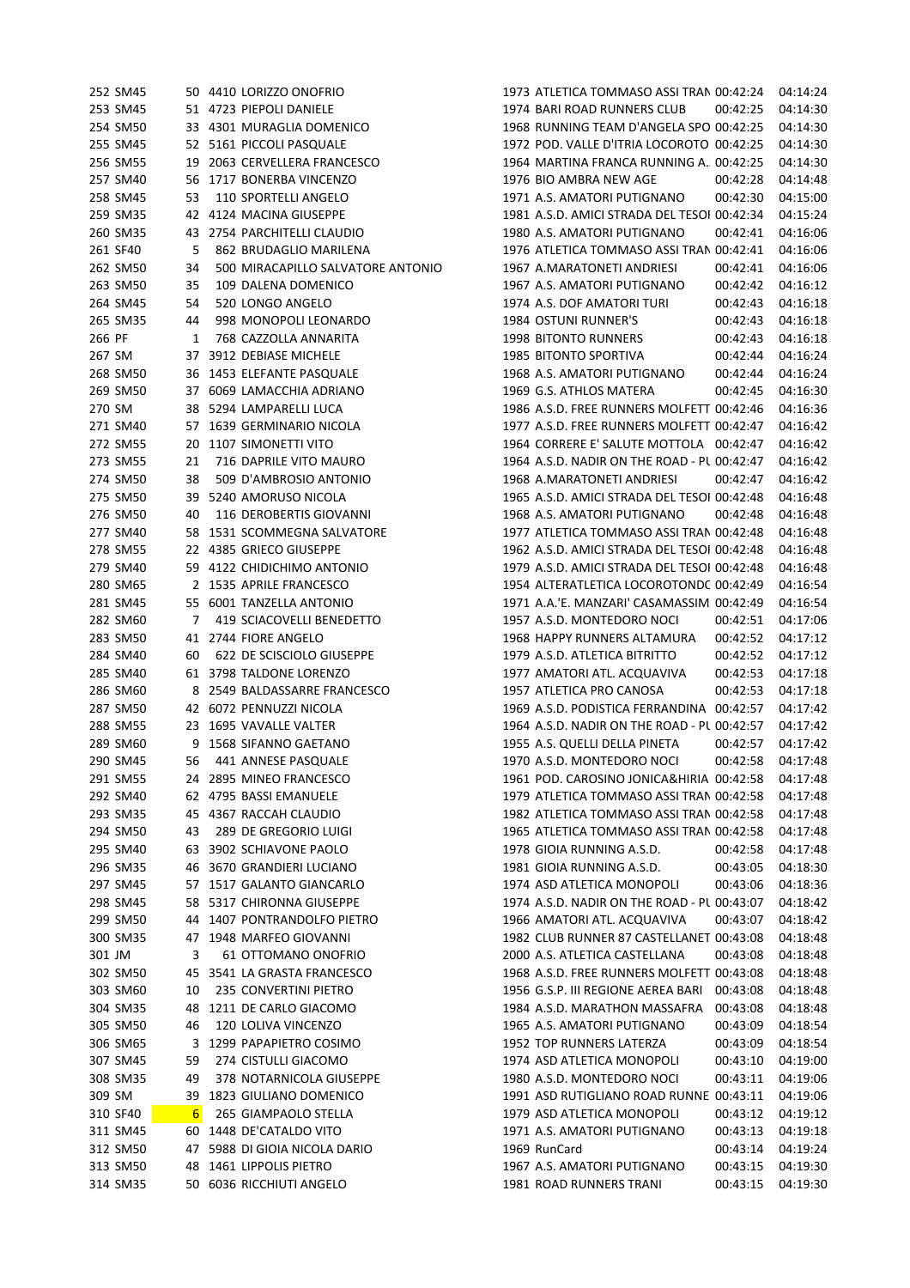|          | 252 SM45 |                  | 50 4410 LORIZZO ONOFRIO           | 1973 ATLETICA TOMMASO ASSI TRAN 00:42:24    |          | 04:14:24 |
|----------|----------|------------------|-----------------------------------|---------------------------------------------|----------|----------|
|          | 253 SM45 |                  | 51 4723 PIEPOLI DANIELE           | 1974 BARI ROAD RUNNERS CLUB                 | 00:42:25 | 04:14:30 |
|          | 254 SM50 |                  | 33 4301 MURAGLIA DOMENICO         | 1968 RUNNING TEAM D'ANGELA SPO 00:42:25     |          | 04:14:30 |
|          | 255 SM45 |                  | 52 5161 PICCOLI PASQUALE          | 1972 POD. VALLE D'ITRIA LOCOROTO 00:42:25   |          | 04:14:30 |
|          | 256 SM55 |                  | 19 2063 CERVELLERA FRANCESCO      | 1964 MARTINA FRANCA RUNNING A. 00:42:25     |          | 04:14:30 |
|          | 257 SM40 |                  | 56 1717 BONERBA VINCENZO          | 1976 BIO AMBRA NEW AGE                      | 00:42:28 | 04:14:48 |
|          | 258 SM45 | 53               | 110 SPORTELLI ANGELO              | 1971 A.S. AMATORI PUTIGNANO                 | 00:42:30 | 04:15:00 |
|          | 259 SM35 |                  | 42 4124 MACINA GIUSEPPE           | 1981 A.S.D. AMICI STRADA DEL TESOI 00:42:34 |          | 04:15:24 |
|          | 260 SM35 |                  | 43 2754 PARCHITELLI CLAUDIO       | 1980 A.S. AMATORI PUTIGNANO                 |          | 04:16:06 |
|          |          |                  |                                   |                                             | 00:42:41 |          |
| 261 SF40 |          | 5                | 862 BRUDAGLIO MARILENA            | 1976 ATLETICA TOMMASO ASSI TRAN 00:42:41    |          | 04:16:06 |
|          | 262 SM50 | 34               | 500 MIRACAPILLO SALVATORE ANTONIO | 1967 A.MARATONETI ANDRIESI                  | 00:42:41 | 04:16:06 |
|          | 263 SM50 | 35               | 109 DALENA DOMENICO               | 1967 A.S. AMATORI PUTIGNANO                 | 00:42:42 | 04:16:12 |
|          | 264 SM45 | 54               | 520 LONGO ANGELO                  | 1974 A.S. DOF AMATORI TURI                  | 00:42:43 | 04:16:18 |
|          | 265 SM35 | 44               | 998 MONOPOLI LEONARDO             | 1984 OSTUNI RUNNER'S                        | 00:42:43 | 04:16:18 |
| 266 PF   |          | 1                | 768 CAZZOLLA ANNARITA             | 1998 BITONTO RUNNERS                        | 00:42:43 | 04:16:18 |
| 267 SM   |          |                  | 37 3912 DEBIASE MICHELE           | 1985 BITONTO SPORTIVA                       | 00:42:44 | 04:16:24 |
|          | 268 SM50 |                  | 36 1453 ELEFANTE PASQUALE         | 1968 A.S. AMATORI PUTIGNANO                 | 00:42:44 | 04:16:24 |
|          | 269 SM50 |                  | 37 6069 LAMACCHIA ADRIANO         | 1969 G.S. ATHLOS MATERA                     | 00:42:45 | 04:16:30 |
| 270 SM   |          |                  | 38 5294 LAMPARELLI LUCA           | 1986 A.S.D. FREE RUNNERS MOLFETT 00:42:46   |          | 04:16:36 |
|          | 271 SM40 |                  | 57 1639 GERMINARIO NICOLA         | 1977 A.S.D. FREE RUNNERS MOLFETT 00:42:47   |          | 04:16:42 |
|          | 272 SM55 |                  | 20 1107 SIMONETTI VITO            | 1964 CORRERE E' SALUTE MOTTOLA 00:42:47     |          | 04:16:42 |
|          | 273 SM55 | 21               | 716 DAPRILE VITO MAURO            | 1964 A.S.D. NADIR ON THE ROAD - PL 00:42:47 |          | 04:16:42 |
|          | 274 SM50 | 38               | 509 D'AMBROSIO ANTONIO            | 1968 A.MARATONETI ANDRIESI                  | 00:42:47 | 04:16:42 |
|          |          |                  |                                   |                                             |          |          |
|          | 275 SM50 |                  | 39 5240 AMORUSO NICOLA            | 1965 A.S.D. AMICI STRADA DEL TESOI 00:42:48 |          | 04:16:48 |
|          | 276 SM50 | 40               | 116 DEROBERTIS GIOVANNI           | 1968 A.S. AMATORI PUTIGNANO                 | 00:42:48 | 04:16:48 |
|          | 277 SM40 |                  | 58 1531 SCOMMEGNA SALVATORE       | 1977 ATLETICA TOMMASO ASSI TRAN 00:42:48    |          | 04:16:48 |
|          | 278 SM55 |                  | 22 4385 GRIECO GIUSEPPE           | 1962 A.S.D. AMICI STRADA DEL TESOI 00:42:48 |          | 04:16:48 |
|          | 279 SM40 |                  | 59 4122 CHIDICHIMO ANTONIO        | 1979 A.S.D. AMICI STRADA DEL TESOI 00:42:48 |          | 04:16:48 |
|          | 280 SM65 |                  | 2 1535 APRILE FRANCESCO           | 1954 ALTERATLETICA LOCOROTONDC 00:42:49     |          | 04:16:54 |
|          | 281 SM45 |                  | 55 6001 TANZELLA ANTONIO          | 1971 A.A.'E. MANZARI' CASAMASSIM 00:42:49   |          | 04:16:54 |
|          | 282 SM60 | 7                | 419 SCIACOVELLI BENEDETTO         | 1957 A.S.D. MONTEDORO NOCI                  | 00:42:51 | 04:17:06 |
|          | 283 SM50 |                  | 41 2744 FIORE ANGELO              | 1968 HAPPY RUNNERS ALTAMURA                 | 00:42:52 | 04:17:12 |
|          | 284 SM40 | 60               | 622 DE SCISCIOLO GIUSEPPE         | 1979 A.S.D. ATLETICA BITRITTO               | 00:42:52 | 04:17:12 |
|          | 285 SM40 |                  | 61 3798 TALDONE LORENZO           | 1977 AMATORI ATL. ACQUAVIVA                 | 00:42:53 | 04:17:18 |
|          | 286 SM60 |                  | 8 2549 BALDASSARRE FRANCESCO      | 1957 ATLETICA PRO CANOSA                    | 00:42:53 | 04:17:18 |
|          | 287 SM50 |                  | 42 6072 PENNUZZI NICOLA           | 1969 A.S.D. PODISTICA FERRANDINA 00:42:57   |          | 04:17:42 |
|          | 288 SM55 |                  | 23 1695 VAVALLE VALTER            | 1964 A.S.D. NADIR ON THE ROAD - PL 00:42:57 |          | 04:17:42 |
|          | 289 SM60 |                  | 9 1568 SIFANNO GAETANO            | 1955 A.S. QUELLI DELLA PINETA               | 00:42:57 | 04:17:42 |
|          | 290 SM45 |                  | 56 441 ANNESE PASQUALE            | 1970 A.S.D. MONTEDORO NOCI                  | 00:42:58 | 04:17:48 |
|          | 291 SM55 |                  | 24 2895 MINEO FRANCESCO           | 1961 POD. CAROSINO JONICA&HIRIA 00:42:58    |          | 04:17:48 |
|          |          |                  |                                   |                                             |          |          |
|          | 292 SM40 |                  | 62 4795 BASSI EMANUELE            | 1979 ATLETICA TOMMASO ASSI TRAN 00:42:58    |          | 04:17:48 |
|          | 293 SM35 |                  | 45 4367 RACCAH CLAUDIO            | 1982 ATLETICA TOMMASO ASSI TRAN 00:42:58    |          | 04:17:48 |
|          | 294 SM50 | 43               | 289 DE GREGORIO LUIGI             | 1965 ATLETICA TOMMASO ASSI TRAN 00:42:58    |          | 04:17:48 |
|          | 295 SM40 |                  | 63 3902 SCHIAVONE PAOLO           | 1978 GIOIA RUNNING A.S.D.                   | 00:42:58 | 04:17:48 |
|          | 296 SM35 |                  | 46 3670 GRANDIERI LUCIANO         | 1981 GIOIA RUNNING A.S.D.                   | 00:43:05 | 04:18:30 |
|          | 297 SM45 |                  | 57 1517 GALANTO GIANCARLO         | 1974 ASD ATLETICA MONOPOLI                  | 00:43:06 | 04:18:36 |
|          | 298 SM45 |                  | 58 5317 CHIRONNA GIUSEPPE         | 1974 A.S.D. NADIR ON THE ROAD - PL 00:43:07 |          | 04:18:42 |
|          | 299 SM50 |                  | 44 1407 PONTRANDOLFO PIETRO       | 1966 AMATORI ATL. ACQUAVIVA                 | 00:43:07 | 04:18:42 |
|          | 300 SM35 |                  | 47 1948 MARFEO GIOVANNI           | 1982 CLUB RUNNER 87 CASTELLANET 00:43:08    |          | 04:18:48 |
| 301 JM   |          | 3                | 61 OTTOMANO ONOFRIO               | 2000 A.S. ATLETICA CASTELLANA               | 00:43:08 | 04:18:48 |
|          | 302 SM50 |                  | 45 3541 LA GRASTA FRANCESCO       | 1968 A.S.D. FREE RUNNERS MOLFETT 00:43:08   |          | 04:18:48 |
|          | 303 SM60 | 10               | 235 CONVERTINI PIETRO             | 1956 G.S.P. III REGIONE AEREA BARI          | 00:43:08 | 04:18:48 |
|          | 304 SM35 |                  | 48 1211 DE CARLO GIACOMO          | 1984 A.S.D. MARATHON MASSAFRA               | 00:43:08 | 04:18:48 |
|          | 305 SM50 | 46               | 120 LOLIVA VINCENZO               | 1965 A.S. AMATORI PUTIGNANO                 | 00:43:09 | 04:18:54 |
|          | 306 SM65 |                  | 3 1299 PAPAPIETRO COSIMO          | 1952 TOP RUNNERS LATERZA                    | 00:43:09 | 04:18:54 |
|          |          |                  |                                   | 1974 ASD ATLETICA MONOPOLI                  |          | 04:19:00 |
|          | 307 SM45 | 59               | 274 CISTULLI GIACOMO              |                                             | 00:43:10 |          |
|          | 308 SM35 | 49               | 378 NOTARNICOLA GIUSEPPE          | 1980 A.S.D. MONTEDORO NOCI                  | 00:43:11 | 04:19:06 |
| 309 SM   |          |                  | 39 1823 GIULIANO DOMENICO         | 1991 ASD RUTIGLIANO ROAD RUNNE 00:43:11     |          | 04:19:06 |
|          | 310 SF40 | $6 \overline{6}$ | 265 GIAMPAOLO STELLA              | 1979 ASD ATLETICA MONOPOLI                  | 00:43:12 | 04:19:12 |
|          | 311 SM45 |                  | 60 1448 DE'CATALDO VITO           | 1971 A.S. AMATORI PUTIGNANO                 | 00:43:13 | 04:19:18 |
|          | 312 SM50 |                  | 47 5988 DI GIOIA NICOLA DARIO     | 1969 RunCard                                | 00:43:14 | 04:19:24 |
|          | 313 SM50 |                  | 48 1461 LIPPOLIS PIETRO           | 1967 A.S. AMATORI PUTIGNANO                 | 00:43:15 | 04:19:30 |
|          | 314 SM35 |                  | 50 6036 RICCHIUTI ANGELO          | 1981 ROAD RUNNERS TRANI                     | 00:43:15 | 04:19:30 |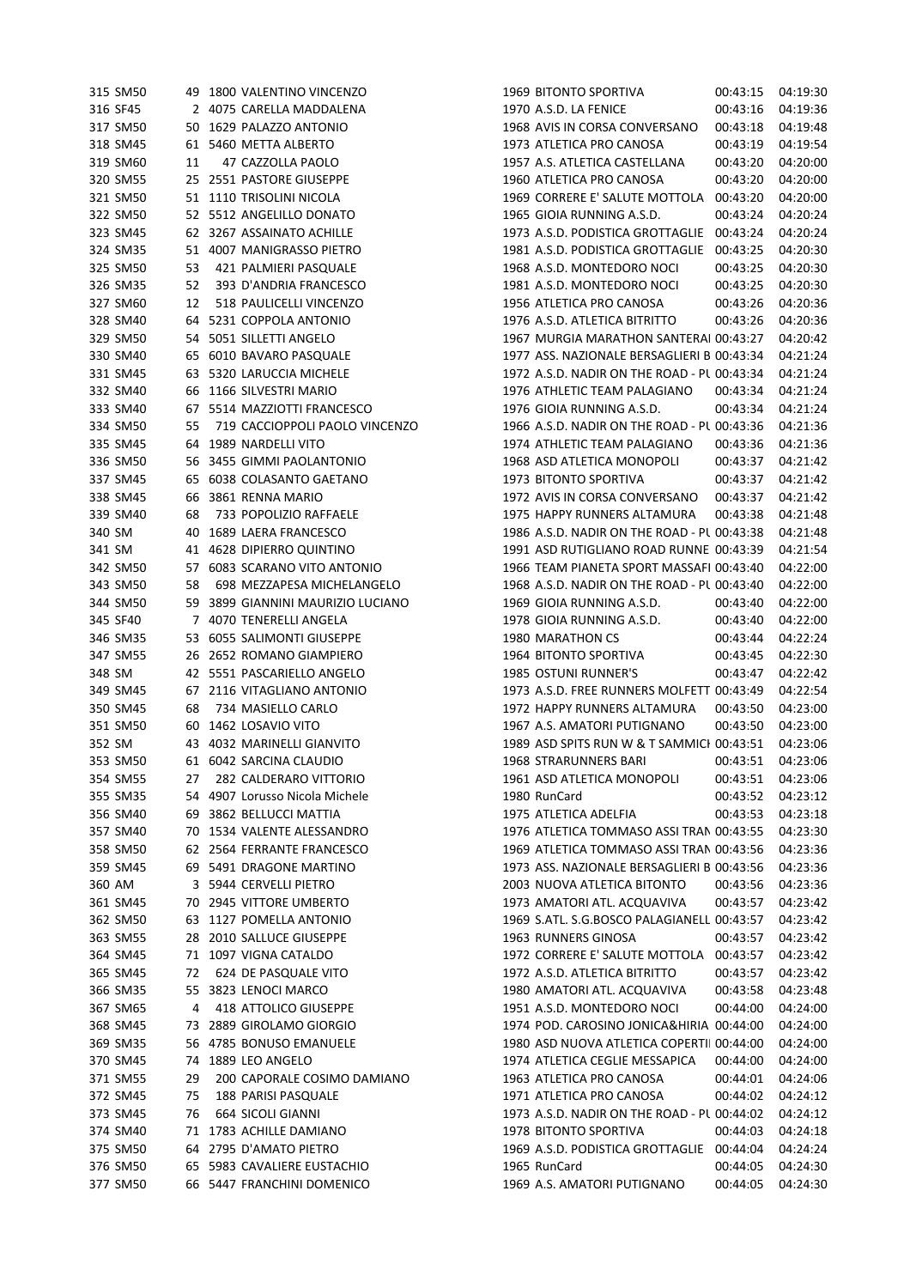|        | 315 SM50 |    | 49 1800 VALENTINO VINCENZO        | 1969 BITONTO SPORTIVA                       | 00:43:15 | 04:19:30 |
|--------|----------|----|-----------------------------------|---------------------------------------------|----------|----------|
|        | 316 SF45 |    | 2 4075 CARELLA MADDALENA          | 1970 A.S.D. LA FENICE                       | 00:43:16 | 04:19:36 |
|        | 317 SM50 |    | 50 1629 PALAZZO ANTONIO           | 1968 AVIS IN CORSA CONVERSANO               | 00:43:18 | 04:19:48 |
|        | 318 SM45 |    | 61 5460 METTA ALBERTO             | 1973 ATLETICA PRO CANOSA                    | 00:43:19 | 04:19:54 |
|        | 319 SM60 | 11 | 47 CAZZOLLA PAOLO                 | 1957 A.S. ATLETICA CASTELLANA               | 00:43:20 | 04:20:00 |
|        | 320 SM55 |    | 25 2551 PASTORE GIUSEPPE          | 1960 ATLETICA PRO CANOSA                    | 00:43:20 | 04:20:00 |
|        | 321 SM50 |    | 51 1110 TRISOLINI NICOLA          | 1969 CORRERE E' SALUTE MOTTOLA              | 00:43:20 | 04:20:00 |
|        | 322 SM50 |    | 52 5512 ANGELILLO DONATO          | 1965 GIOIA RUNNING A.S.D.                   | 00:43:24 | 04:20:24 |
|        | 323 SM45 |    | 62 3267 ASSAINATO ACHILLE         | 1973 A.S.D. PODISTICA GROTTAGLIE            | 00:43:24 | 04:20:24 |
|        | 324 SM35 |    | 51 4007 MANIGRASSO PIETRO         | 1981 A.S.D. PODISTICA GROTTAGLIE            | 00:43:25 | 04:20:30 |
|        | 325 SM50 | 53 | 421 PALMIERI PASQUALE             | 1968 A.S.D. MONTEDORO NOCI                  | 00:43:25 | 04:20:30 |
|        | 326 SM35 | 52 | 393 D'ANDRIA FRANCESCO            | 1981 A.S.D. MONTEDORO NOCI                  | 00:43:25 | 04:20:30 |
|        | 327 SM60 | 12 | 518 PAULICELLI VINCENZO           | 1956 ATLETICA PRO CANOSA                    | 00:43:26 | 04:20:36 |
|        | 328 SM40 |    | 64 5231 COPPOLA ANTONIO           | 1976 A.S.D. ATLETICA BITRITTO               | 00:43:26 | 04:20:36 |
|        | 329 SM50 |    | 54 5051 SILLETTI ANGELO           | 1967 MURGIA MARATHON SANTERAI 00:43:27      |          | 04:20:42 |
|        | 330 SM40 |    | 65 6010 BAVARO PASQUALE           | 1977 ASS. NAZIONALE BERSAGLIERI B 00:43:34  |          | 04:21:24 |
|        | 331 SM45 |    | 63 5320 LARUCCIA MICHELE          | 1972 A.S.D. NADIR ON THE ROAD - PL 00:43:34 |          | 04:21:24 |
|        | 332 SM40 |    | 66 1166 SILVESTRI MARIO           | 1976 ATHLETIC TEAM PALAGIANO                | 00:43:34 | 04:21:24 |
|        | 333 SM40 |    | 67 5514 MAZZIOTTI FRANCESCO       | 1976 GIOIA RUNNING A.S.D.                   | 00:43:34 | 04:21:24 |
|        | 334 SM50 | 55 | 719 CACCIOPPOLI PAOLO VINCENZO    | 1966 A.S.D. NADIR ON THE ROAD - PL 00:43:36 |          | 04:21:36 |
|        | 335 SM45 |    | 64 1989 NARDELLI VITO             | 1974 ATHLETIC TEAM PALAGIANO                | 00:43:36 | 04:21:36 |
|        | 336 SM50 |    | 56 3455 GIMMI PAOLANTONIO         | 1968 ASD ATLETICA MONOPOLI                  | 00:43:37 | 04:21:42 |
|        | 337 SM45 |    | 65 6038 COLASANTO GAETANO         | 1973 BITONTO SPORTIVA                       | 00:43:37 | 04:21:42 |
|        | 338 SM45 |    | 66 3861 RENNA MARIO               | 1972 AVIS IN CORSA CONVERSANO               | 00:43:37 | 04:21:42 |
|        | 339 SM40 | 68 | 733 POPOLIZIO RAFFAELE            | 1975 HAPPY RUNNERS ALTAMURA                 | 00:43:38 | 04:21:48 |
| 340 SM |          |    | 40 1689 LAERA FRANCESCO           | 1986 A.S.D. NADIR ON THE ROAD - PL 00:43:38 |          | 04:21:48 |
| 341 SM |          |    | 41 4628 DIPIERRO QUINTINO         | 1991 ASD RUTIGLIANO ROAD RUNNE 00:43:39     |          | 04:21:54 |
|        | 342 SM50 |    | 57 6083 SCARANO VITO ANTONIO      | 1966 TEAM PIANETA SPORT MASSAFI 00:43:40    |          | 04:22:00 |
|        | 343 SM50 | 58 | 698 MEZZAPESA MICHELANGELO        | 1968 A.S.D. NADIR ON THE ROAD - PL 00:43:40 |          | 04:22:00 |
|        | 344 SM50 |    | 59 3899 GIANNINI MAURIZIO LUCIANO | 1969 GIOIA RUNNING A.S.D.                   | 00:43:40 | 04:22:00 |
|        | 345 SF40 |    | 7 4070 TENERELLI ANGELA           | 1978 GIOIA RUNNING A.S.D.                   | 00:43:40 | 04:22:00 |
|        | 346 SM35 |    | 53 6055 SALIMONTI GIUSEPPE        | 1980 MARATHON CS                            | 00:43:44 | 04:22:24 |
|        | 347 SM55 |    | 26 2652 ROMANO GIAMPIERO          | 1964 BITONTO SPORTIVA                       | 00:43:45 | 04:22:30 |
| 348 SM |          |    | 42 5551 PASCARIELLO ANGELO        | 1985 OSTUNI RUNNER'S                        | 00:43:47 | 04:22:42 |
|        | 349 SM45 |    | 67 2116 VITAGLIANO ANTONIO        | 1973 A.S.D. FREE RUNNERS MOLFETT 00:43:49   |          | 04:22:54 |
|        | 350 SM45 | 68 | 734 MASIELLO CARLO                | 1972 HAPPY RUNNERS ALTAMURA                 | 00:43:50 | 04:23:00 |
|        | 351 SM50 |    | 60 1462 LOSAVIO VITO              | 1967 A.S. AMATORI PUTIGNANO                 | 00:43:50 | 04:23:00 |
| 352 SM |          |    | 43 4032 MARINELLI GIANVITO        | 1989 ASD SPITS RUN W & T SAMMICI 00:43:51   |          | 04:23:06 |
|        | 353 SM50 |    | 61 6042 SARCINA CLAUDIO           | 1968 STRARUNNERS BARI                       | 00:43:51 | 04:23:06 |
|        | 354 SM55 | 27 | 282 CALDERARO VITTORIO            | 1961 ASD ATLETICA MONOPOLI                  | 00:43:51 | 04:23:06 |
|        | 355 SM35 | 54 | 4907 Lorusso Nicola Michele       | 1980 RunCard                                | 00:43:52 | 04:23:12 |
|        | 356 SM40 | 69 | 3862 BELLUCCI MATTIA              | 1975 ATLETICA ADELFIA                       | 00:43:53 | 04:23:18 |
|        | 357 SM40 |    | 70 1534 VALENTE ALESSANDRO        | 1976 ATLETICA TOMMASO ASSI TRAN 00:43:55    |          | 04:23:30 |
|        | 358 SM50 |    | 62 2564 FERRANTE FRANCESCO        | 1969 ATLETICA TOMMASO ASSI TRAN 00:43:56    |          | 04:23:36 |
|        | 359 SM45 |    | 69 5491 DRAGONE MARTINO           | 1973 ASS. NAZIONALE BERSAGLIERI B 00:43:56  |          | 04:23:36 |
| 360 AM |          |    | 3 5944 CERVELLI PIETRO            | 2003 NUOVA ATLETICA BITONTO                 | 00:43:56 | 04:23:36 |
|        | 361 SM45 |    | 70 2945 VITTORE UMBERTO           | 1973 AMATORI ATL. ACQUAVIVA                 | 00:43:57 | 04:23:42 |
|        | 362 SM50 |    | 63 1127 POMELLA ANTONIO           | 1969 S.ATL. S.G.BOSCO PALAGIANELL 00:43:57  |          | 04:23:42 |
|        | 363 SM55 |    | 28 2010 SALLUCE GIUSEPPE          | 1963 RUNNERS GINOSA                         | 00:43:57 | 04:23:42 |
|        | 364 SM45 |    | 71 1097 VIGNA CATALDO             | 1972 CORRERE E' SALUTE MOTTOLA 00:43:57     |          | 04:23:42 |
|        | 365 SM45 | 72 | 624 DE PASQUALE VITO              | 1972 A.S.D. ATLETICA BITRITTO               | 00:43:57 | 04:23:42 |
|        | 366 SM35 |    | 55 3823 LENOCI MARCO              | 1980 AMATORI ATL. ACQUAVIVA                 | 00:43:58 | 04:23:48 |
|        | 367 SM65 | 4  | 418 ATTOLICO GIUSEPPE             | 1951 A.S.D. MONTEDORO NOCI                  | 00:44:00 | 04:24:00 |
|        | 368 SM45 |    | 73 2889 GIROLAMO GIORGIO          | 1974 POD. CAROSINO JONICA&HIRIA 00:44:00    |          | 04:24:00 |
|        | 369 SM35 |    | 56 4785 BONUSO EMANUELE           | 1980 ASD NUOVA ATLETICA COPERTII 00:44:00   |          | 04:24:00 |
|        | 370 SM45 |    | 74 1889 LEO ANGELO                | 1974 ATLETICA CEGLIE MESSAPICA              | 00:44:00 | 04:24:00 |
|        | 371 SM55 | 29 | 200 CAPORALE COSIMO DAMIANO       | 1963 ATLETICA PRO CANOSA                    | 00:44:01 | 04:24:06 |
|        | 372 SM45 | 75 | 188 PARISI PASQUALE               | 1971 ATLETICA PRO CANOSA                    | 00:44:02 | 04:24:12 |
|        | 373 SM45 | 76 | 664 SICOLI GIANNI                 | 1973 A.S.D. NADIR ON THE ROAD - PL 00:44:02 |          | 04:24:12 |
|        | 374 SM40 |    | 71 1783 ACHILLE DAMIANO           | 1978 BITONTO SPORTIVA                       | 00:44:03 | 04:24:18 |
|        | 375 SM50 |    | 64 2795 D'AMATO PIETRO            | 1969 A.S.D. PODISTICA GROTTAGLIE 00:44:04   |          | 04:24:24 |
|        | 376 SM50 |    | 65 5983 CAVALIERE EUSTACHIO       | 1965 RunCard                                | 00:44:05 | 04:24:30 |
|        | 377 SM50 |    | 66 5447 FRANCHINI DOMENICO        | 1969 A.S. AMATORI PUTIGNANO                 | 00:44:05 | 04:24:30 |
|        |          |    |                                   |                                             |          |          |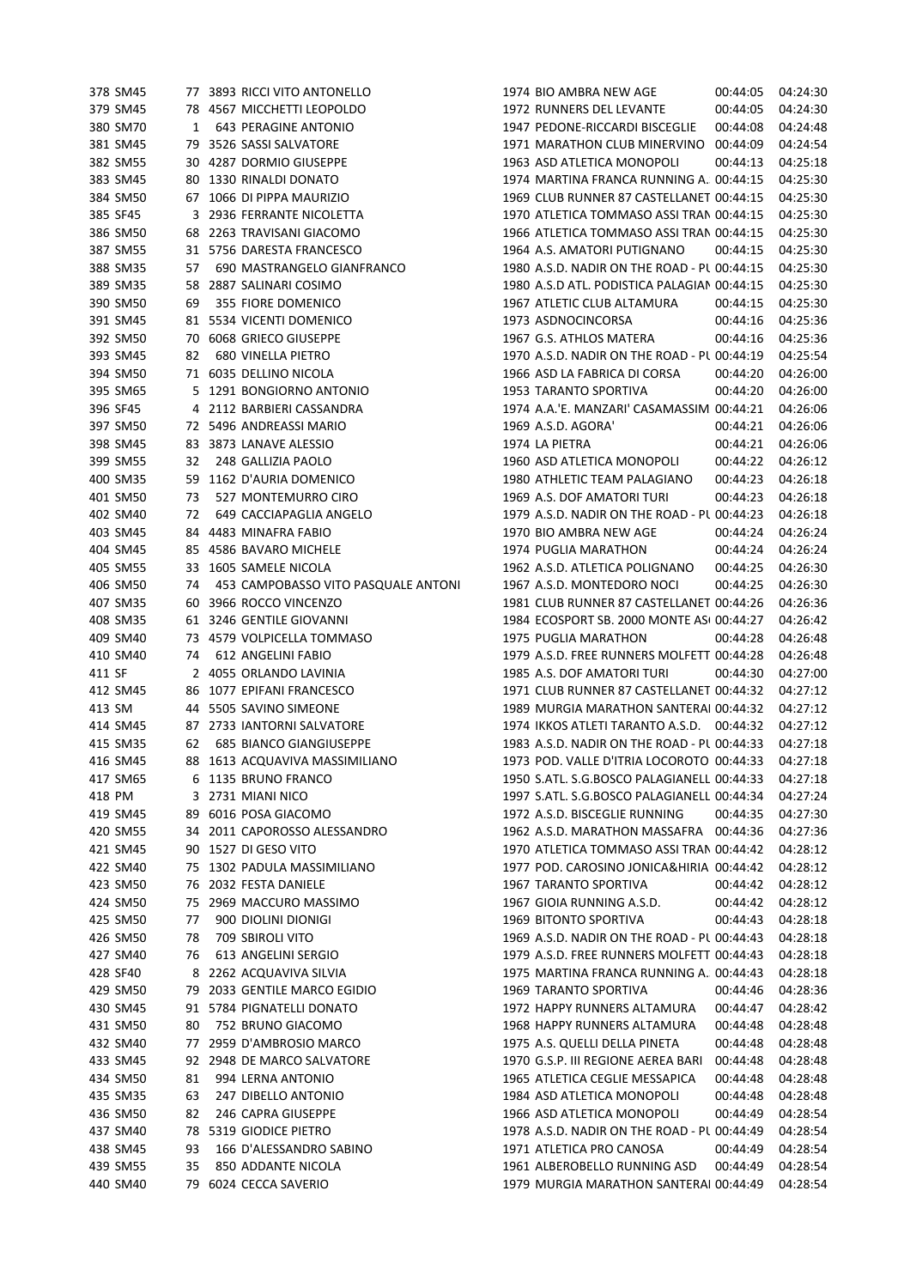| 378 SM45             |    | 77 3893 RICCI VITO ANTONELLO        | 1974 BIO AMBRA NEW AGE                      | 00:44:05 | 04:24:30 |
|----------------------|----|-------------------------------------|---------------------------------------------|----------|----------|
| 379 SM45             |    | 78 4567 MICCHETTI LEOPOLDO          | 1972 RUNNERS DEL LEVANTE                    | 00:44:05 | 04:24:30 |
| 380 SM70             | 1  | 643 PERAGINE ANTONIO                | 1947 PEDONE-RICCARDI BISCEGLIE              | 00:44:08 | 04:24:48 |
| 381 SM45             |    | 79 3526 SASSI SALVATORE             | 1971 MARATHON CLUB MINERVINO 00:44:09       |          | 04:24:54 |
| 382 SM55             |    | 30 4287 DORMIO GIUSEPPE             | 1963 ASD ATLETICA MONOPOLI                  | 00:44:13 | 04:25:18 |
| 383 SM45             |    | 80 1330 RINALDI DONATO              | 1974 MARTINA FRANCA RUNNING A. 00:44:15     |          | 04:25:30 |
| 384 SM50             |    | 67 1066 DI PIPPA MAURIZIO           | 1969 CLUB RUNNER 87 CASTELLANET 00:44:15    |          | 04:25:30 |
| 385 SF45             |    | 3 2936 FERRANTE NICOLETTA           | 1970 ATLETICA TOMMASO ASSI TRAN 00:44:15    |          | 04:25:30 |
| 386 SM50             |    | 68 2263 TRAVISANI GIACOMO           | 1966 ATLETICA TOMMASO ASSI TRAN 00:44:15    |          | 04:25:30 |
| 387 SM55             |    | 31 5756 DARESTA FRANCESCO           | 1964 A.S. AMATORI PUTIGNANO                 | 00:44:15 | 04:25:30 |
| 388 SM35             | 57 | 690 MASTRANGELO GIANFRANCO          | 1980 A.S.D. NADIR ON THE ROAD - PL 00:44:15 |          | 04:25:30 |
| 389 SM35             |    | 58 2887 SALINARI COSIMO             | 1980 A.S.D ATL. PODISTICA PALAGIAN 00:44:15 |          | 04:25:30 |
| 390 SM50             | 69 | 355 FIORE DOMENICO                  | 1967 ATLETIC CLUB ALTAMURA                  | 00:44:15 | 04:25:30 |
| 391 SM45             |    | 81 5534 VICENTI DOMENICO            | 1973 ASDNOCINCORSA                          | 00:44:16 | 04:25:36 |
| 392 SM50             |    | 70 6068 GRIECO GIUSEPPE             | 1967 G.S. ATHLOS MATERA                     | 00:44:16 | 04:25:36 |
| 393 SM45             | 82 | <b>680 VINELLA PIETRO</b>           | 1970 A.S.D. NADIR ON THE ROAD - PL 00:44:19 |          | 04:25:54 |
| 394 SM50             |    | 71 6035 DELLINO NICOLA              | 1966 ASD LA FABRICA DI CORSA                | 00:44:20 | 04:26:00 |
| 395 SM65             |    | 5 1291 BONGIORNO ANTONIO            | 1953 TARANTO SPORTIVA                       | 00:44:20 | 04:26:00 |
| 396 SF45             |    | 4 2112 BARBIERI CASSANDRA           | 1974 A.A.'E. MANZARI' CASAMASSIM 00:44:21   |          | 04:26:06 |
| 397 SM50             |    | 72 5496 ANDREASSI MARIO             | 1969 A.S.D. AGORA'                          | 00:44:21 | 04:26:06 |
| 398 SM45             |    | 83 3873 LANAVE ALESSIO              | 1974 LA PIETRA                              | 00:44:21 | 04:26:06 |
| 399 SM55             | 32 | 248 GALLIZIA PAOLO                  | 1960 ASD ATLETICA MONOPOLI                  | 00:44:22 | 04:26:12 |
| 400 SM35             |    | 59 1162 D'AURIA DOMENICO            | 1980 ATHLETIC TEAM PALAGIANO                | 00:44:23 | 04:26:18 |
| 401 SM50             | 73 | 527 MONTEMURRO CIRO                 | 1969 A.S. DOF AMATORI TURI                  | 00:44:23 | 04:26:18 |
| 402 SM40             | 72 | 649 CACCIAPAGLIA ANGELO             | 1979 A.S.D. NADIR ON THE ROAD - PL 00:44:23 |          | 04:26:18 |
| 403 SM45             |    | 84 4483 MINAFRA FABIO               | 1970 BIO AMBRA NEW AGE                      | 00:44:24 | 04:26:24 |
| 404 SM45             |    | 85 4586 BAVARO MICHELE              | 1974 PUGLIA MARATHON                        | 00:44:24 | 04:26:24 |
| 405 SM55             |    | 33 1605 SAMELE NICOLA               | 1962 A.S.D. ATLETICA POLIGNANO              | 00:44:25 | 04:26:30 |
| 406 SM50             | 74 | 453 CAMPOBASSO VITO PASQUALE ANTONI | 1967 A.S.D. MONTEDORO NOCI                  | 00:44:25 | 04:26:30 |
| 407 SM35             |    | 60 3966 ROCCO VINCENZO              | 1981 CLUB RUNNER 87 CASTELLANET 00:44:26    |          | 04:26:36 |
| 408 SM35             |    | 61 3246 GENTILE GIOVANNI            | 1984 ECOSPORT SB. 2000 MONTE ASI 00:44:27   |          | 04:26:42 |
| 409 SM40             |    | 73 4579 VOLPICELLA TOMMASO          | 1975 PUGLIA MARATHON                        | 00:44:28 | 04:26:48 |
| 410 SM40             | 74 | 612 ANGELINI FABIO                  | 1979 A.S.D. FREE RUNNERS MOLFETT 00:44:28   |          | 04:26:48 |
| 411 SF               |    | 2 4055 ORLANDO LAVINIA              | 1985 A.S. DOF AMATORI TURI                  | 00:44:30 | 04:27:00 |
| 412 SM45             |    | 86 1077 EPIFANI FRANCESCO           | 1971 CLUB RUNNER 87 CASTELLANET 00:44:32    |          | 04:27:12 |
| 413 SM               |    | 44 5505 SAVINO SIMEONE              | 1989 MURGIA MARATHON SANTERAI 00:44:32      |          | 04:27:12 |
| 414 SM45             |    | 87 2733 IANTORNI SALVATORE          | 1974 IKKOS ATLETI TARANTO A.S.D. 00:44:32   |          | 04:27:12 |
| 415 SM35             | 62 | <b>685 BIANCO GIANGIUSEPPE</b>      | 1983 A.S.D. NADIR ON THE ROAD - PL 00:44:33 |          | 04:27:18 |
| 416 SM45             |    | 88 1613 ACQUAVIVA MASSIMILIANO      | 1973 POD. VALLE D'ITRIA LOCOROTO 00:44:33   |          | 04:27:18 |
| 417 SM65             |    | 6 1135 BRUNO FRANCO                 | 1950 S.ATL. S.G.BOSCO PALAGIANELL 00:44:33  |          | 04:27:18 |
| 418 PM               |    | 3 2731 MIANI NICO                   | 1997 S.ATL. S.G.BOSCO PALAGIANELL 00:44:34  |          | 04:27:24 |
| 419 SM45             |    | 89 6016 POSA GIACOMO                | 1972 A.S.D. BISCEGLIE RUNNING               | 00:44:35 | 04:27:30 |
| 420 SM55             |    | 34 2011 CAPOROSSO ALESSANDRO        | 1962 A.S.D. MARATHON MASSAFRA 00:44:36      |          | 04:27:36 |
| 421 SM45             |    | 90 1527 DI GESO VITO                | 1970 ATLETICA TOMMASO ASSI TRAN 00:44:42    |          | 04:28:12 |
| 422 SM40             |    | 75 1302 PADULA MASSIMILIANO         | 1977 POD, CAROSINO JONICA&HIRIA 00:44:42    |          | 04:28:12 |
| 423 SM50             |    | 76 2032 FESTA DANIELE               | <b>1967 TARANTO SPORTIVA</b>                | 00:44:42 | 04:28:12 |
| 424 SM50             |    | 75 2969 MACCURO MASSIMO             | 1967 GIOIA RUNNING A.S.D.                   | 00:44:42 | 04:28:12 |
| 425 SM50             | 77 | 900 DIOLINI DIONIGI                 | 1969 BITONTO SPORTIVA                       | 00:44:43 | 04:28:18 |
| 426 SM50             | 78 | 709 SBIROLI VITO                    | 1969 A.S.D. NADIR ON THE ROAD - PL 00:44:43 |          | 04:28:18 |
| 427 SM40             | 76 | 613 ANGELINI SERGIO                 | 1979 A.S.D. FREE RUNNERS MOLFETT 00:44:43   |          | 04:28:18 |
| 428 SF40             |    | 8 2262 ACQUAVIVA SILVIA             | 1975 MARTINA FRANCA RUNNING A. 00:44:43     |          | 04:28:18 |
| 429 SM50             |    | 79 2033 GENTILE MARCO EGIDIO        | 1969 TARANTO SPORTIVA                       | 00:44:46 | 04:28:36 |
| 430 SM45             |    | 91 5784 PIGNATELLI DONATO           | 1972 HAPPY RUNNERS ALTAMURA                 | 00:44:47 | 04:28:42 |
| 431 SM50             | 80 | 752 BRUNO GIACOMO                   | 1968 HAPPY RUNNERS ALTAMURA                 | 00:44:48 | 04:28:48 |
| 432 SM40             |    | 77 2959 D'AMBROSIO MARCO            | 1975 A.S. QUELLI DELLA PINETA               | 00:44:48 | 04:28:48 |
| 433 SM45             |    | 92 2948 DE MARCO SALVATORE          | 1970 G.S.P. III REGIONE AEREA BARI          | 00:44:48 | 04:28:48 |
|                      | 81 | 994 LERNA ANTONIO                   | 1965 ATLETICA CEGLIE MESSAPICA              |          | 04:28:48 |
| 434 SM50             |    | 247 DIBELLO ANTONIO                 | 1984 ASD ATLETICA MONOPOLI                  | 00:44:48 |          |
| 435 SM35<br>436 SM50 | 63 | 246 CAPRA GIUSEPPE                  | 1966 ASD ATLETICA MONOPOLI                  | 00:44:48 | 04:28:48 |
|                      | 82 |                                     |                                             | 00:44:49 | 04:28:54 |
| 437 SM40             |    | 78 5319 GIODICE PIETRO              | 1978 A.S.D. NADIR ON THE ROAD - PL 00:44:49 |          | 04:28:54 |
| 438 SM45             | 93 | 166 D'ALESSANDRO SABINO             | 1971 ATLETICA PRO CANOSA                    | 00:44:49 | 04:28:54 |
| 439 SM55             | 35 | 850 ADDANTE NICOLA                  | 1961 ALBEROBELLO RUNNING ASD                | 00:44:49 | 04:28:54 |
| 440 SM40             |    | 79 6024 CECCA SAVERIO               | 1979 MURGIA MARATHON SANTERAI 00:44:49      |          | 04:28:54 |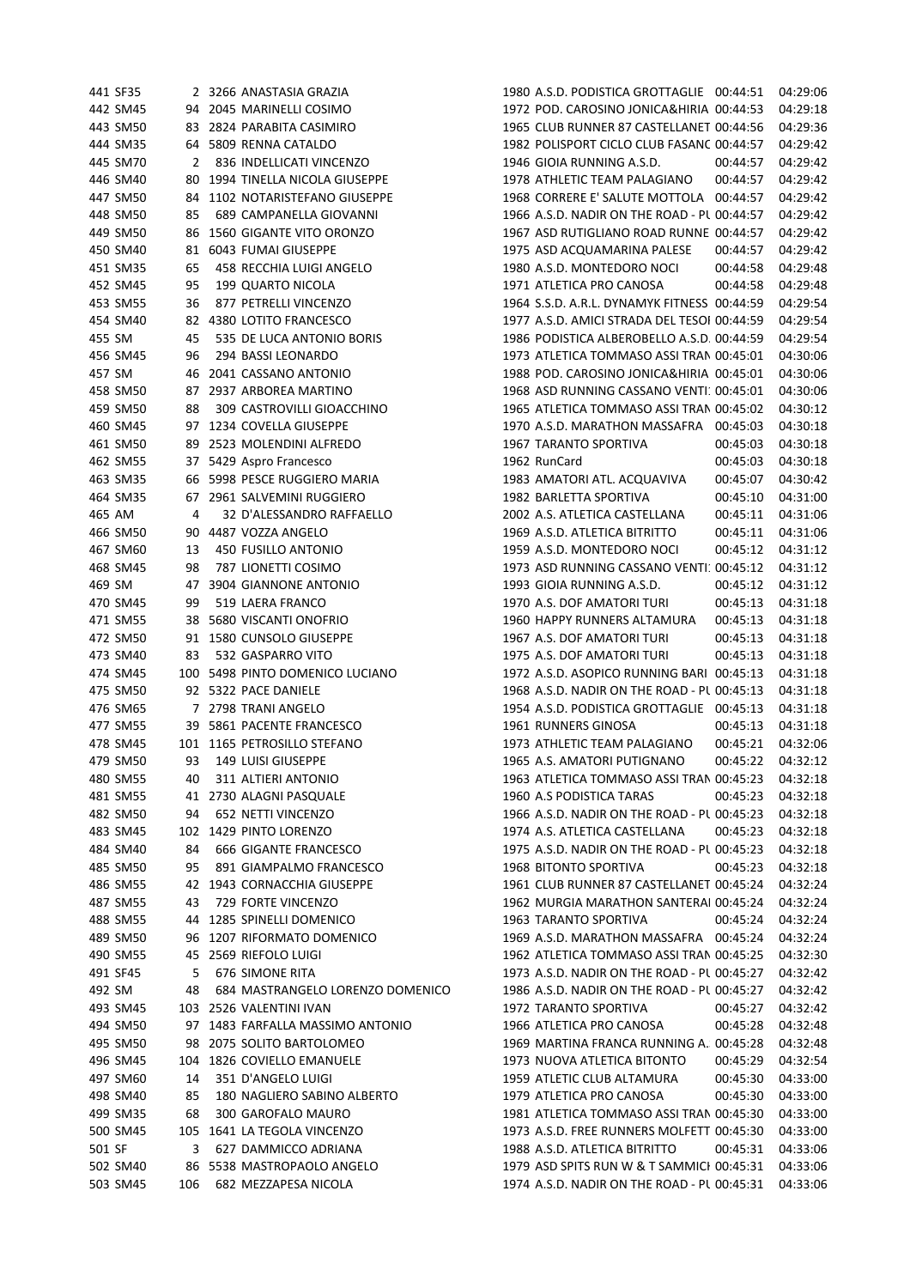|        | 441 SF35 |     | 2 3266 ANASTASIA GRAZIA          | 1980 A.S.D. PODISTICA GROTTAGLIE 00:44:51   | 04:29:06 |
|--------|----------|-----|----------------------------------|---------------------------------------------|----------|
|        | 442 SM45 |     | 94 2045 MARINELLI COSIMO         | 1972 POD. CAROSINO JONICA&HIRIA 00:44:53    | 04:29:18 |
|        | 443 SM50 |     | 83 2824 PARABITA CASIMIRO        | 1965 CLUB RUNNER 87 CASTELLANET 00:44:56    | 04:29:36 |
|        | 444 SM35 |     | 64 5809 RENNA CATALDO            | 1982 POLISPORT CICLO CLUB FASANC 00:44:57   | 04:29:42 |
|        | 445 SM70 | 2   | 836 INDELLICATI VINCENZO         | 1946 GIOIA RUNNING A.S.D.<br>00:44:57       | 04:29:42 |
|        | 446 SM40 |     | 80 1994 TINELLA NICOLA GIUSEPPE  | 1978 ATHLETIC TEAM PALAGIANO<br>00:44:57    | 04:29:42 |
|        | 447 SM50 |     | 84 1102 NOTARISTEFANO GIUSEPPE   | 1968 CORRERE E' SALUTE MOTTOLA 00:44:57     | 04:29:42 |
|        | 448 SM50 | 85  | 689 CAMPANELLA GIOVANNI          | 1966 A.S.D. NADIR ON THE ROAD - PL 00:44:57 | 04:29:42 |
|        | 449 SM50 |     | 86 1560 GIGANTE VITO ORONZO      | 1967 ASD RUTIGLIANO ROAD RUNNE 00:44:57     | 04:29:42 |
|        | 450 SM40 |     | 81 6043 FUMAI GIUSEPPE           | 1975 ASD ACQUAMARINA PALESE<br>00:44:57     | 04:29:42 |
|        | 451 SM35 | 65  | 458 RECCHIA LUIGI ANGELO         | 1980 A.S.D. MONTEDORO NOCI<br>00:44:58      | 04:29:48 |
|        | 452 SM45 | 95  | 199 QUARTO NICOLA                | 1971 ATLETICA PRO CANOSA<br>00:44:58        | 04:29:48 |
|        | 453 SM55 | 36  | 877 PETRELLI VINCENZO            | 1964 S.S.D. A.R.L. DYNAMYK FITNESS 00:44:59 | 04:29:54 |
|        | 454 SM40 |     | 82 4380 LOTITO FRANCESCO         | 1977 A.S.D. AMICI STRADA DEL TESOI 00:44:59 | 04:29:54 |
| 455 SM |          | 45  | 535 DE LUCA ANTONIO BORIS        | 1986 PODISTICA ALBEROBELLO A.S.D. 00:44:59  | 04:29:54 |
|        | 456 SM45 | 96  | 294 BASSI LEONARDO               | 1973 ATLETICA TOMMASO ASSI TRAN 00:45:01    | 04:30:06 |
|        |          |     |                                  |                                             |          |
| 457 SM |          |     | 46 2041 CASSANO ANTONIO          | 1988 POD. CAROSINO JONICA&HIRIA 00:45:01    | 04:30:06 |
|        | 458 SM50 |     | 87 2937 ARBOREA MARTINO          | 1968 ASD RUNNING CASSANO VENTI: 00:45:01    | 04:30:06 |
|        | 459 SM50 | 88  | 309 CASTROVILLI GIOACCHINO       | 1965 ATLETICA TOMMASO ASSI TRAN 00:45:02    | 04:30:12 |
|        | 460 SM45 |     | 97 1234 COVELLA GIUSEPPE         | 1970 A.S.D. MARATHON MASSAFRA 00:45:03      | 04:30:18 |
|        | 461 SM50 |     | 89 2523 MOLENDINI ALFREDO        | 1967 TARANTO SPORTIVA<br>00:45:03           | 04:30:18 |
|        | 462 SM55 |     | 37 5429 Aspro Francesco          | 1962 RunCard<br>00:45:03                    | 04:30:18 |
|        | 463 SM35 |     | 66 5998 PESCE RUGGIERO MARIA     | 1983 AMATORI ATL. ACQUAVIVA<br>00:45:07     | 04:30:42 |
|        | 464 SM35 |     | 67 2961 SALVEMINI RUGGIERO       | 1982 BARLETTA SPORTIVA<br>00:45:10          | 04:31:00 |
| 465 AM |          | 4   | 32 D'ALESSANDRO RAFFAELLO        | 2002 A.S. ATLETICA CASTELLANA<br>00:45:11   | 04:31:06 |
|        | 466 SM50 |     | 90 4487 VOZZA ANGELO             | 1969 A.S.D. ATLETICA BITRITTO<br>00:45:11   | 04:31:06 |
|        | 467 SM60 | 13  | 450 FUSILLO ANTONIO              | 1959 A.S.D. MONTEDORO NOCI<br>00:45:12      | 04:31:12 |
|        | 468 SM45 | 98  | 787 LIONETTI COSIMO              | 1973 ASD RUNNING CASSANO VENTI: 00:45:12    | 04:31:12 |
| 469 SM |          |     | 47 3904 GIANNONE ANTONIO         | 1993 GIOIA RUNNING A.S.D.<br>00:45:12       | 04:31:12 |
|        | 470 SM45 | 99  | 519 LAERA FRANCO                 | 1970 A.S. DOF AMATORI TURI<br>00:45:13      | 04:31:18 |
|        | 471 SM55 |     | 38 5680 VISCANTI ONOFRIO         | 1960 HAPPY RUNNERS ALTAMURA<br>00:45:13     | 04:31:18 |
|        | 472 SM50 |     | 91 1580 CUNSOLO GIUSEPPE         | 1967 A.S. DOF AMATORI TURI<br>00:45:13      | 04:31:18 |
|        | 473 SM40 | 83  | 532 GASPARRO VITO                | 1975 A.S. DOF AMATORI TURI<br>00:45:13      | 04:31:18 |
|        | 474 SM45 |     | 100 5498 PINTO DOMENICO LUCIANO  | 1972 A.S.D. ASOPICO RUNNING BARI 00:45:13   | 04:31:18 |
|        | 475 SM50 |     | 92 5322 PACE DANIELE             | 1968 A.S.D. NADIR ON THE ROAD - PL 00:45:13 | 04:31:18 |
|        | 476 SM65 |     | 7 2798 TRANI ANGELO              | 1954 A.S.D. PODISTICA GROTTAGLIE 00:45:13   | 04:31:18 |
|        | 477 SM55 |     | 39 5861 PACENTE FRANCESCO        | 1961 RUNNERS GINOSA<br>00:45:13             | 04:31:18 |
|        | 478 SM45 |     | 101 1165 PETROSILLO STEFANO      | 1973 ATHLETIC TEAM PALAGIANO<br>00:45:21    | 04:32:06 |
|        | 479 SM50 | 93  | <b>149 LUISI GIUSEPPE</b>        | 1965 A.S. AMATORI PUTIGNANO<br>00:45:22     | 04:32:12 |
|        | 480 SM55 | 40  | 311 ALTIERI ANTONIO              | 1963 ATLETICA TOMMASO ASSI TRAN 00:45:23    | 04:32:18 |
|        | 481 SM55 |     | 41 2730 ALAGNI PASQUALE          | 1960 A.S PODISTICA TARAS<br>00:45:23        | 04:32:18 |
|        | 482 SM50 | 94  | 652 NETTI VINCENZO               | 1966 A.S.D. NADIR ON THE ROAD - PL 00:45:23 | 04:32:18 |
|        | 483 SM45 |     | 102 1429 PINTO LORENZO           | 1974 A.S. ATLETICA CASTELLANA<br>00:45:23   | 04:32:18 |
|        | 484 SM40 | 84  | 666 GIGANTE FRANCESCO            | 1975 A.S.D. NADIR ON THE ROAD - PL 00:45:23 | 04:32:18 |
|        | 485 SM50 | 95  | 891 GIAMPALMO FRANCESCO          | 1968 BITONTO SPORTIVA<br>00:45:23           | 04:32:18 |
|        | 486 SM55 |     | 42 1943 CORNACCHIA GIUSEPPE      | 1961 CLUB RUNNER 87 CASTELLANET 00:45:24    | 04:32:24 |
|        |          |     |                                  |                                             |          |
|        | 487 SM55 | 43  | 729 FORTE VINCENZO               | 1962 MURGIA MARATHON SANTERAI 00:45:24      | 04:32:24 |
|        | 488 SM55 |     | 44 1285 SPINELLI DOMENICO        | 1963 TARANTO SPORTIVA<br>00:45:24           | 04:32:24 |
|        | 489 SM50 |     | 96 1207 RIFORMATO DOMENICO       | 1969 A.S.D. MARATHON MASSAFRA 00:45:24      | 04:32:24 |
|        | 490 SM55 |     | 45 2569 RIEFOLO LUIGI            | 1962 ATLETICA TOMMASO ASSI TRAN 00:45:25    | 04:32:30 |
|        | 491 SF45 | 5   | <b>676 SIMONE RITA</b>           | 1973 A.S.D. NADIR ON THE ROAD - PL 00:45:27 | 04:32:42 |
| 492 SM |          | 48  | 684 MASTRANGELO LORENZO DOMENICO | 1986 A.S.D. NADIR ON THE ROAD - PL 00:45:27 | 04:32:42 |
|        | 493 SM45 |     | 103 2526 VALENTINI IVAN          | 1972 TARANTO SPORTIVA<br>00:45:27           | 04:32:42 |
|        | 494 SM50 |     | 97 1483 FARFALLA MASSIMO ANTONIO | 1966 ATLETICA PRO CANOSA<br>00:45:28        | 04:32:48 |
|        | 495 SM50 |     | 98 2075 SOLITO BARTOLOMEO        | 1969 MARTINA FRANCA RUNNING A. 00:45:28     | 04:32:48 |
|        | 496 SM45 |     | 104 1826 COVIELLO EMANUELE       | 1973 NUOVA ATLETICA BITONTO<br>00:45:29     | 04:32:54 |
|        | 497 SM60 | 14  | 351 D'ANGELO LUIGI               | 1959 ATLETIC CLUB ALTAMURA<br>00:45:30      | 04:33:00 |
|        | 498 SM40 | 85  | 180 NAGLIERO SABINO ALBERTO      | 1979 ATLETICA PRO CANOSA<br>00:45:30        | 04:33:00 |
|        | 499 SM35 | 68  | 300 GAROFALO MAURO               | 1981 ATLETICA TOMMASO ASSI TRAN 00:45:30    | 04:33:00 |
|        | 500 SM45 |     | 105 1641 LA TEGOLA VINCENZO      | 1973 A.S.D. FREE RUNNERS MOLFETT 00:45:30   | 04:33:00 |
| 501 SF |          | 3   | 627 DAMMICCO ADRIANA             | 1988 A.S.D. ATLETICA BITRITTO<br>00:45:31   | 04:33:06 |
|        | 502 SM40 |     | 86 5538 MASTROPAOLO ANGELO       | 1979 ASD SPITS RUN W & T SAMMICI 00:45:31   | 04:33:06 |
|        | 503 SM45 | 106 | 682 MEZZAPESA NICOLA             | 1974 A.S.D. NADIR ON THE ROAD - PL 00:45:31 | 04:33:06 |
|        |          |     |                                  |                                             |          |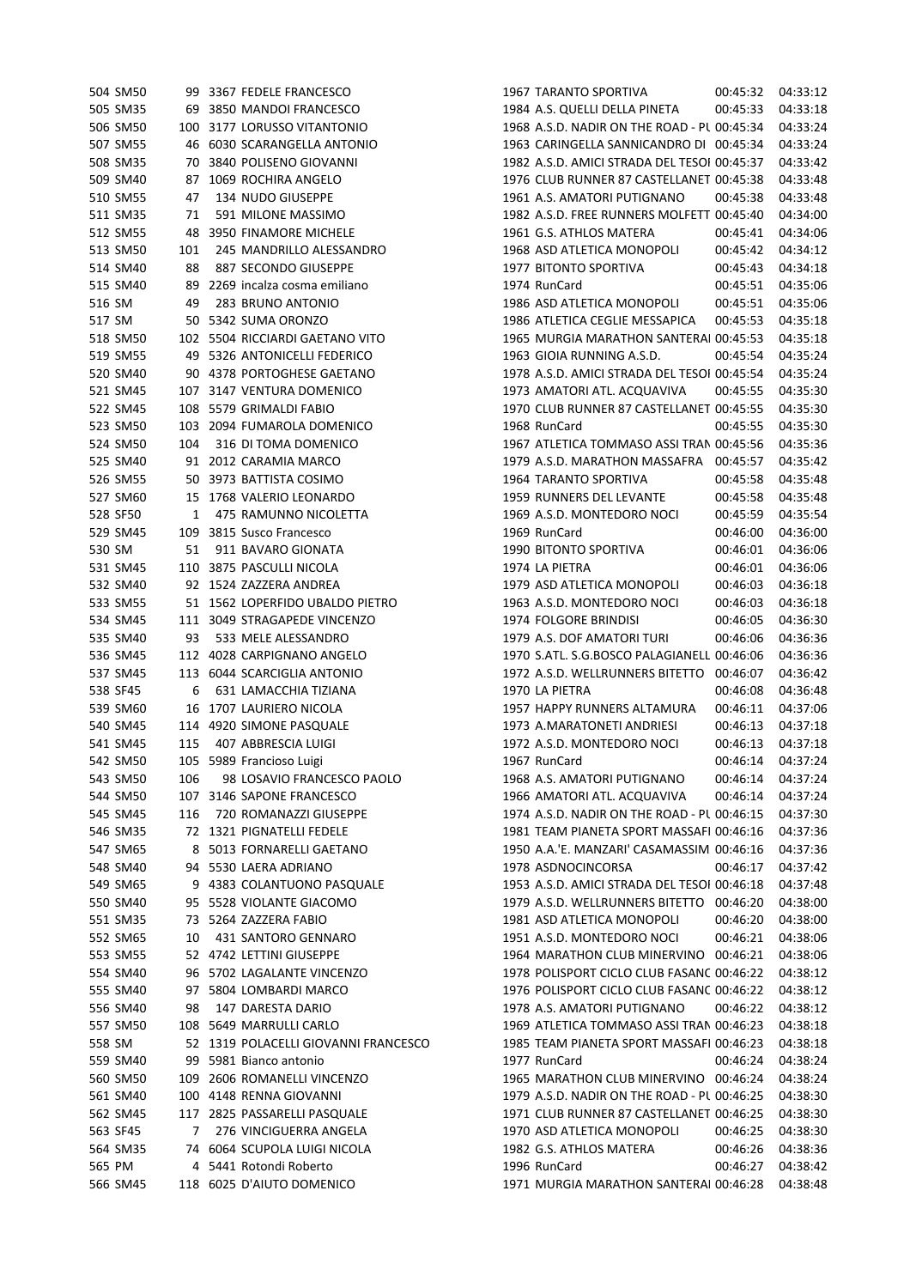|        | 504 SM50 |              | 99 3367 FEDELE FRANCESCO             | 1967 TARANTO SPORTIVA<br>00:45:32                                                       | 04:33:12 |
|--------|----------|--------------|--------------------------------------|-----------------------------------------------------------------------------------------|----------|
|        | 505 SM35 |              | 69 3850 MANDOI FRANCESCO             | 1984 A.S. QUELLI DELLA PINETA<br>00:45:33                                               | 04:33:18 |
|        | 506 SM50 |              | 100 3177 LORUSSO VITANTONIO          | 1968 A.S.D. NADIR ON THE ROAD - PL 00:45:34                                             | 04:33:24 |
|        | 507 SM55 |              | 46 6030 SCARANGELLA ANTONIO          | 1963 CARINGELLA SANNICANDRO DI 00:45:34                                                 | 04:33:24 |
|        | 508 SM35 |              | 70 3840 POLISENO GIOVANNI            | 1982 A.S.D. AMICI STRADA DEL TESOI 00:45:37                                             | 04:33:42 |
|        | 509 SM40 |              | 87 1069 ROCHIRA ANGELO               | 1976 CLUB RUNNER 87 CASTELLANET 00:45:38                                                | 04:33:48 |
|        | 510 SM55 | 47           | 134 NUDO GIUSEPPE                    | 1961 A.S. AMATORI PUTIGNANO<br>00:45:38                                                 | 04:33:48 |
|        | 511 SM35 | 71           | 591 MILONE MASSIMO                   | 1982 A.S.D. FREE RUNNERS MOLFETT 00:45:40                                               | 04:34:00 |
|        | 512 SM55 |              | 48 3950 FINAMORE MICHELE             | 1961 G.S. ATHLOS MATERA<br>00:45:41                                                     | 04:34:06 |
|        | 513 SM50 | 101          | 245 MANDRILLO ALESSANDRO             | 1968 ASD ATLETICA MONOPOLI<br>00:45:42                                                  | 04:34:12 |
|        | 514 SM40 | 88           | 887 SECONDO GIUSEPPE                 | 1977 BITONTO SPORTIVA<br>00:45:43                                                       | 04:34:18 |
|        | 515 SM40 |              | 89 2269 incalza cosma emiliano       | 1974 RunCard<br>00:45:51                                                                | 04:35:06 |
| 516 SM |          | 49           | 283 BRUNO ANTONIO                    | 1986 ASD ATLETICA MONOPOLI<br>00:45:51                                                  | 04:35:06 |
| 517 SM |          |              | 50 5342 SUMA ORONZO                  | 1986 ATLETICA CEGLIE MESSAPICA<br>00:45:53                                              | 04:35:18 |
|        | 518 SM50 |              | 102 5504 RICCIARDI GAETANO VITO      | 1965 MURGIA MARATHON SANTERAI 00:45:53                                                  | 04:35:18 |
|        | 519 SM55 |              | 49 5326 ANTONICELLI FEDERICO         | 1963 GIOIA RUNNING A.S.D.<br>00:45:54                                                   | 04:35:24 |
|        | 520 SM40 |              | 90 4378 PORTOGHESE GAETANO           | 1978 A.S.D. AMICI STRADA DEL TESOI 00:45:54                                             | 04:35:24 |
|        | 521 SM45 |              | 107 3147 VENTURA DOMENICO            | 1973 AMATORI ATL. ACQUAVIVA<br>00:45:55                                                 | 04:35:30 |
|        | 522 SM45 |              | 108 5579 GRIMALDI FABIO              | 1970 CLUB RUNNER 87 CASTELLANET 00:45:55                                                | 04:35:30 |
|        | 523 SM50 |              | 103 2094 FUMAROLA DOMENICO           | 1968 RunCard<br>00:45:55                                                                | 04:35:30 |
|        | 524 SM50 | 104          | 316 DI TOMA DOMENICO                 | 1967 ATLETICA TOMMASO ASSI TRAN 00:45:56                                                | 04:35:36 |
|        | 525 SM40 |              | 91 2012 CARAMIA MARCO                | 1979 A.S.D. MARATHON MASSAFRA 00:45:57                                                  | 04:35:42 |
|        | 526 SM55 |              | 50 3973 BATTISTA COSIMO              | 1964 TARANTO SPORTIVA<br>00:45:58                                                       | 04:35:48 |
|        | 527 SM60 |              | 15 1768 VALERIO LEONARDO             | 1959 RUNNERS DEL LEVANTE<br>00:45:58                                                    | 04:35:48 |
|        | 528 SF50 | $\mathbf{1}$ | 475 RAMUNNO NICOLETTA                | 1969 A.S.D. MONTEDORO NOCI<br>00:45:59                                                  | 04:35:54 |
|        | 529 SM45 |              | 109 3815 Susco Francesco             | 1969 RunCard<br>00:46:00                                                                | 04:36:00 |
| 530 SM |          | 51           | 911 BAVARO GIONATA                   | 1990 BITONTO SPORTIVA<br>00:46:01                                                       | 04:36:06 |
|        | 531 SM45 |              | 110 3875 PASCULLI NICOLA             | 1974 LA PIETRA<br>00:46:01                                                              | 04:36:06 |
|        | 532 SM40 |              | 92 1524 ZAZZERA ANDREA               | 1979 ASD ATLETICA MONOPOLI<br>00:46:03                                                  | 04:36:18 |
|        | 533 SM55 |              | 51 1562 LOPERFIDO UBALDO PIETRO      | 1963 A.S.D. MONTEDORO NOCI<br>00:46:03                                                  | 04:36:18 |
|        | 534 SM45 |              | 111 3049 STRAGAPEDE VINCENZO         | 1974 FOLGORE BRINDISI<br>00:46:05                                                       | 04:36:30 |
|        | 535 SM40 | 93           | 533 MELE ALESSANDRO                  | 1979 A.S. DOF AMATORI TURI<br>00:46:06                                                  | 04:36:36 |
|        | 536 SM45 |              | 112 4028 CARPIGNANO ANGELO           | 1970 S.ATL. S.G.BOSCO PALAGIANELL 00:46:06                                              | 04:36:36 |
|        | 537 SM45 |              | 113 6044 SCARCIGLIA ANTONIO          | 1972 A.S.D. WELLRUNNERS BITETTO<br>00:46:07                                             | 04:36:42 |
|        | 538 SF45 | 6            | 631 LAMACCHIA TIZIANA                | 1970 LA PIETRA<br>00:46:08                                                              | 04:36:48 |
|        | 539 SM60 |              | 16 1707 LAURIERO NICOLA              | 1957 HAPPY RUNNERS ALTAMURA<br>00:46:11                                                 | 04:37:06 |
|        | 540 SM45 |              | 114 4920 SIMONE PASQUALE             | 1973 A.MARATONETI ANDRIESI<br>00:46:13                                                  | 04:37:18 |
|        | 541 SM45 | 115          | 407 ABBRESCIA LUIGI                  | 1972 A.S.D. MONTEDORO NOCI<br>00:46:13                                                  | 04:37:18 |
|        | 542 SM50 |              | 105 5989 Francioso Luigi             | 1967 RunCard<br>00:46:14                                                                | 04:37:24 |
|        | 543 SM50 |              | 98 LOSAVIO FRANCESCO PAOLO           | 1968 A.S. AMATORI PUTIGNANO<br>00:46:14                                                 | 04:37:24 |
|        |          | 106          | 107 3146 SAPONE FRANCESCO            | 1966 AMATORI ATL. ACQUAVIVA                                                             | 04:37:24 |
|        | 544 SM50 |              |                                      | 00:46:14                                                                                |          |
|        | 545 SM45 | 116          | 720 ROMANAZZI GIUSEPPE               | 1974 A.S.D. NADIR ON THE ROAD - PL 00:46:15<br>1981 TEAM PIANETA SPORT MASSAFI 00:46:16 | 04:37:30 |
|        | 546 SM35 |              | 72 1321 PIGNATELLI FEDELE            |                                                                                         | 04:37:36 |
|        | 547 SM65 |              | 8 5013 FORNARELLI GAETANO            | 1950 A.A.'E. MANZARI' CASAMASSIM 00:46:16                                               | 04:37:36 |
|        | 548 SM40 |              | 94 5530 LAERA ADRIANO                | 1978 ASDNOCINCORSA<br>00:46:17                                                          | 04:37:42 |
|        | 549 SM65 |              | 9 4383 COLANTUONO PASQUALE           | 1953 A.S.D. AMICI STRADA DEL TESOI 00:46:18                                             | 04:37:48 |
|        | 550 SM40 |              | 95 5528 VIOLANTE GIACOMO             | 1979 A.S.D. WELLRUNNERS BITETTO 00:46:20                                                | 04:38:00 |
|        | 551 SM35 |              | 73 5264 ZAZZERA FABIO                | 1981 ASD ATLETICA MONOPOLI<br>00:46:20                                                  | 04:38:00 |
|        | 552 SM65 | 10           | 431 SANTORO GENNARO                  | 1951 A.S.D. MONTEDORO NOCI<br>00:46:21                                                  | 04:38:06 |
|        | 553 SM55 |              | 52 4742 LETTINI GIUSEPPE             | 1964 MARATHON CLUB MINERVINO 00:46:21                                                   | 04:38:06 |
|        | 554 SM40 |              | 96 5702 LAGALANTE VINCENZO           | 1978 POLISPORT CICLO CLUB FASANC 00:46:22                                               | 04:38:12 |
|        | 555 SM40 |              | 97 5804 LOMBARDI MARCO               | 1976 POLISPORT CICLO CLUB FASANC 00:46:22                                               | 04:38:12 |
|        | 556 SM40 | 98           | 147 DARESTA DARIO                    | 1978 A.S. AMATORI PUTIGNANO<br>00:46:22                                                 | 04:38:12 |
|        | 557 SM50 |              | 108 5649 MARRULLI CARLO              | 1969 ATLETICA TOMMASO ASSI TRAN 00:46:23                                                | 04:38:18 |
| 558 SM |          |              | 52 1319 POLACELLI GIOVANNI FRANCESCO | 1985 TEAM PIANETA SPORT MASSAFI 00:46:23                                                | 04:38:18 |
|        | 559 SM40 |              | 99 5981 Bianco antonio               | 1977 RunCard<br>00:46:24                                                                | 04:38:24 |
|        | 560 SM50 |              | 109 2606 ROMANELLI VINCENZO          | 1965 MARATHON CLUB MINERVINO 00:46:24                                                   | 04:38:24 |
|        | 561 SM40 |              | 100 4148 RENNA GIOVANNI              | 1979 A.S.D. NADIR ON THE ROAD - PL 00:46:25                                             | 04:38:30 |
|        | 562 SM45 |              | 117 2825 PASSARELLI PASQUALE         | 1971 CLUB RUNNER 87 CASTELLANET 00:46:25                                                | 04:38:30 |
|        | 563 SF45 | 7            | 276 VINCIGUERRA ANGELA               | 1970 ASD ATLETICA MONOPOLI<br>00:46:25                                                  | 04:38:30 |
|        | 564 SM35 |              | 74 6064 SCUPOLA LUIGI NICOLA         | 1982 G.S. ATHLOS MATERA<br>00:46:26                                                     | 04:38:36 |
| 565 PM |          |              | 4 5441 Rotondi Roberto               | 1996 RunCard<br>00:46:27                                                                | 04:38:42 |
|        | 566 SM45 |              | 118 6025 D'AIUTO DOMENICO            | 1971 MURGIA MARATHON SANTERAI 00:46:28                                                  | 04:38:48 |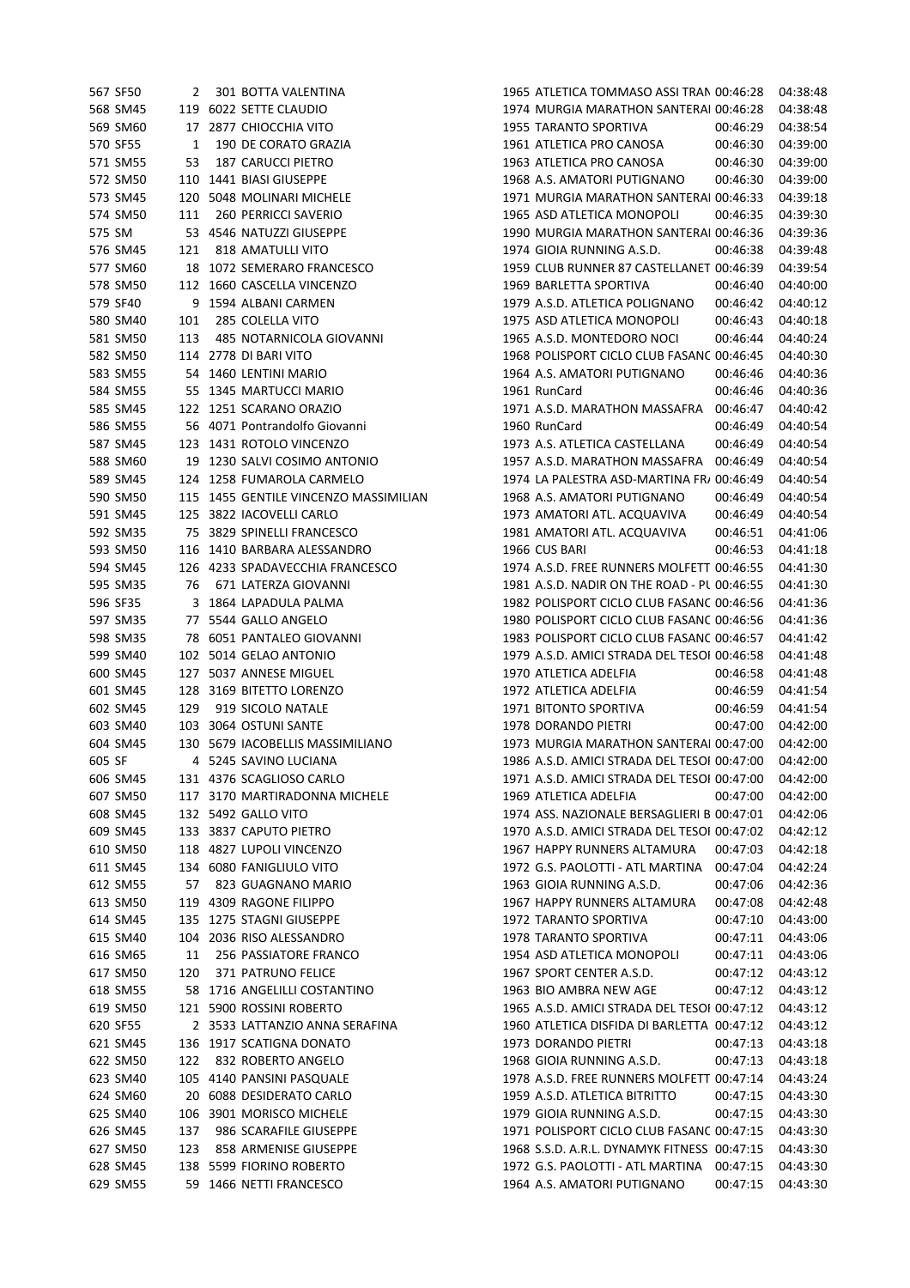|        | 567 SF50 | 2   | 301 BOTTA VALENTINA                   | 1965 ATLETICA TOMMASO ASSI TRAN 00:46:28     | 04:38:48 |
|--------|----------|-----|---------------------------------------|----------------------------------------------|----------|
|        | 568 SM45 |     | 119 6022 SETTE CLAUDIO                | 1974 MURGIA MARATHON SANTERAI 00:46:28       | 04:38:48 |
|        | 569 SM60 |     | 17 2877 CHIOCCHIA VITO                | <b>1955 TARANTO SPORTIVA</b><br>00:46:29     | 04:38:54 |
|        | 570 SF55 | 1   | 190 DE CORATO GRAZIA                  | 1961 ATLETICA PRO CANOSA<br>00:46:30         | 04:39:00 |
|        | 571 SM55 | 53  | <b>187 CARUCCI PIETRO</b>             | 1963 ATLETICA PRO CANOSA<br>00:46:30         | 04:39:00 |
|        | 572 SM50 |     | 110 1441 BIASI GIUSEPPE               | 1968 A.S. AMATORI PUTIGNANO<br>00:46:30      | 04:39:00 |
|        | 573 SM45 |     | 120 5048 MOLINARI MICHELE             | 1971 MURGIA MARATHON SANTERAI 00:46:33       | 04:39:18 |
|        | 574 SM50 | 111 | 260 PERRICCI SAVERIO                  | 1965 ASD ATLETICA MONOPOLI<br>00:46:35       | 04:39:30 |
| 575 SM |          |     | 53 4546 NATUZZI GIUSEPPE              | 1990 MURGIA MARATHON SANTERAI 00:46:36       | 04:39:36 |
|        | 576 SM45 | 121 | 818 AMATULLI VITO                     | 1974 GIOIA RUNNING A.S.D.<br>00:46:38        | 04:39:48 |
|        | 577 SM60 |     | 18 1072 SEMERARO FRANCESCO            | 1959 CLUB RUNNER 87 CASTELLANET 00:46:39     | 04:39:54 |
|        | 578 SM50 |     | 112 1660 CASCELLA VINCENZO            | 1969 BARLETTA SPORTIVA<br>00:46:40           | 04:40:00 |
|        | 579 SF40 |     | 9 1594 ALBANI CARMEN                  | 1979 A.S.D. ATLETICA POLIGNANO<br>00:46:42   | 04:40:12 |
|        | 580 SM40 | 101 | 285 COLELLA VITO                      | 00:46:43<br>1975 ASD ATLETICA MONOPOLI       | 04:40:18 |
|        | 581 SM50 | 113 | 485 NOTARNICOLA GIOVANNI              | 1965 A.S.D. MONTEDORO NOCI<br>00:46:44       | 04:40:24 |
|        | 582 SM50 |     | 114 2778 DI BARI VITO                 | 1968 POLISPORT CICLO CLUB FASANC 00:46:45    | 04:40:30 |
|        | 583 SM55 |     | 54 1460 LENTINI MARIO                 | 1964 A.S. AMATORI PUTIGNANO<br>00:46:46      | 04:40:36 |
|        | 584 SM55 |     | 55 1345 MARTUCCI MARIO                | 1961 RunCard<br>00:46:46                     | 04:40:36 |
|        | 585 SM45 |     | 122 1251 SCARANO ORAZIO               | 1971 A.S.D. MARATHON MASSAFRA<br>00:46:47    | 04:40:42 |
|        | 586 SM55 |     | 56 4071 Pontrandolfo Giovanni         | 00:46:49<br>1960 RunCard                     | 04:40:54 |
|        | 587 SM45 |     | 123 1431 ROTOLO VINCENZO              | 00:46:49<br>1973 A.S. ATLETICA CASTELLANA    | 04:40:54 |
|        | 588 SM60 |     | 19 1230 SALVI COSIMO ANTONIO          | 1957 A.S.D. MARATHON MASSAFRA<br>00:46:49    | 04:40:54 |
|        |          |     |                                       |                                              |          |
|        | 589 SM45 |     | 124 1258 FUMAROLA CARMELO             | 1974 LA PALESTRA ASD-MARTINA FRJ 00:46:49    | 04:40:54 |
|        | 590 SM50 |     | 115 1455 GENTILE VINCENZO MASSIMILIAN | 1968 A.S. AMATORI PUTIGNANO<br>00:46:49      | 04:40:54 |
|        | 591 SM45 |     | 125 3822 IACOVELLI CARLO              | 1973 AMATORI ATL. ACQUAVIVA<br>00:46:49      | 04:40:54 |
|        | 592 SM35 |     | 75 3829 SPINELLI FRANCESCO            | 1981 AMATORI ATL. ACQUAVIVA<br>00:46:51      | 04:41:06 |
|        | 593 SM50 |     | 116 1410 BARBARA ALESSANDRO           | 1966 CUS BARI<br>00:46:53                    | 04:41:18 |
|        | 594 SM45 |     | 126 4233 SPADAVECCHIA FRANCESCO       | 1974 A.S.D. FREE RUNNERS MOLFETT 00:46:55    | 04:41:30 |
|        | 595 SM35 | 76  | 671 LATERZA GIOVANNI                  | 1981 A.S.D. NADIR ON THE ROAD - PL 00:46:55  | 04:41:30 |
|        | 596 SF35 |     | 3 1864 LAPADULA PALMA                 | 1982 POLISPORT CICLO CLUB FASANC 00:46:56    | 04:41:36 |
|        | 597 SM35 |     | 77 5544 GALLO ANGELO                  | 1980 POLISPORT CICLO CLUB FASANC 00:46:56    | 04:41:36 |
|        | 598 SM35 |     | 78 6051 PANTALEO GIOVANNI             | 1983 POLISPORT CICLO CLUB FASANC 00:46:57    | 04:41:42 |
|        | 599 SM40 |     | 102 5014 GELAO ANTONIO                | 1979 A.S.D. AMICI STRADA DEL TESOI 00:46:58  | 04:41:48 |
|        | 600 SM45 |     | 127 5037 ANNESE MIGUEL                | 1970 ATLETICA ADELFIA<br>00:46:58            | 04:41:48 |
|        | 601 SM45 |     | 128 3169 BITETTO LORENZO              | 1972 ATLETICA ADELFIA<br>00:46:59            | 04:41:54 |
|        | 602 SM45 | 129 | 919 SICOLO NATALE                     | 1971 BITONTO SPORTIVA<br>00:46:59            | 04:41:54 |
|        | 603 SM40 |     | 103 3064 OSTUNI SANTE                 | 1978 DORANDO PIETRI<br>00:47:00              | 04:42:00 |
|        | 604 SM45 |     | 130 5679 IACOBELLIS MASSIMILIANO      | 1973 MURGIA MARATHON SANTERAI 00:47:00       | 04:42:00 |
| 605 SF |          |     | 4 5245 SAVINO LUCIANA                 | 1986 A.S.D. AMICI STRADA DEL TESOI 00:47:00  | 04:42:00 |
|        | 606 SM45 |     | 131 4376 SCAGLIOSO CARLO              | 1971 A.S.D. AMICI STRADA DEL TESOI 00:47:00  | 04:42:00 |
|        | 607 SM50 |     | 117 3170 MARTIRADONNA MICHELE         | 1969 ATLETICA ADELFIA<br>00:47:00            | 04:42:00 |
|        | 608 SM45 |     | 132 5492 GALLO VITO                   | 1974 ASS. NAZIONALE BERSAGLIERI B 00:47:01   | 04:42:06 |
|        | 609 SM45 |     | 133 3837 CAPUTO PIETRO                | 1970 A.S.D. AMICI STRADA DEL TESOI 00:47:02  | 04:42:12 |
|        | 610 SM50 |     | 118 4827 LUPOLI VINCENZO              | 1967 HAPPY RUNNERS ALTAMURA<br>00:47:03      | 04:42:18 |
|        | 611 SM45 |     | 134 6080 FANIGLIULO VITO              | 1972 G.S. PAOLOTTI - ATL MARTINA<br>00:47:04 | 04:42:24 |
|        | 612 SM55 | 57  | 823 GUAGNANO MARIO                    | 1963 GIOIA RUNNING A.S.D.<br>00:47:06        | 04:42:36 |
|        | 613 SM50 |     | 119 4309 RAGONE FILIPPO               | 00:47:08<br>1967 HAPPY RUNNERS ALTAMURA      | 04:42:48 |
|        | 614 SM45 |     | 135 1275 STAGNI GIUSEPPE              | 1972 TARANTO SPORTIVA<br>00:47:10            | 04:43:00 |
|        | 615 SM40 |     | 104 2036 RISO ALESSANDRO              |                                              |          |
|        |          |     |                                       | 1978 TARANTO SPORTIVA<br>00:47:11            | 04:43:06 |
|        | 616 SM65 | 11  | 256 PASSIATORE FRANCO                 | 1954 ASD ATLETICA MONOPOLI<br>00:47:11       | 04:43:06 |
|        | 617 SM50 | 120 | 371 PATRUNO FELICE                    | 1967 SPORT CENTER A.S.D.<br>00:47:12         | 04:43:12 |
|        | 618 SM55 |     | 58 1716 ANGELILLI COSTANTINO          | 1963 BIO AMBRA NEW AGE<br>00:47:12           | 04:43:12 |
|        | 619 SM50 |     | 121 5900 ROSSINI ROBERTO              | 1965 A.S.D. AMICI STRADA DEL TESOI 00:47:12  | 04:43:12 |
|        | 620 SF55 |     | 2 3533 LATTANZIO ANNA SERAFINA        | 1960 ATLETICA DISFIDA DI BARLETTA 00:47:12   | 04:43:12 |
|        | 621 SM45 |     | 136 1917 SCATIGNA DONATO              | 1973 DORANDO PIETRI<br>00:47:13              | 04:43:18 |
|        | 622 SM50 | 122 | 832 ROBERTO ANGELO                    | 1968 GIOIA RUNNING A.S.D.<br>00:47:13        | 04:43:18 |
|        | 623 SM40 |     | 105 4140 PANSINI PASQUALE             | 1978 A.S.D. FREE RUNNERS MOLFETT 00:47:14    | 04:43:24 |
|        | 624 SM60 |     | 20 6088 DESIDERATO CARLO              | 1959 A.S.D. ATLETICA BITRITTO<br>00:47:15    | 04:43:30 |
|        | 625 SM40 |     | 106 3901 MORISCO MICHELE              | 1979 GIOIA RUNNING A.S.D.<br>00:47:15        | 04:43:30 |
|        | 626 SM45 | 137 | 986 SCARAFILE GIUSEPPE                | 1971 POLISPORT CICLO CLUB FASANC 00:47:15    | 04:43:30 |
|        | 627 SM50 | 123 | 858 ARMENISE GIUSEPPE                 | 1968 S.S.D. A.R.L. DYNAMYK FITNESS 00:47:15  | 04:43:30 |
|        | 628 SM45 |     | 138 5599 FIORINO ROBERTO              | 1972 G.S. PAOLOTTI - ATL MARTINA<br>00:47:15 | 04:43:30 |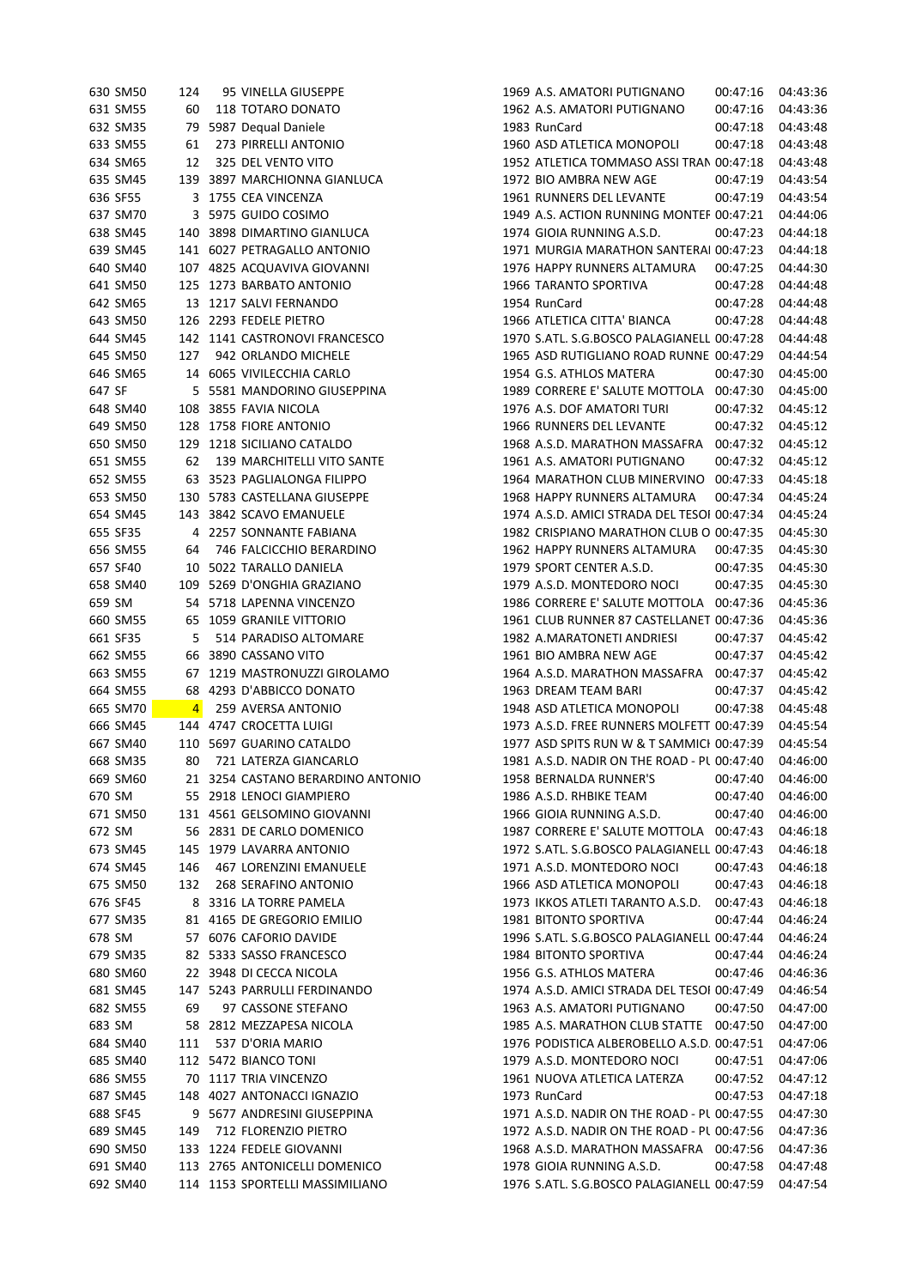|        | 630 SM50 | 124            | 95 VINELLA GIUSEPPE               | 1969 A.S. AMATORI PUTIGNANO                 | 00:47:16 | 04:43:36 |
|--------|----------|----------------|-----------------------------------|---------------------------------------------|----------|----------|
|        | 631 SM55 | 60             | 118 TOTARO DONATO                 | 1962 A.S. AMATORI PUTIGNANO                 | 00:47:16 | 04:43:36 |
|        | 632 SM35 |                | 79 5987 Dequal Daniele            | 1983 RunCard                                | 00:47:18 | 04:43:48 |
|        | 633 SM55 | 61             | 273 PIRRELLI ANTONIO              | 1960 ASD ATLETICA MONOPOLI                  | 00:47:18 | 04:43:48 |
|        | 634 SM65 | 12             | 325 DEL VENTO VITO                | 1952 ATLETICA TOMMASO ASSI TRAN 00:47:18    |          | 04:43:48 |
|        | 635 SM45 |                | 139 3897 MARCHIONNA GIANLUCA      | 1972 BIO AMBRA NEW AGE                      | 00:47:19 | 04:43:54 |
|        | 636 SF55 |                | 3 1755 CEA VINCENZA               | 1961 RUNNERS DEL LEVANTE                    | 00:47:19 | 04:43:54 |
|        | 637 SM70 |                | 3 5975 GUIDO COSIMO               | 1949 A.S. ACTION RUNNING MONTEF 00:47:21    |          | 04:44:06 |
|        | 638 SM45 |                | 140 3898 DIMARTINO GIANLUCA       | 1974 GIOIA RUNNING A.S.D.                   | 00:47:23 | 04:44:18 |
|        | 639 SM45 |                | 141 6027 PETRAGALLO ANTONIO       | 1971 MURGIA MARATHON SANTERAI 00:47:23      |          | 04:44:18 |
|        | 640 SM40 |                | 107 4825 ACQUAVIVA GIOVANNI       | 1976 HAPPY RUNNERS ALTAMURA                 | 00:47:25 | 04:44:30 |
|        | 641 SM50 |                | 125 1273 BARBATO ANTONIO          | 1966 TARANTO SPORTIVA                       | 00:47:28 | 04:44:48 |
|        | 642 SM65 |                | 13 1217 SALVI FERNANDO            | 1954 RunCard                                | 00:47:28 | 04:44:48 |
|        | 643 SM50 |                | 126 2293 FEDELE PIETRO            | 1966 ATLETICA CITTA' BIANCA                 | 00:47:28 | 04:44:48 |
|        | 644 SM45 |                | 142 1141 CASTRONOVI FRANCESCO     | 1970 S.ATL. S.G.BOSCO PALAGIANELL 00:47:28  |          | 04:44:48 |
|        | 645 SM50 | 127            | 942 ORLANDO MICHELE               | 1965 ASD RUTIGLIANO ROAD RUNNE 00:47:29     |          | 04:44:54 |
|        | 646 SM65 |                | 14 6065 VIVILECCHIA CARLO         | 1954 G.S. ATHLOS MATERA                     | 00:47:30 | 04:45:00 |
| 647 SF |          |                | 5 5581 MANDORINO GIUSEPPINA       | 1989 CORRERE E' SALUTE MOTTOLA 00:47:30     |          | 04:45:00 |
|        | 648 SM40 |                | 108 3855 FAVIA NICOLA             | 1976 A.S. DOF AMATORI TURI                  | 00:47:32 | 04:45:12 |
|        | 649 SM50 |                | 128 1758 FIORE ANTONIO            | 1966 RUNNERS DEL LEVANTE                    | 00:47:32 | 04:45:12 |
|        | 650 SM50 |                | 129 1218 SICILIANO CATALDO        | 1968 A.S.D. MARATHON MASSAFRA 00:47:32      |          | 04:45:12 |
|        | 651 SM55 |                |                                   |                                             |          | 04:45:12 |
|        |          | 62             | 139 MARCHITELLI VITO SANTE        | 1961 A.S. AMATORI PUTIGNANO                 | 00:47:32 |          |
|        | 652 SM55 |                | 63 3523 PAGLIALONGA FILIPPO       | 1964 MARATHON CLUB MINERVINO 00:47:33       |          | 04:45:18 |
|        | 653 SM50 |                | 130 5783 CASTELLANA GIUSEPPE      | 1968 HAPPY RUNNERS ALTAMURA                 | 00:47:34 | 04:45:24 |
|        | 654 SM45 |                | 143 3842 SCAVO EMANUELE           | 1974 A.S.D. AMICI STRADA DEL TESOI 00:47:34 |          | 04:45:24 |
|        | 655 SF35 |                | 4 2257 SONNANTE FABIANA           | 1982 CRISPIANO MARATHON CLUB O 00:47:35     |          | 04:45:30 |
|        | 656 SM55 | 64             | 746 FALCICCHIO BERARDINO          | 1962 HAPPY RUNNERS ALTAMURA                 | 00:47:35 | 04:45:30 |
|        | 657 SF40 |                | 10 5022 TARALLO DANIELA           | 1979 SPORT CENTER A.S.D.                    | 00:47:35 | 04:45:30 |
|        | 658 SM40 |                | 109 5269 D'ONGHIA GRAZIANO        | 1979 A.S.D. MONTEDORO NOCI                  | 00:47:35 | 04:45:30 |
| 659 SM |          |                | 54 5718 LAPENNA VINCENZO          | 1986 CORRERE E' SALUTE MOTTOLA 00:47:36     |          | 04:45:36 |
|        | 660 SM55 |                | 65 1059 GRANILE VITTORIO          | 1961 CLUB RUNNER 87 CASTELLANET 00:47:36    |          | 04:45:36 |
|        | 661 SF35 | 5              | 514 PARADISO ALTOMARE             | 1982 A.MARATONETI ANDRIESI                  | 00:47:37 | 04:45:42 |
|        | 662 SM55 |                | 66 3890 CASSANO VITO              | 1961 BIO AMBRA NEW AGE                      | 00:47:37 | 04:45:42 |
|        | 663 SM55 |                | 67 1219 MASTRONUZZI GIROLAMO      | 1964 A.S.D. MARATHON MASSAFRA 00:47:37      |          | 04:45:42 |
|        | 664 SM55 |                | 68 4293 D'ABBICCO DONATO          | 1963 DREAM TEAM BARI                        | 00:47:37 | 04:45:42 |
|        | 665 SM70 | $\overline{4}$ | 259 AVERSA ANTONIO                | 1948 ASD ATLETICA MONOPOLI                  | 00:47:38 | 04:45:48 |
|        | 666 SM45 |                | 144 4747 CROCETTA LUIGI           | 1973 A.S.D. FREE RUNNERS MOLFETT 00:47:39   |          | 04:45:54 |
|        | 667 SM40 |                | 110 5697 GUARINO CATALDO          | 1977 ASD SPITS RUN W & T SAMMICI 00:47:39   |          | 04:45:54 |
|        | 668 SM35 | 80             | 721 LATERZA GIANCARLO             | 1981 A.S.D. NADIR ON THE ROAD - PL 00:47:40 |          | 04:46:00 |
|        | 669 SM60 |                | 21 3254 CASTANO BERARDINO ANTONIO | 1958 BERNALDA RUNNER'S                      | 00:47:40 | 04:46:00 |
| 670 SM |          |                | 55 2918 LENOCI GIAMPIERO          | 1986 A.S.D. RHBIKE TEAM                     | 00:47:40 | 04:46:00 |
|        | 671 SM50 |                | 131 4561 GELSOMINO GIOVANNI       | 1966 GIOIA RUNNING A.S.D.                   | 00:47:40 | 04:46:00 |
| 672 SM |          |                | 56 2831 DE CARLO DOMENICO         | 1987 CORRERE E' SALUTE MOTTOLA 00:47:43     |          | 04:46:18 |
|        | 673 SM45 |                | 145 1979 LAVARRA ANTONIO          | 1972 S.ATL. S.G.BOSCO PALAGIANELL 00:47:43  |          | 04:46:18 |
|        | 674 SM45 | 146            | 467 LORENZINI EMANUELE            | 1971 A.S.D. MONTEDORO NOCI                  | 00:47:43 | 04:46:18 |
|        | 675 SM50 | 132            | 268 SERAFINO ANTONIO              | 1966 ASD ATLETICA MONOPOLI                  | 00:47:43 | 04:46:18 |
|        | 676 SF45 |                | 8 3316 LA TORRE PAMELA            | 1973 IKKOS ATLETI TARANTO A.S.D.            | 00:47:43 | 04:46:18 |
|        | 677 SM35 |                | 81 4165 DE GREGORIO EMILIO        | 1981 BITONTO SPORTIVA                       | 00:47:44 | 04:46:24 |
| 678 SM |          |                | 57 6076 CAFORIO DAVIDE            | 1996 S.ATL. S.G.BOSCO PALAGIANELL 00:47:44  |          | 04:46:24 |
|        | 679 SM35 |                | 82 5333 SASSO FRANCESCO           | 1984 BITONTO SPORTIVA                       | 00:47:44 | 04:46:24 |
|        | 680 SM60 |                | 22 3948 DI CECCA NICOLA           | 1956 G.S. ATHLOS MATERA                     | 00:47:46 | 04:46:36 |
|        | 681 SM45 |                | 147 5243 PARRULLI FERDINANDO      | 1974 A.S.D. AMICI STRADA DEL TESOI 00:47:49 |          | 04:46:54 |
|        | 682 SM55 | 69             | 97 CASSONE STEFANO                | 1963 A.S. AMATORI PUTIGNANO                 | 00:47:50 | 04:47:00 |
| 683 SM |          |                | 58 2812 MEZZAPESA NICOLA          | 1985 A.S. MARATHON CLUB STATTE 00:47:50     |          | 04:47:00 |
|        | 684 SM40 | 111            | 537 D'ORIA MARIO                  | 1976 PODISTICA ALBEROBELLO A.S.D. 00:47:51  |          | 04:47:06 |
|        | 685 SM40 |                | 112 5472 BIANCO TONI              | 1979 A.S.D. MONTEDORO NOCI                  | 00:47:51 | 04:47:06 |
|        | 686 SM55 |                | 70 1117 TRIA VINCENZO             | 1961 NUOVA ATLETICA LATERZA                 | 00:47:52 | 04:47:12 |
|        | 687 SM45 |                | 148 4027 ANTONACCI IGNAZIO        | 1973 RunCard                                | 00:47:53 | 04:47:18 |
|        | 688 SF45 |                | 9 5677 ANDRESINI GIUSEPPINA       | 1971 A.S.D. NADIR ON THE ROAD - PL 00:47:55 |          | 04:47:30 |
|        | 689 SM45 | 149            | 712 FLORENZIO PIETRO              | 1972 A.S.D. NADIR ON THE ROAD - PL 00:47:56 |          | 04:47:36 |
|        | 690 SM50 |                | 133 1224 FEDELE GIOVANNI          | 1968 A.S.D. MARATHON MASSAFRA 00:47:56      |          | 04:47:36 |
|        | 691 SM40 |                | 113 2765 ANTONICELLI DOMENICO     | 1978 GIOIA RUNNING A.S.D.                   | 00:47:58 | 04:47:48 |
|        | 692 SM40 |                | 114 1153 SPORTELLI MASSIMILIANO   | 1976 S.ATL. S.G.BOSCO PALAGIANELL 00:47:59  |          | 04:47:54 |
|        |          |                |                                   |                                             |          |          |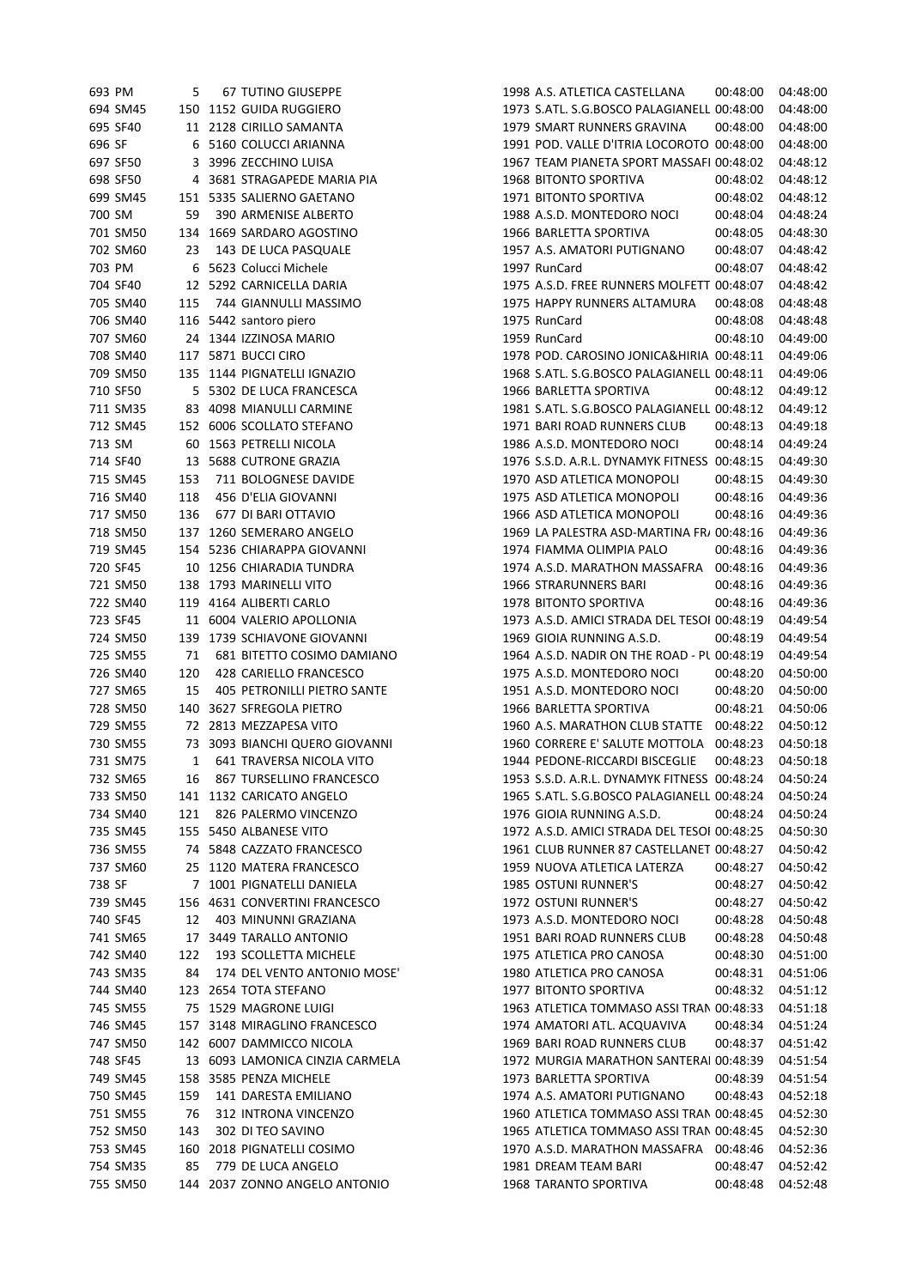| 693 PM               | 5         | <b>67 TUTINO GIUSEPPE</b>                 | 1998 A.S. ATLETICA CASTELLANA                                                        | 00:48:00 | 04:48:00             |
|----------------------|-----------|-------------------------------------------|--------------------------------------------------------------------------------------|----------|----------------------|
| 694 SM45             |           | 150 1152 GUIDA RUGGIERO                   | 1973 S.ATL. S.G.BOSCO PALAGIANELL 00:48:00                                           |          | 04:48:00             |
| 695 SF40             |           | 11 2128 CIRILLO SAMANTA                   | 1979 SMART RUNNERS GRAVINA                                                           | 00:48:00 | 04:48:00             |
| 696 SF               |           | 6 5160 COLUCCI ARIANNA                    | 1991 POD. VALLE D'ITRIA LOCOROTO 00:48:00                                            |          | 04:48:00             |
| 697 SF50             |           | 3 3996 ZECCHINO LUISA                     | 1967 TEAM PIANETA SPORT MASSAFI 00:48:02                                             |          | 04:48:12             |
| 698 SF50             |           | 4 3681 STRAGAPEDE MARIA PIA               | 1968 BITONTO SPORTIVA                                                                | 00:48:02 | 04:48:12             |
| 699 SM45             |           | 151 5335 SALIERNO GAETANO                 | 1971 BITONTO SPORTIVA                                                                | 00:48:02 | 04:48:12             |
| 700 SM               | 59        | 390 ARMENISE ALBERTO                      | 1988 A.S.D. MONTEDORO NOCI                                                           | 00:48:04 | 04:48:24             |
| 701 SM50             |           | 134 1669 SARDARO AGOSTINO                 | 1966 BARLETTA SPORTIVA                                                               | 00:48:05 | 04:48:30             |
| 702 SM60             | 23        | 143 DE LUCA PASQUALE                      | 1957 A.S. AMATORI PUTIGNANO                                                          | 00:48:07 | 04:48:42             |
| 703 PM               |           | 6 5623 Colucci Michele                    | 1997 RunCard                                                                         | 00:48:07 | 04:48:42             |
| 704 SF40             |           | 12 5292 CARNICELLA DARIA                  | 1975 A.S.D. FREE RUNNERS MOLFETT 00:48:07                                            |          | 04:48:42             |
| 705 SM40             | 115       | 744 GIANNULLI MASSIMO                     | 1975 HAPPY RUNNERS ALTAMURA                                                          | 00:48:08 | 04:48:48             |
| 706 SM40             |           | 116 5442 santoro piero                    | 1975 RunCard                                                                         | 00:48:08 | 04:48:48             |
| 707 SM60             |           | 24 1344 IZZINOSA MARIO                    | 1959 RunCard                                                                         | 00:48:10 | 04:49:00             |
| 708 SM40             |           | 117 5871 BUCCI CIRO                       | 1978 POD. CAROSINO JONICA&HIRIA 00:48:11                                             |          | 04:49:06             |
| 709 SM50             |           | 135 1144 PIGNATELLI IGNAZIO               | 1968 S.ATL. S.G.BOSCO PALAGIANELL 00:48:11                                           |          | 04:49:06             |
| 710 SF50             |           | 5 5302 DE LUCA FRANCESCA                  | 1966 BARLETTA SPORTIVA                                                               | 00:48:12 | 04:49:12             |
| 711 SM35             |           | 83 4098 MIANULLI CARMINE                  | 1981 S.ATL. S.G.BOSCO PALAGIANELL 00:48:12                                           |          | 04:49:12             |
| 712 SM45             |           | 152 6006 SCOLLATO STEFANO                 | 1971 BARI ROAD RUNNERS CLUB                                                          | 00:48:13 | 04:49:18             |
| 713 SM               |           | 60 1563 PETRELLI NICOLA                   | 1986 A.S.D. MONTEDORO NOCI                                                           | 00:48:14 | 04:49:24             |
| 714 SF40             |           | 13 5688 CUTRONE GRAZIA                    | 1976 S.S.D. A.R.L. DYNAMYK FITNESS 00:48:15                                          |          | 04:49:30             |
| 715 SM45             | 153       | 711 BOLOGNESE DAVIDE                      | 1970 ASD ATLETICA MONOPOLI                                                           | 00:48:15 | 04:49:30             |
| 716 SM40             | 118       | 456 D'ELIA GIOVANNI                       | 1975 ASD ATLETICA MONOPOLI                                                           | 00:48:16 | 04:49:36             |
| 717 SM50             | 136       | 677 DI BARI OTTAVIO                       | 1966 ASD ATLETICA MONOPOLI                                                           | 00:48:16 | 04:49:36             |
| 718 SM50             |           | 137 1260 SEMERARO ANGELO                  | 1969 LA PALESTRA ASD-MARTINA FRJ 00:48:16                                            |          | 04:49:36             |
| 719 SM45             |           | 154 5236 CHIARAPPA GIOVANNI               | 1974 FIAMMA OLIMPIA PALO                                                             | 00:48:16 | 04:49:36             |
| 720 SF45             |           | 10 1256 CHIARADIA TUNDRA                  | 1974 A.S.D. MARATHON MASSAFRA                                                        | 00:48:16 | 04:49:36             |
| 721 SM50             |           | 138 1793 MARINELLI VITO                   | 1966 STRARUNNERS BARI                                                                | 00:48:16 | 04:49:36             |
| 722 SM40             |           | 119 4164 ALIBERTI CARLO                   | 1978 BITONTO SPORTIVA                                                                | 00:48:16 | 04:49:36             |
| 723 SF45             |           | 11 6004 VALERIO APOLLONIA                 | 1973 A.S.D. AMICI STRADA DEL TESOI 00:48:19                                          |          | 04:49:54             |
| 724 SM50             |           | 139 1739 SCHIAVONE GIOVANNI               | 1969 GIOIA RUNNING A.S.D.                                                            | 00:48:19 | 04:49:54             |
| 725 SM55             | 71        | 681 BITETTO COSIMO DAMIANO                | 1964 A.S.D. NADIR ON THE ROAD - PL 00:48:19                                          |          | 04:49:54             |
| 726 SM40             | 120       | 428 CARIELLO FRANCESCO                    | 1975 A.S.D. MONTEDORO NOCI                                                           | 00:48:20 | 04:50:00             |
| 727 SM65             | 15        | 405 PETRONILLI PIETRO SANTE               | 1951 A.S.D. MONTEDORO NOCI                                                           | 00:48:20 | 04:50:00             |
| 728 SM50             |           | 140 3627 SFREGOLA PIETRO                  | 1966 BARLETTA SPORTIVA                                                               | 00:48:21 | 04:50:06             |
| 729 SM55             |           | 72 2813 MEZZAPESA VITO                    | 1960 A.S. MARATHON CLUB STATTE 00:48:22                                              |          | 04:50:12             |
| 730 SM55             |           | 73 3093 BIANCHI QUERO GIOVANNI            | 1960 CORRERE E' SALUTE MOTTOLA 00:48:23                                              |          | 04:50:18             |
| 731 SM75             | $1 \quad$ | 641 TRAVERSA NICOLA VITO                  | 1944 PEDONE-RICCARDI BISCEGLIE                                                       | 00:48:23 | 04:50:18             |
| 732 SM65             | 16        | 867 TURSELLINO FRANCESCO                  | 1953 S.S.D. A.R.L. DYNAMYK FITNESS 00:48:24                                          |          | 04:50:24             |
| 733 SM50             |           | 141 1132 CARICATO ANGELO                  | 1965 S.ATL. S.G.BOSCO PALAGIANELL 00:48:24                                           |          | 04:50:24             |
| 734 SM40             | 121       | 826 PALERMO VINCENZO                      | 1976 GIOIA RUNNING A.S.D.                                                            | 00:48:24 | 04:50:24             |
| 735 SM45             |           | 155 5450 ALBANESE VITO                    | 1972 A.S.D. AMICI STRADA DEL TESOI 00:48:25                                          |          | 04:50:30             |
| 736 SM55             |           | 74 5848 CAZZATO FRANCESCO                 | 1961 CLUB RUNNER 87 CASTELLANET 00:48:27                                             |          | 04:50:42             |
| 737 SM60             |           | 25 1120 MATERA FRANCESCO                  | 1959 NUOVA ATLETICA LATERZA                                                          | 00:48:27 | 04:50:42             |
| 738 SF               |           | 7 1001 PIGNATELLI DANIELA                 | 1985 OSTUNI RUNNER'S                                                                 | 00:48:27 | 04:50:42             |
| 739 SM45             |           | 156 4631 CONVERTINI FRANCESCO             | 1972 OSTUNI RUNNER'S                                                                 | 00:48:27 | 04:50:42             |
| 740 SF45             | 12        | 403 MINUNNI GRAZIANA                      | 1973 A.S.D. MONTEDORO NOCI                                                           | 00:48:28 | 04:50:48             |
| 741 SM65             |           | 17 3449 TARALLO ANTONIO                   | 1951 BARI ROAD RUNNERS CLUB                                                          | 00:48:28 | 04:50:48             |
| 742 SM40             | 122       | 193 SCOLLETTA MICHELE                     | 1975 ATLETICA PRO CANOSA                                                             | 00:48:30 | 04:51:00             |
| 743 SM35             | 84        | 174 DEL VENTO ANTONIO MOSE'               | 1980 ATLETICA PRO CANOSA                                                             | 00:48:31 | 04:51:06             |
| 744 SM40             |           | 123 2654 TOTA STEFANO                     | 1977 BITONTO SPORTIVA                                                                | 00:48:32 | 04:51:12             |
| 745 SM55             |           | 75 1529 MAGRONE LUIGI                     | 1963 ATLETICA TOMMASO ASSI TRAN 00:48:33                                             |          | 04:51:18             |
| 746 SM45             |           | 157 3148 MIRAGLINO FRANCESCO              | 1974 AMATORI ATL. ACQUAVIVA                                                          | 00:48:34 | 04:51:24             |
| 747 SM50             |           | 142 6007 DAMMICCO NICOLA                  | 1969 BARI ROAD RUNNERS CLUB                                                          | 00:48:37 | 04:51:42             |
| 748 SF45             |           | 13 6093 LAMONICA CINZIA CARMELA           | 1972 MURGIA MARATHON SANTERAI 00:48:39                                               |          | 04:51:54             |
|                      |           | 158 3585 PENZA MICHELE                    | 1973 BARLETTA SPORTIVA                                                               | 00:48:39 | 04:51:54             |
| 749 SM45<br>750 SM45 | 159       | 141 DARESTA EMILIANO                      | 1974 A.S. AMATORI PUTIGNANO                                                          | 00:48:43 | 04:52:18             |
|                      |           |                                           |                                                                                      |          |                      |
| 751 SM55<br>752 SM50 | 76<br>143 | 312 INTRONA VINCENZO<br>302 DI TEO SAVINO | 1960 ATLETICA TOMMASO ASSI TRAN 00:48:45<br>1965 ATLETICA TOMMASO ASSI TRAN 00:48:45 |          | 04:52:30<br>04:52:30 |
|                      |           |                                           |                                                                                      |          |                      |
| 753 SM45             |           | 160 2018 PIGNATELLI COSIMO                | 1970 A.S.D. MARATHON MASSAFRA 00:48:46                                               |          | 04:52:36             |
| 754 SM35             | 85        | 779 DE LUCA ANGELO                        | 1981 DREAM TEAM BARI                                                                 | 00:48:47 | 04:52:42             |
| 755 SM50             |           | 144 2037 ZONNO ANGELO ANTONIO             | 1968 TARANTO SPORTIVA                                                                | 00:48:48 | 04:52:48             |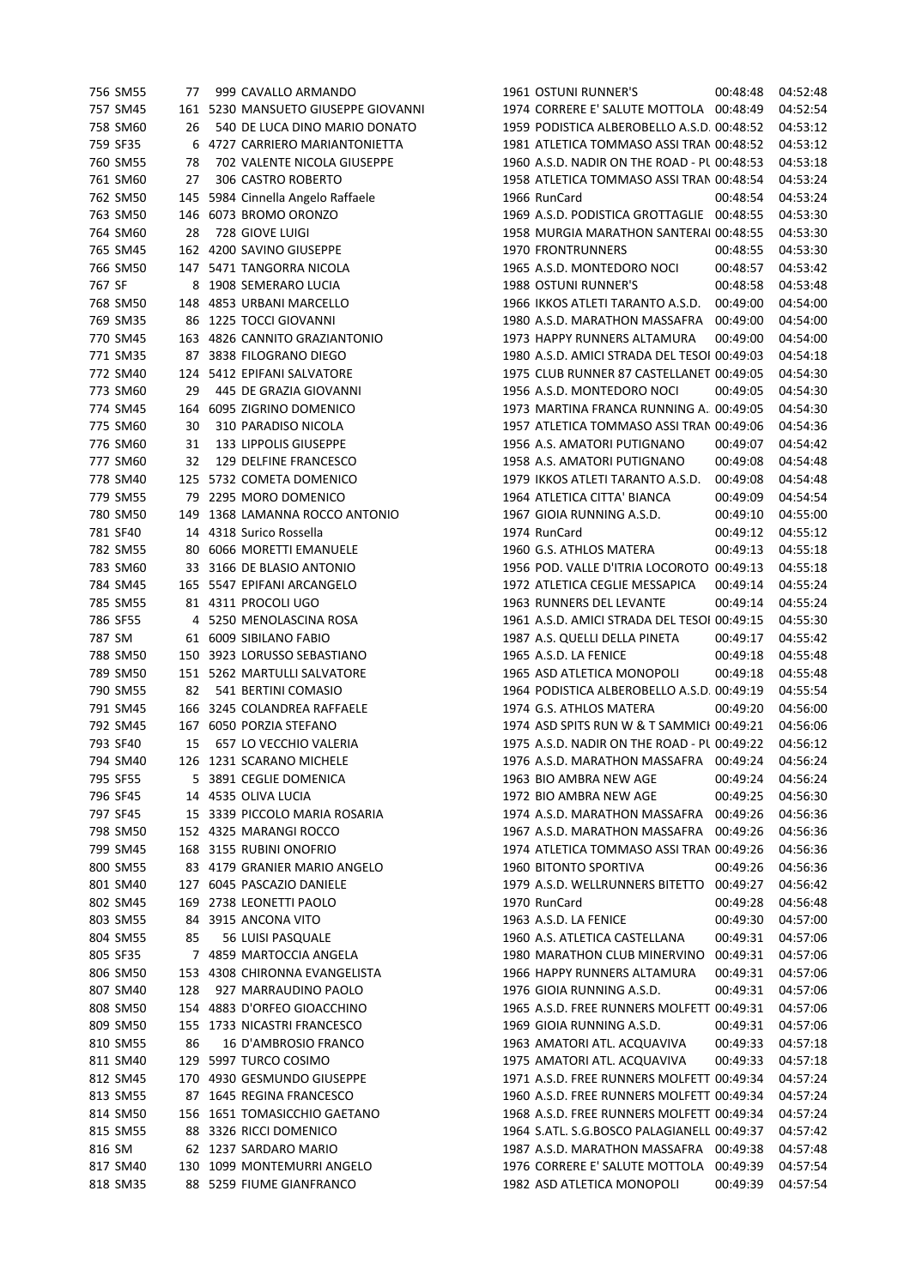|        | 756 SM55 | 77  | 999 CAVALLO ARMANDO                                     | 1961 OSTUNI RUNNER'S                                                 | 00:48:48             | 04:52:48             |
|--------|----------|-----|---------------------------------------------------------|----------------------------------------------------------------------|----------------------|----------------------|
|        | 757 SM45 |     | 161 5230 MANSUETO GIUSEPPE GIOVANNI                     | 1974 CORRERE E' SALUTE MOTTOLA 00:48:49                              |                      | 04:52:54             |
|        | 758 SM60 | 26  | 540 DE LUCA DINO MARIO DONATO                           | 1959 PODISTICA ALBEROBELLO A.S.D. 00:48:52                           |                      | 04:53:12             |
|        | 759 SF35 |     | 6 4727 CARRIERO MARIANTONIETTA                          | 1981 ATLETICA TOMMASO ASSI TRAN 00:48:52                             |                      | 04:53:12             |
|        | 760 SM55 | 78  | 702 VALENTE NICOLA GIUSEPPE                             | 1960 A.S.D. NADIR ON THE ROAD - PL 00:48:53                          |                      | 04:53:18             |
|        | 761 SM60 | 27  | 306 CASTRO ROBERTO                                      | 1958 ATLETICA TOMMASO ASSI TRAN 00:48:54                             |                      | 04:53:24             |
|        | 762 SM50 |     | 145 5984 Cinnella Angelo Raffaele                       | 1966 RunCard                                                         | 00:48:54             | 04:53:24             |
|        | 763 SM50 |     | 146 6073 BROMO ORONZO                                   | 1969 A.S.D. PODISTICA GROTTAGLIE 00:48:55                            |                      | 04:53:30             |
|        | 764 SM60 | 28  | 728 GIOVE LUIGI                                         | 1958 MURGIA MARATHON SANTERAI 00:48:55                               |                      | 04:53:30             |
|        | 765 SM45 |     | 162 4200 SAVINO GIUSEPPE                                | 1970 FRONTRUNNERS                                                    | 00:48:55             | 04:53:30             |
|        | 766 SM50 |     | 147 5471 TANGORRA NICOLA                                | 1965 A.S.D. MONTEDORO NOCI                                           | 00:48:57             | 04:53:42             |
| 767 SF |          |     | 8 1908 SEMERARO LUCIA                                   | <b>1988 OSTUNI RUNNER'S</b>                                          | 00:48:58             | 04:53:48             |
|        | 768 SM50 |     | 148 4853 URBANI MARCELLO                                | 1966 IKKOS ATLETI TARANTO A.S.D. 00:49:00                            |                      | 04:54:00             |
|        | 769 SM35 |     | 86 1225 TOCCI GIOVANNI                                  | 1980 A.S.D. MARATHON MASSAFRA 00:49:00                               |                      | 04:54:00             |
|        | 770 SM45 |     | 163 4826 CANNITO GRAZIANTONIO                           | 1973 HAPPY RUNNERS ALTAMURA                                          | 00:49:00             | 04:54:00             |
|        | 771 SM35 |     | 87 3838 FILOGRANO DIEGO                                 | 1980 A.S.D. AMICI STRADA DEL TESOI 00:49:03                          |                      | 04:54:18             |
|        | 772 SM40 |     | 124 5412 EPIFANI SALVATORE                              | 1975 CLUB RUNNER 87 CASTELLANET 00:49:05                             |                      | 04:54:30             |
|        | 773 SM60 | 29  | 445 DE GRAZIA GIOVANNI                                  | 1956 A.S.D. MONTEDORO NOCI                                           | 00:49:05             | 04:54:30             |
|        | 774 SM45 |     | 164 6095 ZIGRINO DOMENICO                               | 1973 MARTINA FRANCA RUNNING A. 00:49:05                              |                      | 04:54:30             |
|        | 775 SM60 | 30  | 310 PARADISO NICOLA                                     | 1957 ATLETICA TOMMASO ASSI TRAN 00:49:06                             |                      | 04:54:36             |
|        | 776 SM60 | 31  | 133 LIPPOLIS GIUSEPPE                                   | 1956 A.S. AMATORI PUTIGNANO                                          | 00:49:07             | 04:54:42             |
|        | 777 SM60 | 32  | 129 DELFINE FRANCESCO                                   | 1958 A.S. AMATORI PUTIGNANO                                          | 00:49:08             | 04:54:48             |
|        |          |     | 125 5732 COMETA DOMENICO                                |                                                                      |                      |                      |
|        | 778 SM40 |     |                                                         | 1979 IKKOS ATLETI TARANTO A.S.D.                                     | 00:49:08<br>00:49:09 | 04:54:48             |
|        | 779 SM55 |     | 79 2295 MORO DOMENICO<br>149 1368 LAMANNA ROCCO ANTONIO | 1964 ATLETICA CITTA' BIANCA                                          |                      | 04:54:54             |
|        | 780 SM50 |     |                                                         | 1967 GIOIA RUNNING A.S.D.                                            | 00:49:10             | 04:55:00             |
|        | 781 SF40 |     | 14 4318 Surico Rossella                                 | 1974 RunCard                                                         | 00:49:12             | 04:55:12             |
|        | 782 SM55 |     | 80 6066 MORETTI EMANUELE                                | 1960 G.S. ATHLOS MATERA                                              | 00:49:13             | 04:55:18             |
|        | 783 SM60 |     | 33 3166 DE BLASIO ANTONIO                               | 1956 POD. VALLE D'ITRIA LOCOROTO 00:49:13                            |                      | 04:55:18             |
|        | 784 SM45 |     | 165 5547 EPIFANI ARCANGELO                              | 1972 ATLETICA CEGLIE MESSAPICA                                       | 00:49:14             | 04:55:24             |
|        | 785 SM55 |     | 81 4311 PROCOLI UGO                                     | 1963 RUNNERS DEL LEVANTE                                             | 00:49:14             | 04:55:24             |
| 787 SM | 786 SF55 |     | 4 5250 MENOLASCINA ROSA<br>61 6009 SIBILANO FABIO       | 1961 A.S.D. AMICI STRADA DEL TESOI 00:49:15                          |                      | 04:55:30             |
|        | 788 SM50 |     | 150 3923 LORUSSO SEBASTIANO                             | 1987 A.S. QUELLI DELLA PINETA<br>1965 A.S.D. LA FENICE               | 00:49:17<br>00:49:18 | 04:55:42<br>04:55:48 |
|        | 789 SM50 |     | 151 5262 MARTULLI SALVATORE                             | 1965 ASD ATLETICA MONOPOLI                                           | 00:49:18             |                      |
|        | 790 SM55 |     | 541 BERTINI COMASIO                                     | 1964 PODISTICA ALBEROBELLO A.S.D. 00:49:19                           |                      | 04:55:48<br>04:55:54 |
|        | 791 SM45 | 82  | 166 3245 COLANDREA RAFFAELE                             | 1974 G.S. ATHLOS MATERA                                              | 00:49:20             | 04:56:00             |
|        | 792 SM45 |     | 167 6050 PORZIA STEFANO                                 | 1974 ASD SPITS RUN W & T SAMMICI 00:49:21                            |                      | 04:56:06             |
|        | 793 SF40 | 15  | 657 LO VECCHIO VALERIA                                  | 1975 A.S.D. NADIR ON THE ROAD - PL 00:49:22                          |                      | 04:56:12             |
|        | 794 SM40 |     | 126 1231 SCARANO MICHELE                                | 1976 A.S.D. MARATHON MASSAFRA 00:49:24                               |                      | 04:56:24             |
|        | 795 SF55 |     | 5 3891 CEGLIE DOMENICA                                  | 1963 BIO AMBRA NEW AGE                                               | 00:49:24             | 04:56:24             |
|        | 796 SF45 |     | 14 4535 OLIVA LUCIA                                     | 1972 BIO AMBRA NEW AGE                                               |                      | 04:56:30             |
|        | 797 SF45 |     | 15 3339 PICCOLO MARIA ROSARIA                           | 1974 A.S.D. MARATHON MASSAFRA                                        | 00:49:25<br>00:49:26 | 04:56:36             |
|        | 798 SM50 |     | 152 4325 MARANGI ROCCO                                  | 1967 A.S.D. MARATHON MASSAFRA                                        | 00:49:26             | 04:56:36             |
|        | 799 SM45 |     | 168 3155 RUBINI ONOFRIO                                 | 1974 ATLETICA TOMMASO ASSI TRAN 00:49:26                             |                      | 04:56:36             |
|        | 800 SM55 |     | 83 4179 GRANIER MARIO ANGELO                            | 1960 BITONTO SPORTIVA                                                | 00:49:26             | 04:56:36             |
|        | 801 SM40 |     | 127 6045 PASCAZIO DANIELE                               | 1979 A.S.D. WELLRUNNERS BITETTO                                      | 00:49:27             | 04:56:42             |
|        | 802 SM45 |     | 169 2738 LEONETTI PAOLO                                 | 1970 RunCard                                                         | 00:49:28             | 04:56:48             |
|        | 803 SM55 |     |                                                         | 1963 A.S.D. LA FENICE                                                |                      |                      |
|        | 804 SM55 |     | 84 3915 ANCONA VITO                                     | 1960 A.S. ATLETICA CASTELLANA                                        | 00:49:30             | 04:57:00<br>04:57:06 |
|        |          | 85  | 56 LUISI PASQUALE<br>7 4859 MARTOCCIA ANGELA            |                                                                      | 00:49:31             | 04:57:06             |
|        | 805 SF35 |     |                                                         | 1980 MARATHON CLUB MINERVINO 00:49:31<br>1966 HAPPY RUNNERS ALTAMURA |                      |                      |
|        | 806 SM50 |     | 153 4308 CHIRONNA EVANGELISTA                           |                                                                      | 00:49:31             | 04:57:06             |
|        | 807 SM40 | 128 | 927 MARRAUDINO PAOLO                                    | 1976 GIOIA RUNNING A.S.D.                                            | 00:49:31             | 04:57:06             |
|        | 808 SM50 |     | 154 4883 D'ORFEO GIOACCHINO                             | 1965 A.S.D. FREE RUNNERS MOLFETT 00:49:31                            |                      | 04:57:06             |
|        | 809 SM50 |     | 155 1733 NICASTRI FRANCESCO                             | 1969 GIOIA RUNNING A.S.D.                                            | 00:49:31             | 04:57:06             |
|        | 810 SM55 | 86  | 16 D'AMBROSIO FRANCO                                    | 1963 AMATORI ATL. ACQUAVIVA                                          | 00:49:33             | 04:57:18             |
|        | 811 SM40 |     | 129 5997 TURCO COSIMO                                   | 1975 AMATORI ATL. ACQUAVIVA                                          | 00:49:33             | 04:57:18             |
|        | 812 SM45 |     | 170 4930 GESMUNDO GIUSEPPE                              | 1971 A.S.D. FREE RUNNERS MOLFETT 00:49:34                            |                      | 04:57:24             |
|        | 813 SM55 |     | 87 1645 REGINA FRANCESCO                                | 1960 A.S.D. FREE RUNNERS MOLFETT 00:49:34                            |                      | 04:57:24             |
|        | 814 SM50 |     | 156 1651 TOMASICCHIO GAETANO                            | 1968 A.S.D. FREE RUNNERS MOLFETT 00:49:34                            |                      | 04:57:24             |
|        | 815 SM55 |     | 88 3326 RICCI DOMENICO                                  | 1964 S.ATL. S.G.BOSCO PALAGIANELL 00:49:37                           |                      | 04:57:42             |
| 816 SM |          |     | 62 1237 SARDARO MARIO                                   | 1987 A.S.D. MARATHON MASSAFRA 00:49:38                               |                      | 04:57:48             |
|        | 817 SM40 |     | 130 1099 MONTEMURRI ANGELO                              | 1976 CORRERE E' SALUTE MOTTOLA 00:49:39                              |                      | 04:57:54             |
|        | 818 SM35 |     | 88 5259 FIUME GIANFRANCO                                | 1982 ASD ATLETICA MONOPOLI                                           | 00:49:39             | 04:57:54             |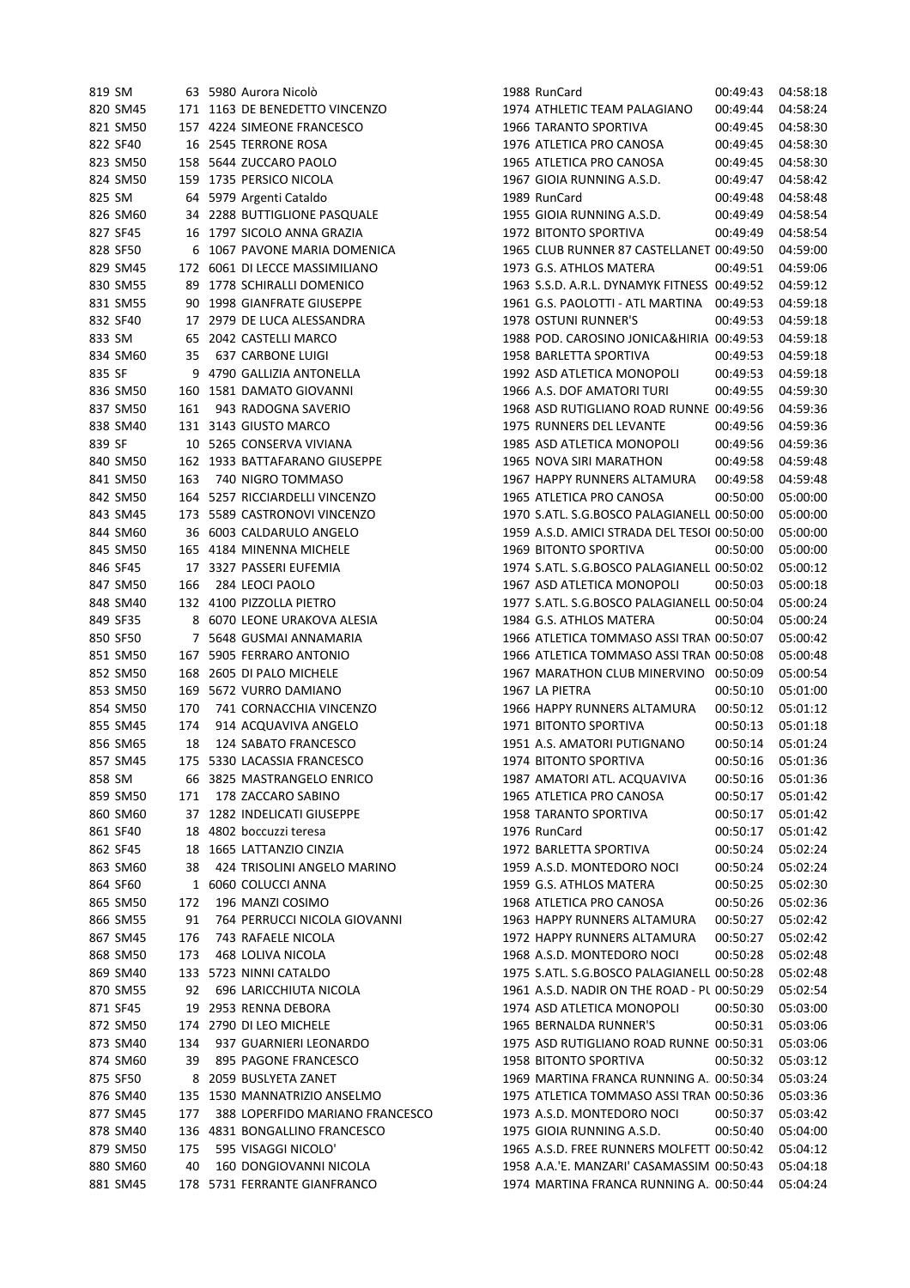| 819 SM |          |     | 63 5980 Aurora Nicolò           | 1988 RunCard                                | 00:49:43 | 04:58:18 |
|--------|----------|-----|---------------------------------|---------------------------------------------|----------|----------|
|        | 820 SM45 |     | 171 1163 DE BENEDETTO VINCENZO  | 1974 ATHLETIC TEAM PALAGIANO                | 00:49:44 | 04:58:24 |
|        | 821 SM50 |     | 157 4224 SIMEONE FRANCESCO      | 1966 TARANTO SPORTIVA                       | 00:49:45 | 04:58:30 |
|        | 822 SF40 |     | 16 2545 TERRONE ROSA            | 1976 ATLETICA PRO CANOSA                    | 00:49:45 | 04:58:30 |
|        | 823 SM50 |     | 158 5644 ZUCCARO PAOLO          | 1965 ATLETICA PRO CANOSA                    | 00:49:45 | 04:58:30 |
|        | 824 SM50 |     | 159 1735 PERSICO NICOLA         | 1967 GIOIA RUNNING A.S.D.                   | 00:49:47 | 04:58:42 |
| 825 SM |          |     | 64 5979 Argenti Cataldo         | 1989 RunCard                                | 00:49:48 | 04:58:48 |
|        | 826 SM60 |     | 34 2288 BUTTIGLIONE PASQUALE    | 1955 GIOIA RUNNING A.S.D.                   | 00:49:49 | 04:58:54 |
|        | 827 SF45 |     | 16 1797 SICOLO ANNA GRAZIA      | 1972 BITONTO SPORTIVA                       | 00:49:49 | 04:58:54 |
|        | 828 SF50 |     | 6 1067 PAVONE MARIA DOMENICA    | 1965 CLUB RUNNER 87 CASTELLANET 00:49:50    |          | 04:59:00 |
|        | 829 SM45 |     | 172 6061 DI LECCE MASSIMILIANO  | 1973 G.S. ATHLOS MATERA                     | 00:49:51 | 04:59:06 |
|        | 830 SM55 |     | 89 1778 SCHIRALLI DOMENICO      | 1963 S.S.D. A.R.L. DYNAMYK FITNESS 00:49:52 |          | 04:59:12 |
|        | 831 SM55 |     | 90 1998 GIANFRATE GIUSEPPE      | 1961 G.S. PAOLOTTI - ATL MARTINA 00:49:53   |          | 04:59:18 |
|        | 832 SF40 |     | 17 2979 DE LUCA ALESSANDRA      | 1978 OSTUNI RUNNER'S                        | 00:49:53 | 04:59:18 |
| 833 SM |          |     | 65 2042 CASTELLI MARCO          | 1988 POD. CAROSINO JONICA&HIRIA 00:49:53    |          | 04:59:18 |
|        | 834 SM60 |     | <b>637 CARBONE LUIGI</b>        | 1958 BARLETTA SPORTIVA                      | 00:49:53 | 04:59:18 |
| 835 SF |          | 35  | 9 4790 GALLIZIA ANTONELLA       | 1992 ASD ATLETICA MONOPOLI                  | 00:49:53 | 04:59:18 |
|        |          |     |                                 |                                             |          |          |
|        | 836 SM50 |     | 160 1581 DAMATO GIOVANNI        | 1966 A.S. DOF AMATORI TURI                  | 00:49:55 | 04:59:30 |
|        | 837 SM50 | 161 | 943 RADOGNA SAVERIO             | 1968 ASD RUTIGLIANO ROAD RUNNE 00:49:56     |          | 04:59:36 |
|        | 838 SM40 |     | 131 3143 GIUSTO MARCO           | 1975 RUNNERS DEL LEVANTE                    | 00:49:56 | 04:59:36 |
| 839 SF |          |     | 10 5265 CONSERVA VIVIANA        | 1985 ASD ATLETICA MONOPOLI                  | 00:49:56 | 04:59:36 |
|        | 840 SM50 |     | 162 1933 BATTAFARANO GIUSEPPE   | 1965 NOVA SIRI MARATHON                     | 00:49:58 | 04:59:48 |
|        | 841 SM50 | 163 | 740 NIGRO TOMMASO               | 1967 HAPPY RUNNERS ALTAMURA                 | 00:49:58 | 04:59:48 |
|        | 842 SM50 |     | 164 5257 RICCIARDELLI VINCENZO  | 1965 ATLETICA PRO CANOSA                    | 00:50:00 | 05:00:00 |
|        | 843 SM45 |     | 173 5589 CASTRONOVI VINCENZO    | 1970 S.ATL. S.G.BOSCO PALAGIANELL 00:50:00  |          | 05:00:00 |
|        | 844 SM60 |     | 36 6003 CALDARULO ANGELO        | 1959 A.S.D. AMICI STRADA DEL TESOI 00:50:00 |          | 05:00:00 |
|        | 845 SM50 |     | 165 4184 MINENNA MICHELE        | 1969 BITONTO SPORTIVA                       | 00:50:00 | 05:00:00 |
|        | 846 SF45 |     | 17 3327 PASSERI EUFEMIA         | 1974 S.ATL. S.G.BOSCO PALAGIANELL 00:50:02  |          | 05:00:12 |
|        | 847 SM50 | 166 | 284 LEOCI PAOLO                 | 1967 ASD ATLETICA MONOPOLI                  | 00:50:03 | 05:00:18 |
|        | 848 SM40 |     | 132 4100 PIZZOLLA PIETRO        | 1977 S.ATL. S.G.BOSCO PALAGIANELL 00:50:04  |          | 05:00:24 |
|        | 849 SF35 |     | 8 6070 LEONE URAKOVA ALESIA     | 1984 G.S. ATHLOS MATERA                     | 00:50:04 | 05:00:24 |
|        | 850 SF50 |     | 7 5648 GUSMAI ANNAMARIA         | 1966 ATLETICA TOMMASO ASSI TRAN 00:50:07    |          | 05:00:42 |
|        | 851 SM50 |     | 167 5905 FERRARO ANTONIO        | 1966 ATLETICA TOMMASO ASSI TRAN 00:50:08    |          | 05:00:48 |
|        | 852 SM50 |     | 168 2605 DI PALO MICHELE        | 1967 MARATHON CLUB MINERVINO 00:50:09       |          | 05:00:54 |
|        | 853 SM50 |     | 169 5672 VURRO DAMIANO          | 1967 LA PIETRA                              | 00:50:10 | 05:01:00 |
|        | 854 SM50 | 170 | 741 CORNACCHIA VINCENZO         | 1966 HAPPY RUNNERS ALTAMURA                 | 00:50:12 | 05:01:12 |
|        | 855 SM45 | 174 | 914 ACQUAVIVA ANGELO            | 1971 BITONTO SPORTIVA                       | 00:50:13 | 05:01:18 |
|        | 856 SM65 | 18  | 124 SABATO FRANCESCO            | 1951 A.S. AMATORI PUTIGNANO                 | 00:50:14 | 05:01:24 |
|        | 857 SM45 |     | 175 5330 LACASSIA FRANCESCO     | 1974 BITONTO SPORTIVA                       | 00:50:16 | 05:01:36 |
| 858 SM |          |     | 66 3825 MASTRANGELO ENRICO      | 1987 AMATORI ATL. ACQUAVIVA                 | 00:50:16 | 05:01:36 |
|        | 859 SM50 | 171 | 178 ZACCARO SABINO              | 1965 ATLETICA PRO CANOSA                    | 00:50:17 | 05:01:42 |
|        | 860 SM60 |     | 37 1282 INDELICATI GIUSEPPE     | 1958 TARANTO SPORTIVA                       | 00:50:17 | 05:01:42 |
|        | 861 SF40 |     | 18 4802 boccuzzi teresa         | 1976 RunCard                                | 00:50:17 | 05:01:42 |
|        | 862 SF45 |     | 18 1665 LATTANZIO CINZIA        | 1972 BARLETTA SPORTIVA                      | 00:50:24 | 05:02:24 |
|        | 863 SM60 | 38  | 424 TRISOLINI ANGELO MARINO     | 1959 A.S.D. MONTEDORO NOCI                  | 00:50:24 | 05:02:24 |
|        | 864 SF60 |     | 1 6060 COLUCCI ANNA             | 1959 G.S. ATHLOS MATERA                     | 00:50:25 | 05:02:30 |
|        | 865 SM50 | 172 | 196 MANZI COSIMO                | 1968 ATLETICA PRO CANOSA                    | 00:50:26 | 05:02:36 |
|        | 866 SM55 | 91  | 764 PERRUCCI NICOLA GIOVANNI    | 1963 HAPPY RUNNERS ALTAMURA                 | 00:50:27 | 05:02:42 |
|        | 867 SM45 | 176 | 743 RAFAELE NICOLA              | 1972 HAPPY RUNNERS ALTAMURA                 | 00:50:27 | 05:02:42 |
|        |          |     | 468 LOLIVA NICOLA               |                                             |          | 05:02:48 |
|        | 868 SM50 | 173 |                                 | 1968 A.S.D. MONTEDORO NOCI                  | 00:50:28 |          |
|        | 869 SM40 |     | 133 5723 NINNI CATALDO          | 1975 S.ATL. S.G.BOSCO PALAGIANELL 00:50:28  |          | 05:02:48 |
|        | 870 SM55 | 92  | 696 LARICCHIUTA NICOLA          | 1961 A.S.D. NADIR ON THE ROAD - PL 00:50:29 |          | 05:02:54 |
|        | 871 SF45 |     | 19 2953 RENNA DEBORA            | 1974 ASD ATLETICA MONOPOLI                  | 00:50:30 | 05:03:00 |
|        | 872 SM50 |     | 174 2790 DI LEO MICHELE         | 1965 BERNALDA RUNNER'S                      | 00:50:31 | 05:03:06 |
|        | 873 SM40 | 134 | 937 GUARNIERI LEONARDO          | 1975 ASD RUTIGLIANO ROAD RUNNE 00:50:31     |          | 05:03:06 |
|        | 874 SM60 | 39  | 895 PAGONE FRANCESCO            | 1958 BITONTO SPORTIVA                       | 00:50:32 | 05:03:12 |
|        | 875 SF50 |     | 8 2059 BUSLYETA ZANET           | 1969 MARTINA FRANCA RUNNING A. 00:50:34     |          | 05:03:24 |
|        | 876 SM40 |     | 135 1530 MANNATRIZIO ANSELMO    | 1975 ATLETICA TOMMASO ASSI TRAN 00:50:36    |          | 05:03:36 |
|        | 877 SM45 | 177 | 388 LOPERFIDO MARIANO FRANCESCO | 1973 A.S.D. MONTEDORO NOCI                  | 00:50:37 | 05:03:42 |
|        | 878 SM40 |     | 136 4831 BONGALLINO FRANCESCO   | 1975 GIOIA RUNNING A.S.D.                   | 00:50:40 | 05:04:00 |
|        | 879 SM50 | 175 | 595 VISAGGI NICOLO'             | 1965 A.S.D. FREE RUNNERS MOLFETT 00:50:42   |          | 05:04:12 |
|        | 880 SM60 | 40  | 160 DONGIOVANNI NICOLA          | 1958 A.A.'E. MANZARI' CASAMASSIM 00:50:43   |          | 05:04:18 |
|        | 881 SM45 |     | 178 5731 FERRANTE GIANFRANCO    | 1974 MARTINA FRANCA RUNNING A. 00:50:44     |          | 05:04:24 |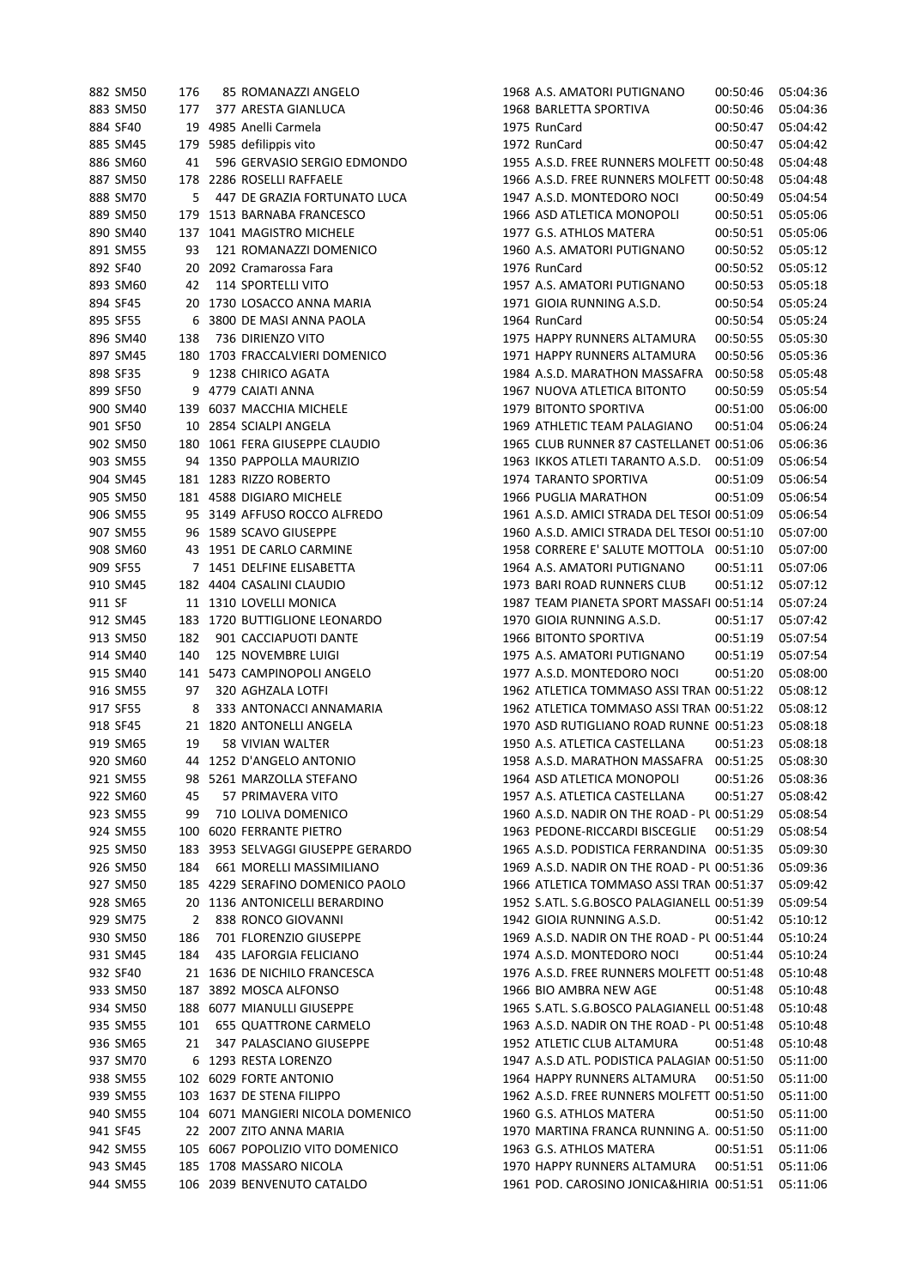|        | 882 SM50 | 176 | 85 ROMANAZZI ANGELO                | 1968 A.S. AMATORI PUTIGNANO                 | 00:50:46 | 05:04:36 |
|--------|----------|-----|------------------------------------|---------------------------------------------|----------|----------|
|        | 883 SM50 | 177 | 377 ARESTA GIANLUCA                | 1968 BARLETTA SPORTIVA                      | 00:50:46 | 05:04:36 |
|        | 884 SF40 |     | 19 4985 Anelli Carmela             | 1975 RunCard                                | 00:50:47 | 05:04:42 |
|        | 885 SM45 |     | 179 5985 defilippis vito           | 1972 RunCard                                | 00:50:47 | 05:04:42 |
|        | 886 SM60 | 41  | 596 GERVASIO SERGIO EDMONDO        | 1955 A.S.D. FREE RUNNERS MOLFETT 00:50:48   |          | 05:04:48 |
|        | 887 SM50 |     | 178 2286 ROSELLI RAFFAELE          | 1966 A.S.D. FREE RUNNERS MOLFETT 00:50:48   |          | 05:04:48 |
|        | 888 SM70 | 5.  | 447 DE GRAZIA FORTUNATO LUCA       | 1947 A.S.D. MONTEDORO NOCI                  | 00:50:49 | 05:04:54 |
|        | 889 SM50 |     | 179 1513 BARNABA FRANCESCO         | 1966 ASD ATLETICA MONOPOLI                  | 00:50:51 | 05:05:06 |
|        | 890 SM40 |     | 137 1041 MAGISTRO MICHELE          | 1977 G.S. ATHLOS MATERA                     | 00:50:51 | 05:05:06 |
|        | 891 SM55 | 93  | 121 ROMANAZZI DOMENICO             | 1960 A.S. AMATORI PUTIGNANO                 | 00:50:52 | 05:05:12 |
|        | 892 SF40 |     | 20 2092 Cramarossa Fara            | 1976 RunCard                                | 00:50:52 | 05:05:12 |
|        | 893 SM60 | 42  | <b>114 SPORTELLI VITO</b>          | 1957 A.S. AMATORI PUTIGNANO                 | 00:50:53 | 05:05:18 |
|        | 894 SF45 |     | 20 1730 LOSACCO ANNA MARIA         | 1971 GIOIA RUNNING A.S.D.                   | 00:50:54 | 05:05:24 |
|        | 895 SF55 |     | 6 3800 DE MASI ANNA PAOLA          | 1964 RunCard                                | 00:50:54 | 05:05:24 |
|        | 896 SM40 | 138 | 736 DIRIENZO VITO                  | 1975 HAPPY RUNNERS ALTAMURA                 | 00:50:55 | 05:05:30 |
|        | 897 SM45 |     | 180 1703 FRACCALVIERI DOMENICO     | 1971 HAPPY RUNNERS ALTAMURA                 | 00:50:56 | 05:05:36 |
|        | 898 SF35 |     | 9 1238 CHIRICO AGATA               | 1984 A.S.D. MARATHON MASSAFRA               | 00:50:58 | 05:05:48 |
|        | 899 SF50 |     | 9 4779 CAIATI ANNA                 | 1967 NUOVA ATLETICA BITONTO                 | 00:50:59 | 05:05:54 |
|        | 900 SM40 |     | 139 6037 MACCHIA MICHELE           | 1979 BITONTO SPORTIVA                       | 00:51:00 | 05:06:00 |
|        | 901 SF50 |     | 10 2854 SCIALPI ANGELA             | 1969 ATHLETIC TEAM PALAGIANO                | 00:51:04 | 05:06:24 |
|        | 902 SM50 |     | 180 1061 FERA GIUSEPPE CLAUDIO     | 1965 CLUB RUNNER 87 CASTELLANET 00:51:06    |          | 05:06:36 |
|        | 903 SM55 |     | 94 1350 PAPPOLLA MAURIZIO          | 1963 IKKOS ATLETI TARANTO A.S.D. 00:51:09   |          | 05:06:54 |
|        | 904 SM45 |     | 181 1283 RIZZO ROBERTO             | 1974 TARANTO SPORTIVA                       |          | 05:06:54 |
|        | 905 SM50 |     | 181 4588 DIGIARO MICHELE           | 1966 PUGLIA MARATHON                        | 00:51:09 | 05:06:54 |
|        | 906 SM55 |     | 95 3149 AFFUSO ROCCO ALFREDO       | 1961 A.S.D. AMICI STRADA DEL TESOI 00:51:09 | 00:51:09 | 05:06:54 |
|        |          |     |                                    |                                             |          |          |
|        | 907 SM55 |     | 96 1589 SCAVO GIUSEPPE             | 1960 A.S.D. AMICI STRADA DEL TESOI 00:51:10 |          | 05:07:00 |
|        | 908 SM60 |     | 43 1951 DE CARLO CARMINE           | 1958 CORRERE E' SALUTE MOTTOLA 00:51:10     |          | 05:07:00 |
|        | 909 SF55 |     | 7 1451 DELFINE ELISABETTA          | 1964 A.S. AMATORI PUTIGNANO                 | 00:51:11 | 05:07:06 |
|        | 910 SM45 |     | 182 4404 CASALINI CLAUDIO          | 1973 BARI ROAD RUNNERS CLUB                 | 00:51:12 | 05:07:12 |
| 911 SF |          |     | 11 1310 LOVELLI MONICA             | 1987 TEAM PIANETA SPORT MASSAFI 00:51:14    |          | 05:07:24 |
|        | 912 SM45 |     | 183 1720 BUTTIGLIONE LEONARDO      | 1970 GIOIA RUNNING A.S.D.                   | 00:51:17 | 05:07:42 |
|        | 913 SM50 | 182 | 901 CACCIAPUOTI DANTE              | 1966 BITONTO SPORTIVA                       | 00:51:19 | 05:07:54 |
|        | 914 SM40 | 140 | 125 NOVEMBRE LUIGI                 | 1975 A.S. AMATORI PUTIGNANO                 | 00:51:19 | 05:07:54 |
|        | 915 SM40 |     | 141 5473 CAMPINOPOLI ANGELO        | 1977 A.S.D. MONTEDORO NOCI                  | 00:51:20 | 05:08:00 |
|        | 916 SM55 | 97  | 320 AGHZALA LOTFI                  | 1962 ATLETICA TOMMASO ASSI TRAN 00:51:22    |          | 05:08:12 |
|        | 917 SF55 | 8   | 333 ANTONACCI ANNAMARIA            | 1962 ATLETICA TOMMASO ASSI TRAN 00:51:22    |          | 05:08:12 |
|        | 918 SF45 |     | 21 1820 ANTONELLI ANGELA           | 1970 ASD RUTIGLIANO ROAD RUNNE 00:51:23     |          | 05:08:18 |
|        | 919 SM65 | 19  | 58 VIVIAN WALTER                   | 1950 A.S. ATLETICA CASTELLANA               | 00:51:23 | 05:08:18 |
|        | 920 SM60 |     | 44 1252 D'ANGELO ANTONIO           | 1958 A.S.D. MARATHON MASSAFRA 00:51:25      |          | 05:08:30 |
|        | 921 SM55 |     | 98 5261 MARZOLLA STEFANO           | 1964 ASD ATLETICA MONOPOLI                  | 00:51:26 | 05:08:36 |
|        | 922 SM60 | 45  | 57 PRIMAVERA VITO                  | 1957 A.S. ATLETICA CASTELLANA               | 00:51:27 | 05:08:42 |
|        | 923 SM55 | 99  | 710 LOLIVA DOMENICO                | 1960 A.S.D. NADIR ON THE ROAD - PL 00:51:29 |          | 05:08:54 |
|        | 924 SM55 |     | 100 6020 FERRANTE PIETRO           | 1963 PEDONE-RICCARDI BISCEGLIE              | 00:51:29 | 05:08:54 |
|        | 925 SM50 |     | 183 3953 SELVAGGI GIUSEPPE GERARDO | 1965 A.S.D. PODISTICA FERRANDINA 00:51:35   |          | 05:09:30 |
|        | 926 SM50 | 184 | 661 MORELLI MASSIMILIANO           | 1969 A.S.D. NADIR ON THE ROAD - PL 00:51:36 |          | 05:09:36 |
|        | 927 SM50 |     | 185 4229 SERAFINO DOMENICO PAOLO   | 1966 ATLETICA TOMMASO ASSI TRAN 00:51:37    |          | 05:09:42 |
|        | 928 SM65 |     | 20 1136 ANTONICELLI BERARDINO      | 1952 S.ATL. S.G.BOSCO PALAGIANELL 00:51:39  |          | 05:09:54 |
|        | 929 SM75 | 2   | 838 RONCO GIOVANNI                 | 1942 GIOIA RUNNING A.S.D.                   | 00:51:42 | 05:10:12 |
|        | 930 SM50 | 186 | 701 FLORENZIO GIUSEPPE             | 1969 A.S.D. NADIR ON THE ROAD - PL 00:51:44 |          | 05:10:24 |
|        | 931 SM45 | 184 | 435 LAFORGIA FELICIANO             | 1974 A.S.D. MONTEDORO NOCI                  | 00:51:44 | 05:10:24 |
|        | 932 SF40 |     | 21 1636 DE NICHILO FRANCESCA       | 1976 A.S.D. FREE RUNNERS MOLFETT 00:51:48   |          | 05:10:48 |
|        | 933 SM50 |     | 187 3892 MOSCA ALFONSO             | 1966 BIO AMBRA NEW AGE                      | 00:51:48 | 05:10:48 |
|        | 934 SM50 |     | 188 6077 MIANULLI GIUSEPPE         | 1965 S.ATL. S.G.BOSCO PALAGIANELL 00:51:48  |          | 05:10:48 |
|        | 935 SM55 | 101 | <b>655 QUATTRONE CARMELO</b>       | 1963 A.S.D. NADIR ON THE ROAD - PL 00:51:48 |          | 05:10:48 |
|        | 936 SM65 | 21  | 347 PALASCIANO GIUSEPPE            | 1952 ATLETIC CLUB ALTAMURA                  | 00:51:48 | 05:10:48 |
|        | 937 SM70 |     | 6 1293 RESTA LORENZO               | 1947 A.S.D ATL. PODISTICA PALAGIAN 00:51:50 |          | 05:11:00 |
|        | 938 SM55 |     | 102 6029 FORTE ANTONIO             | 1964 HAPPY RUNNERS ALTAMURA                 | 00:51:50 | 05:11:00 |
|        | 939 SM55 |     | 103 1637 DE STENA FILIPPO          | 1962 A.S.D. FREE RUNNERS MOLFETT 00:51:50   |          | 05:11:00 |
|        | 940 SM55 |     | 104 6071 MANGIERI NICOLA DOMENICO  | 1960 G.S. ATHLOS MATERA                     | 00:51:50 | 05:11:00 |
|        | 941 SF45 |     | 22 2007 ZITO ANNA MARIA            | 1970 MARTINA FRANCA RUNNING A. 00:51:50     |          | 05:11:00 |
|        | 942 SM55 |     | 105 6067 POPOLIZIO VITO DOMENICO   | 1963 G.S. ATHLOS MATERA                     | 00:51:51 | 05:11:06 |
|        | 943 SM45 |     | 185 1708 MASSARO NICOLA            | 1970 HAPPY RUNNERS ALTAMURA                 | 00:51:51 | 05:11:06 |
|        | 944 SM55 |     | 106 2039 BENVENUTO CATALDO         | 1961 POD. CAROSINO JONICA&HIRIA 00:51:51    |          | 05:11:06 |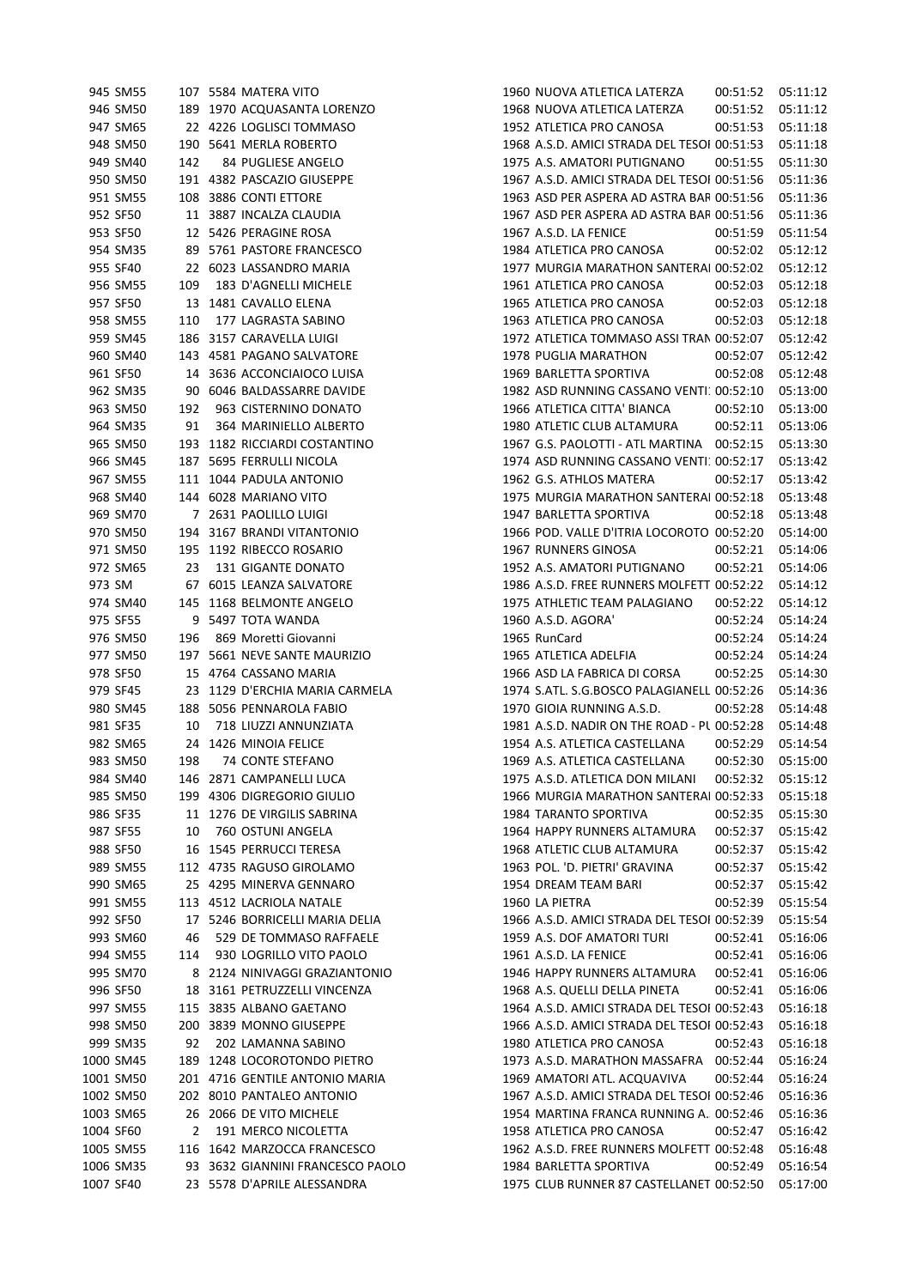|        | 945 SM55  |     | 107 5584 MATERA VITO                                          | 1960 NUOVA ATLETICA LATERZA                 | 00:51:52 | 05:11:12 |
|--------|-----------|-----|---------------------------------------------------------------|---------------------------------------------|----------|----------|
|        | 946 SM50  |     | 189 1970 ACQUASANTA LORENZO                                   | 1968 NUOVA ATLETICA LATERZA                 | 00:51:52 | 05:11:12 |
|        | 947 SM65  |     | 22 4226 LOGLISCI TOMMASO                                      | 1952 ATLETICA PRO CANOSA                    | 00:51:53 | 05:11:18 |
|        | 948 SM50  |     | 190 5641 MERLA ROBERTO                                        | 1968 A.S.D. AMICI STRADA DEL TESOI 00:51:53 |          | 05:11:18 |
|        | 949 SM40  | 142 | 84 PUGLIESE ANGELO                                            | 1975 A.S. AMATORI PUTIGNANO                 | 00:51:55 | 05:11:30 |
|        | 950 SM50  |     | 191 4382 PASCAZIO GIUSEPPE                                    | 1967 A.S.D. AMICI STRADA DEL TESOI 00:51:56 |          | 05:11:36 |
|        | 951 SM55  |     | 108 3886 CONTI ETTORE                                         | 1963 ASD PER ASPERA AD ASTRA BAF 00:51:56   |          | 05:11:36 |
|        | 952 SF50  |     | 11 3887 INCALZA CLAUDIA                                       | 1967 ASD PER ASPERA AD ASTRA BAR 00:51:56   |          | 05:11:36 |
|        | 953 SF50  |     | 12 5426 PERAGINE ROSA                                         | 1967 A.S.D. LA FENICE                       | 00:51:59 | 05:11:54 |
|        | 954 SM35  |     | 89 5761 PASTORE FRANCESCO                                     | 1984 ATLETICA PRO CANOSA                    | 00:52:02 | 05:12:12 |
|        | 955 SF40  |     | 22 6023 LASSANDRO MARIA                                       | 1977 MURGIA MARATHON SANTERAI 00:52:02      |          | 05:12:12 |
|        | 956 SM55  | 109 | 183 D'AGNELLI MICHELE                                         | 1961 ATLETICA PRO CANOSA                    | 00:52:03 | 05:12:18 |
|        | 957 SF50  |     | 13 1481 CAVALLO ELENA                                         | 1965 ATLETICA PRO CANOSA                    | 00:52:03 | 05:12:18 |
|        | 958 SM55  | 110 | 177 LAGRASTA SABINO                                           | 1963 ATLETICA PRO CANOSA                    | 00:52:03 | 05:12:18 |
|        | 959 SM45  |     | 186 3157 CARAVELLA LUIGI                                      | 1972 ATLETICA TOMMASO ASSI TRAN 00:52:07    |          | 05:12:42 |
|        | 960 SM40  |     | 143 4581 PAGANO SALVATORE                                     | 1978 PUGLIA MARATHON                        | 00:52:07 | 05:12:42 |
|        | 961 SF50  |     | 14 3636 ACCONCIAIOCO LUISA                                    | 1969 BARLETTA SPORTIVA                      | 00:52:08 | 05:12:48 |
|        | 962 SM35  |     | 90 6046 BALDASSARRE DAVIDE                                    | 1982 ASD RUNNING CASSANO VENTI: 00:52:10    |          | 05:13:00 |
|        | 963 SM50  | 192 | 963 CISTERNINO DONATO                                         | 1966 ATLETICA CITTA' BIANCA                 | 00:52:10 | 05:13:00 |
|        | 964 SM35  | 91  | 364 MARINIELLO ALBERTO                                        | 1980 ATLETIC CLUB ALTAMURA                  | 00:52:11 | 05:13:06 |
|        | 965 SM50  |     | 193 1182 RICCIARDI COSTANTINO                                 | 1967 G.S. PAOLOTTI - ATL MARTINA 00:52:15   |          | 05:13:30 |
|        | 966 SM45  |     | 187 5695 FERRULLI NICOLA                                      | 1974 ASD RUNNING CASSANO VENTI: 00:52:17    |          | 05:13:42 |
|        | 967 SM55  |     | 111 1044 PADULA ANTONIO                                       | 1962 G.S. ATHLOS MATERA                     | 00:52:17 | 05:13:42 |
|        | 968 SM40  |     | 144 6028 MARIANO VITO                                         | 1975 MURGIA MARATHON SANTERAI 00:52:18      |          | 05:13:48 |
|        | 969 SM70  |     | 7 2631 PAOLILLO LUIGI                                         | 1947 BARLETTA SPORTIVA                      | 00:52:18 | 05:13:48 |
|        | 970 SM50  |     | 194 3167 BRANDI VITANTONIO                                    | 1966 POD. VALLE D'ITRIA LOCOROTO 00:52:20   |          | 05:14:00 |
|        | 971 SM50  |     | 195 1192 RIBECCO ROSARIO                                      | 1967 RUNNERS GINOSA                         | 00:52:21 | 05:14:06 |
|        | 972 SM65  | 23  | 131 GIGANTE DONATO                                            | 1952 A.S. AMATORI PUTIGNANO                 | 00:52:21 | 05:14:06 |
| 973 SM |           |     | 67 6015 LEANZA SALVATORE                                      | 1986 A.S.D. FREE RUNNERS MOLFETT 00:52:22   |          | 05:14:12 |
|        | 974 SM40  |     | 145 1168 BELMONTE ANGELO                                      | 1975 ATHLETIC TEAM PALAGIANO                | 00:52:22 | 05:14:12 |
|        | 975 SF55  |     | 9 5497 TOTA WANDA                                             | 1960 A.S.D. AGORA'                          | 00:52:24 | 05:14:24 |
|        | 976 SM50  | 196 | 869 Moretti Giovanni                                          | 1965 RunCard                                | 00:52:24 | 05:14:24 |
|        | 977 SM50  |     | 197 5661 NEVE SANTE MAURIZIO                                  | 1965 ATLETICA ADELFIA                       | 00:52:24 | 05:14:24 |
|        | 978 SF50  |     | 15 4764 CASSANO MARIA                                         | 1966 ASD LA FABRICA DI CORSA                | 00:52:25 | 05:14:30 |
|        | 979 SF45  |     | 23 1129 D'ERCHIA MARIA CARMELA                                | 1974 S.ATL. S.G.BOSCO PALAGIANELL 00:52:26  |          | 05:14:36 |
|        | 980 SM45  |     | 188 5056 PENNAROLA FABIO                                      | 1970 GIOIA RUNNING A.S.D.                   | 00:52:28 | 05:14:48 |
|        | 981 SF35  | 10  | 718 LIUZZI ANNUNZIATA                                         | 1981 A.S.D. NADIR ON THE ROAD - PL 00:52:28 |          | 05:14:48 |
|        | 982 SM65  |     | 24 1426 MINOIA FELICE                                         | 1954 A.S. ATLETICA CASTELLANA               | 00:52:29 | 05:14:54 |
|        | 983 SM50  | 198 | 74 CONTE STEFANO                                              | 1969 A.S. ATLETICA CASTELLANA               | 00:52:30 | 05:15:00 |
|        | 984 SM40  |     | 146 2871 CAMPANELLI LUCA                                      | 1975 A.S.D. ATLETICA DON MILANI             | 00:52:32 | 05:15:12 |
|        | 985 SM50  |     | 199 4306 DIGREGORIO GIULIO                                    | 1966 MURGIA MARATHON SANTERAI 00:52:33      |          | 05:15:18 |
|        | 986 SF35  |     | 11 1276 DE VIRGILIS SABRINA                                   | 1984 TARANTO SPORTIVA                       | 00:52:35 | 05:15:30 |
|        | 987 SF55  | 10  | 760 OSTUNI ANGELA                                             | 1964 HAPPY RUNNERS ALTAMURA                 | 00:52:37 | 05:15:42 |
|        | 988 SF50  |     | 16 1545 PERRUCCI TERESA                                       | 1968 ATLETIC CLUB ALTAMURA                  | 00:52:37 | 05:15:42 |
|        | 989 SM55  |     | 112 4735 RAGUSO GIROLAMO                                      | 1963 POL. 'D. PIETRI' GRAVINA               | 00:52:37 | 05:15:42 |
|        | 990 SM65  |     | 25 4295 MINERVA GENNARO                                       | 1954 DREAM TEAM BARI                        | 00:52:37 | 05:15:42 |
|        | 991 SM55  |     | 113 4512 LACRIOLA NATALE                                      | 1960 LA PIETRA                              | 00:52:39 | 05:15:54 |
|        | 992 SF50  |     | 17 5246 BORRICELLI MARIA DELIA                                | 1966 A.S.D. AMICI STRADA DEL TESOI 00:52:39 |          | 05:15:54 |
|        | 993 SM60  | 46  | 529 DE TOMMASO RAFFAELE                                       | 1959 A.S. DOF AMATORI TURI                  | 00:52:41 | 05:16:06 |
|        | 994 SM55  | 114 | 930 LOGRILLO VITO PAOLO                                       | 1961 A.S.D. LA FENICE                       | 00:52:41 | 05:16:06 |
|        | 995 SM70  |     |                                                               | 1946 HAPPY RUNNERS ALTAMURA                 |          | 05:16:06 |
|        | 996 SF50  |     | 8 2124 NINIVAGGI GRAZIANTONIO<br>18 3161 PETRUZZELLI VINCENZA | 1968 A.S. QUELLI DELLA PINETA               | 00:52:41 | 05:16:06 |
|        |           |     |                                                               |                                             | 00:52:41 |          |
|        | 997 SM55  |     | 115 3835 ALBANO GAETANO                                       | 1964 A.S.D. AMICI STRADA DEL TESOI 00:52:43 |          | 05:16:18 |
|        | 998 SM50  |     | 200 3839 MONNO GIUSEPPE                                       | 1966 A.S.D. AMICI STRADA DEL TESOI 00:52:43 |          | 05:16:18 |
|        | 999 SM35  | 92  | 202 LAMANNA SABINO                                            | 1980 ATLETICA PRO CANOSA                    | 00:52:43 | 05:16:18 |
|        | 1000 SM45 |     | 189 1248 LOCOROTONDO PIETRO                                   | 1973 A.S.D. MARATHON MASSAFRA 00:52:44      |          | 05:16:24 |
|        | 1001 SM50 |     | 201 4716 GENTILE ANTONIO MARIA                                | 1969 AMATORI ATL. ACQUAVIVA                 | 00:52:44 | 05:16:24 |
|        | 1002 SM50 |     | 202 8010 PANTALEO ANTONIO                                     | 1967 A.S.D. AMICI STRADA DEL TESOI 00:52:46 |          | 05:16:36 |
|        | 1003 SM65 |     | 26 2066 DE VITO MICHELE                                       | 1954 MARTINA FRANCA RUNNING A. 00:52:46     |          | 05:16:36 |
|        | 1004 SF60 | 2   | 191 MERCO NICOLETTA                                           | 1958 ATLETICA PRO CANOSA                    | 00:52:47 | 05:16:42 |
|        | 1005 SM55 |     | 116 1642 MARZOCCA FRANCESCO                                   | 1962 A.S.D. FREE RUNNERS MOLFETT 00:52:48   |          | 05:16:48 |
|        | 1006 SM35 |     | 93 3632 GIANNINI FRANCESCO PAOLO                              | 1984 BARLETTA SPORTIVA                      | 00:52:49 | 05:16:54 |
|        | 1007 SF40 |     | 23 5578 D'APRILE ALESSANDRA                                   | 1975 CLUB RUNNER 87 CASTELLANET 00:52:50    |          | 05:17:00 |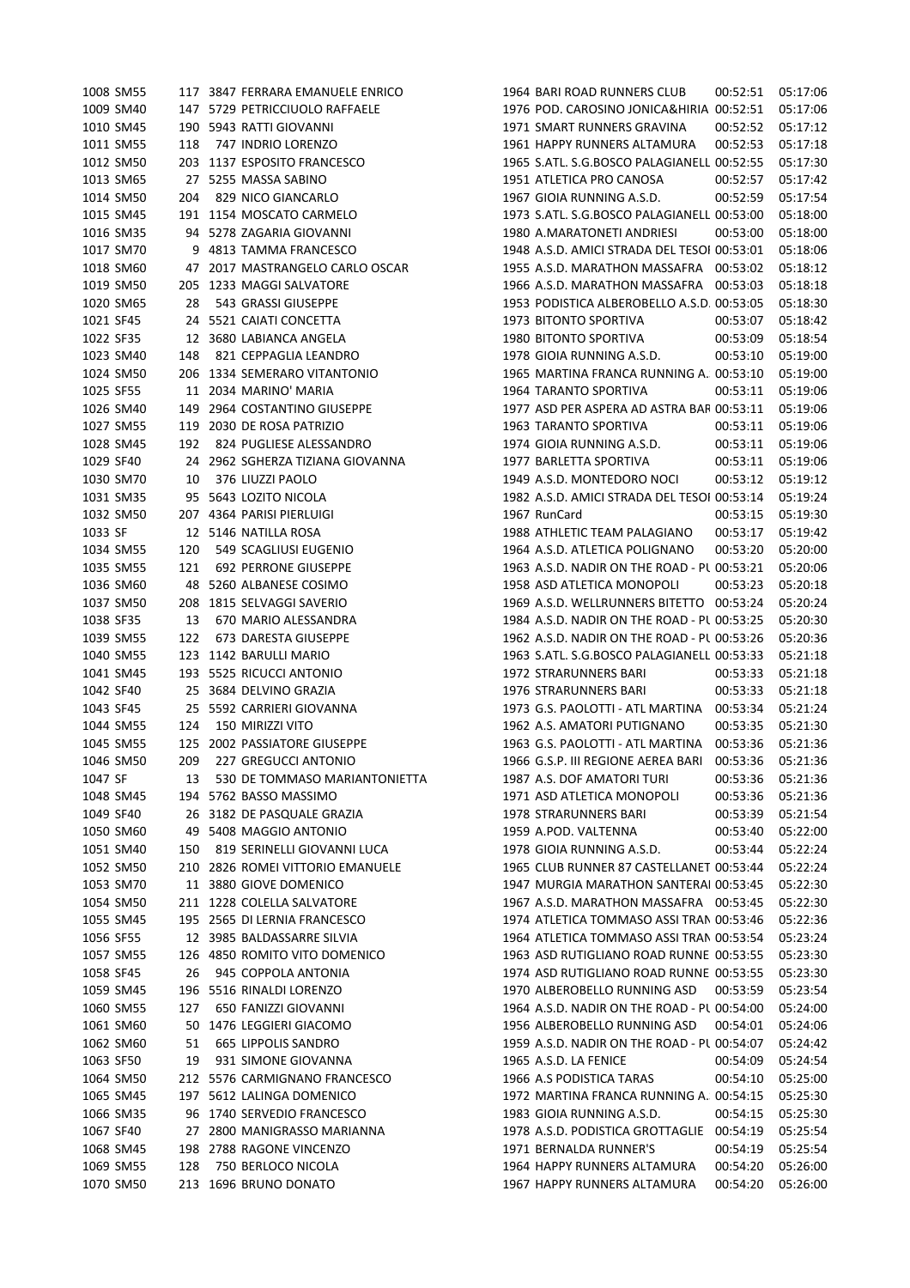|           | 1008 SM55 |     | 117 3847 FERRARA EMANUELE ENRICO | 1964 BARI ROAD RUNNERS CLUB                 | 00:52:51 | 05:17:06 |
|-----------|-----------|-----|----------------------------------|---------------------------------------------|----------|----------|
| 1009 SM40 |           |     | 147 5729 PETRICCIUOLO RAFFAELE   | 1976 POD. CAROSINO JONICA&HIRIA 00:52:51    |          | 05:17:06 |
| 1010 SM45 |           |     | 190 5943 RATTI GIOVANNI          | 1971 SMART RUNNERS GRAVINA                  | 00:52:52 | 05:17:12 |
| 1011 SM55 |           | 118 | 747 INDRIO LORENZO               | 1961 HAPPY RUNNERS ALTAMURA                 | 00:52:53 | 05:17:18 |
| 1012 SM50 |           |     | 203 1137 ESPOSITO FRANCESCO      | 1965 S.ATL. S.G.BOSCO PALAGIANELL 00:52:55  |          | 05:17:30 |
| 1013 SM65 |           |     | 27 5255 MASSA SABINO             | 1951 ATLETICA PRO CANOSA                    | 00:52:57 | 05:17:42 |
| 1014 SM50 |           | 204 | 829 NICO GIANCARLO               | 1967 GIOIA RUNNING A.S.D.                   | 00:52:59 | 05:17:54 |
| 1015 SM45 |           |     | 191 1154 MOSCATO CARMELO         | 1973 S.ATL. S.G.BOSCO PALAGIANELL 00:53:00  |          | 05:18:00 |
| 1016 SM35 |           |     | 94 5278 ZAGARIA GIOVANNI         | 1980 A.MARATONETI ANDRIESI                  | 00:53:00 | 05:18:00 |
| 1017 SM70 |           |     | 9 4813 TAMMA FRANCESCO           | 1948 A.S.D. AMICI STRADA DEL TESOI 00:53:01 |          | 05:18:06 |
| 1018 SM60 |           |     |                                  | 1955 A.S.D. MARATHON MASSAFRA 00:53:02      |          |          |
|           |           |     | 47 2017 MASTRANGELO CARLO OSCAR  |                                             |          | 05:18:12 |
| 1019 SM50 |           |     | 205 1233 MAGGI SALVATORE         | 1966 A.S.D. MARATHON MASSAFRA 00:53:03      |          | 05:18:18 |
| 1020 SM65 |           | 28  | 543 GRASSI GIUSEPPE              | 1953 PODISTICA ALBEROBELLO A.S.D. 00:53:05  |          | 05:18:30 |
| 1021 SF45 |           |     | 24 5521 CAIATI CONCETTA          | 1973 BITONTO SPORTIVA                       | 00:53:07 | 05:18:42 |
| 1022 SF35 |           |     | 12 3680 LABIANCA ANGELA          | 1980 BITONTO SPORTIVA                       | 00:53:09 | 05:18:54 |
| 1023 SM40 |           | 148 | 821 CEPPAGLIA LEANDRO            | 1978 GIOIA RUNNING A.S.D.                   | 00:53:10 | 05:19:00 |
| 1024 SM50 |           |     | 206 1334 SEMERARO VITANTONIO     | 1965 MARTINA FRANCA RUNNING A. 00:53:10     |          | 05:19:00 |
| 1025 SF55 |           |     | 11 2034 MARINO' MARIA            | 1964 TARANTO SPORTIVA                       | 00:53:11 | 05:19:06 |
| 1026 SM40 |           |     | 149 2964 COSTANTINO GIUSEPPE     | 1977 ASD PER ASPERA AD ASTRA BAR 00:53:11   |          | 05:19:06 |
| 1027 SM55 |           |     | 119 2030 DE ROSA PATRIZIO        | 1963 TARANTO SPORTIVA                       | 00:53:11 | 05:19:06 |
| 1028 SM45 |           | 192 | 824 PUGLIESE ALESSANDRO          | 1974 GIOIA RUNNING A.S.D.                   | 00:53:11 | 05:19:06 |
| 1029 SF40 |           |     | 24 2962 SGHERZA TIZIANA GIOVANNA | 1977 BARLETTA SPORTIVA                      | 00:53:11 | 05:19:06 |
| 1030 SM70 |           | 10  | 376 LIUZZI PAOLO                 | 1949 A.S.D. MONTEDORO NOCI                  | 00:53:12 | 05:19:12 |
| 1031 SM35 |           |     | 95 5643 LOZITO NICOLA            | 1982 A.S.D. AMICI STRADA DEL TESOI 00:53:14 |          | 05:19:24 |
| 1032 SM50 |           |     | 207 4364 PARISI PIERLUIGI        | 1967 RunCard                                | 00:53:15 | 05:19:30 |
| 1033 SF   |           |     | 12 5146 NATILLA ROSA             | 1988 ATHLETIC TEAM PALAGIANO                | 00:53:17 | 05:19:42 |
| 1034 SM55 |           | 120 | 549 SCAGLIUSI EUGENIO            | 1964 A.S.D. ATLETICA POLIGNANO              | 00:53:20 | 05:20:00 |
| 1035 SM55 |           | 121 | 692 PERRONE GIUSEPPE             | 1963 A.S.D. NADIR ON THE ROAD - PL 00:53:21 |          | 05:20:06 |
| 1036 SM60 |           |     | 48 5260 ALBANESE COSIMO          | 1958 ASD ATLETICA MONOPOLI                  | 00:53:23 | 05:20:18 |
| 1037 SM50 |           |     | 208 1815 SELVAGGI SAVERIO        | 1969 A.S.D. WELLRUNNERS BITETTO 00:53:24    |          | 05:20:24 |
| 1038 SF35 |           |     |                                  | 1984 A.S.D. NADIR ON THE ROAD - PL 00:53:25 |          | 05:20:30 |
|           |           | 13  | 670 MARIO ALESSANDRA             |                                             |          |          |
| 1039 SM55 |           | 122 | 673 DARESTA GIUSEPPE             | 1962 A.S.D. NADIR ON THE ROAD - PL 00:53:26 |          | 05:20:36 |
| 1040 SM55 |           |     | 123 1142 BARULLI MARIO           | 1963 S.ATL. S.G.BOSCO PALAGIANELL 00:53:33  |          | 05:21:18 |
| 1041 SM45 |           |     | 193 5525 RICUCCI ANTONIO         | 1972 STRARUNNERS BARI                       | 00:53:33 | 05:21:18 |
| 1042 SF40 |           |     | 25 3684 DELVINO GRAZIA           | 1976 STRARUNNERS BARI                       | 00:53:33 |          |
|           |           |     |                                  |                                             |          | 05:21:18 |
| 1043 SF45 |           |     | 25 5592 CARRIERI GIOVANNA        | 1973 G.S. PAOLOTTI - ATL MARTINA 00:53:34   |          | 05:21:24 |
| 1044 SM55 |           | 124 | 150 MIRIZZI VITO                 | 1962 A.S. AMATORI PUTIGNANO                 | 00:53:35 | 05:21:30 |
| 1045 SM55 |           |     | 125 2002 PASSIATORE GIUSEPPE     | 1963 G.S. PAOLOTTI - ATL MARTINA 00:53:36   |          | 05:21:36 |
| 1046 SM50 |           | 209 | 227 GREGUCCI ANTONIO             | 1966 G.S.P. III REGIONE AEREA BARI 00:53:36 |          | 05:21:36 |
| 1047 SF   |           | 13  | 530 DE TOMMASO MARIANTONIETTA    | 1987 A.S. DOF AMATORI TURI                  | 00:53:36 | 05:21:36 |
| 1048 SM45 |           |     | 194 5762 BASSO MASSIMO           | 1971 ASD ATLETICA MONOPOLI                  | 00:53:36 | 05:21:36 |
| 1049 SF40 |           |     | 26 3182 DE PASQUALE GRAZIA       | 1978 STRARUNNERS BARI                       | 00:53:39 | 05:21:54 |
| 1050 SM60 |           |     | 49 5408 MAGGIO ANTONIO           | 1959 A.POD. VALTENNA                        | 00:53:40 | 05:22:00 |
| 1051 SM40 |           | 150 | 819 SERINELLI GIOVANNI LUCA      | 1978 GIOIA RUNNING A.S.D.                   | 00:53:44 | 05:22:24 |
| 1052 SM50 |           |     | 210 2826 ROMEI VITTORIO EMANUELE | 1965 CLUB RUNNER 87 CASTELLANET 00:53:44    |          | 05:22:24 |
| 1053 SM70 |           |     | 11 3880 GIOVE DOMENICO           | 1947 MURGIA MARATHON SANTERAI 00:53:45      |          | 05:22:30 |
|           |           |     |                                  |                                             |          |          |
| 1054 SM50 |           |     | 211 1228 COLELLA SALVATORE       | 1967 A.S.D. MARATHON MASSAFRA 00:53:45      |          | 05:22:30 |
| 1055 SM45 |           |     | 195 2565 DI LERNIA FRANCESCO     | 1974 ATLETICA TOMMASO ASSI TRAN 00:53:46    |          | 05:22:36 |
| 1056 SF55 |           |     | 12 3985 BALDASSARRE SILVIA       | 1964 ATLETICA TOMMASO ASSI TRAN 00:53:54    |          | 05:23:24 |
| 1057 SM55 |           |     | 126 4850 ROMITO VITO DOMENICO    | 1963 ASD RUTIGLIANO ROAD RUNNE 00:53:55     |          | 05:23:30 |
| 1058 SF45 |           | 26  | 945 COPPOLA ANTONIA              | 1974 ASD RUTIGLIANO ROAD RUNNE 00:53:55     |          | 05:23:30 |
| 1059 SM45 |           |     | 196 5516 RINALDI LORENZO         | 1970 ALBEROBELLO RUNNING ASD                | 00:53:59 | 05:23:54 |
| 1060 SM55 |           | 127 | 650 FANIZZI GIOVANNI             | 1964 A.S.D. NADIR ON THE ROAD - PL 00:54:00 |          | 05:24:00 |
| 1061 SM60 |           |     | 50 1476 LEGGIERI GIACOMO         | 1956 ALBEROBELLO RUNNING ASD                | 00:54:01 | 05:24:06 |
| 1062 SM60 |           | 51  | <b>665 LIPPOLIS SANDRO</b>       | 1959 A.S.D. NADIR ON THE ROAD - PL 00:54:07 |          | 05:24:42 |
| 1063 SF50 |           | 19  | 931 SIMONE GIOVANNA              | 1965 A.S.D. LA FENICE                       | 00:54:09 | 05:24:54 |
| 1064 SM50 |           |     | 212 5576 CARMIGNANO FRANCESCO    | 1966 A.S PODISTICA TARAS                    | 00:54:10 | 05:25:00 |
| 1065 SM45 |           |     | 197 5612 LALINGA DOMENICO        | 1972 MARTINA FRANCA RUNNING A. 00:54:15     |          | 05:25:30 |
| 1066 SM35 |           |     | 96 1740 SERVEDIO FRANCESCO       | 1983 GIOIA RUNNING A.S.D.                   | 00:54:15 | 05:25:30 |
| 1067 SF40 |           |     | 27 2800 MANIGRASSO MARIANNA      | 1978 A.S.D. PODISTICA GROTTAGLIE 00:54:19   |          | 05:25:54 |
| 1068 SM45 |           |     | 198 2788 RAGONE VINCENZO         | 1971 BERNALDA RUNNER'S                      | 00:54:19 | 05:25:54 |
| 1069 SM55 |           | 128 | 750 BERLOCO NICOLA               | 1964 HAPPY RUNNERS ALTAMURA                 | 00:54:20 | 05:26:00 |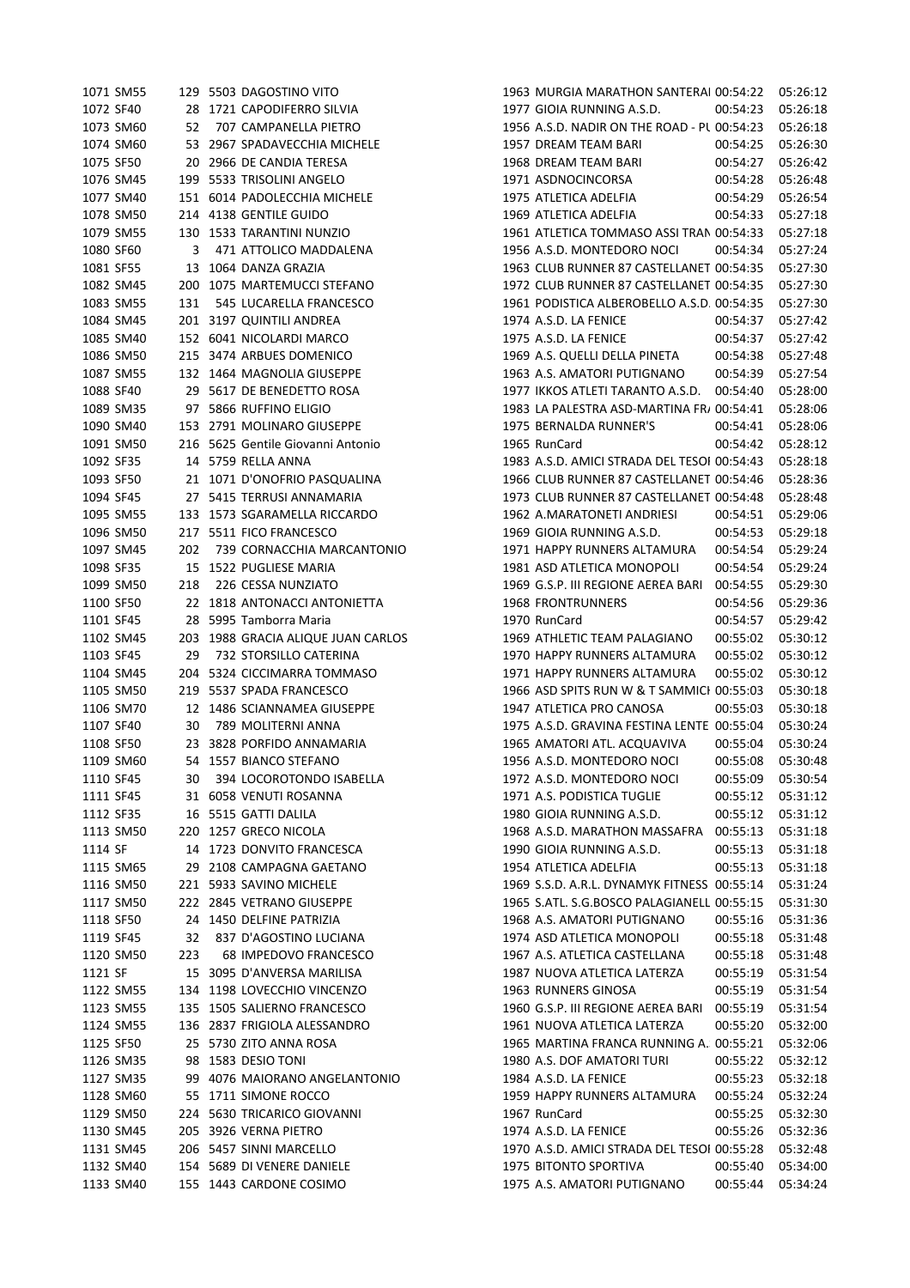| 1071 SM55 |     | 129 5503 DAGOSTINO VITO            | 1963 MURGIA MARATHON SANTERAI 00:54:22      |          | 05:26:12 |
|-----------|-----|------------------------------------|---------------------------------------------|----------|----------|
| 1072 SF40 |     | 28 1721 CAPODIFERRO SILVIA         | 1977 GIOIA RUNNING A.S.D.                   | 00:54:23 | 05:26:18 |
| 1073 SM60 | 52  | 707 CAMPANELLA PIETRO              | 1956 A.S.D. NADIR ON THE ROAD - PL 00:54:23 |          | 05:26:18 |
| 1074 SM60 |     | 53 2967 SPADAVECCHIA MICHELE       | 1957 DREAM TEAM BARI                        | 00:54:25 | 05:26:30 |
| 1075 SF50 |     | 20 2966 DE CANDIA TERESA           | 1968 DREAM TEAM BARI                        | 00:54:27 | 05:26:42 |
| 1076 SM45 |     | 199 5533 TRISOLINI ANGELO          | 1971 ASDNOCINCORSA                          | 00:54:28 | 05:26:48 |
| 1077 SM40 |     | 151 6014 PADOLECCHIA MICHELE       | 1975 ATLETICA ADELFIA                       | 00:54:29 | 05:26:54 |
| 1078 SM50 |     | 214 4138 GENTILE GUIDO             | 1969 ATLETICA ADELFIA                       | 00:54:33 | 05:27:18 |
| 1079 SM55 |     | 130 1533 TARANTINI NUNZIO          | 1961 ATLETICA TOMMASO ASSI TRAN 00:54:33    |          | 05:27:18 |
| 1080 SF60 | 3   | 471 ATTOLICO MADDALENA             | 1956 A.S.D. MONTEDORO NOCI                  | 00:54:34 | 05:27:24 |
| 1081 SF55 |     | 13 1064 DANZA GRAZIA               | 1963 CLUB RUNNER 87 CASTELLANET 00:54:35    |          | 05:27:30 |
| 1082 SM45 |     | 200 1075 MARTEMUCCI STEFANO        | 1972 CLUB RUNNER 87 CASTELLANET 00:54:35    |          | 05:27:30 |
| 1083 SM55 | 131 | 545 LUCARELLA FRANCESCO            | 1961 PODISTICA ALBEROBELLO A.S.D. 00:54:35  |          | 05:27:30 |
| 1084 SM45 |     | 201 3197 QUINTILI ANDREA           | 1974 A.S.D. LA FENICE                       | 00:54:37 | 05:27:42 |
| 1085 SM40 |     | 152 6041 NICOLARDI MARCO           | 1975 A.S.D. LA FENICE                       | 00:54:37 | 05:27:42 |
| 1086 SM50 |     | 215 3474 ARBUES DOMENICO           | 1969 A.S. QUELLI DELLA PINETA               | 00:54:38 | 05:27:48 |
| 1087 SM55 |     | 132 1464 MAGNOLIA GIUSEPPE         | 1963 A.S. AMATORI PUTIGNANO                 | 00:54:39 | 05:27:54 |
| 1088 SF40 |     | 29 5617 DE BENEDETTO ROSA          | 1977 IKKOS ATLETI TARANTO A.S.D. 00:54:40   |          | 05:28:00 |
| 1089 SM35 |     | 97 5866 RUFFINO ELIGIO             | 1983 LA PALESTRA ASD-MARTINA FR/ 00:54:41   |          | 05:28:06 |
| 1090 SM40 |     | 153 2791 MOLINARO GIUSEPPE         | 1975 BERNALDA RUNNER'S                      | 00:54:41 | 05:28:06 |
| 1091 SM50 |     | 216 5625 Gentile Giovanni Antonio  | 1965 RunCard                                | 00:54:42 | 05:28:12 |
| 1092 SF35 |     | 14 5759 RELLA ANNA                 | 1983 A.S.D. AMICI STRADA DEL TESOI 00:54:43 |          | 05:28:18 |
| 1093 SF50 |     | 21 1071 D'ONOFRIO PASQUALINA       | 1966 CLUB RUNNER 87 CASTELLANET 00:54:46    |          | 05:28:36 |
| 1094 SF45 |     | 27 5415 TERRUSI ANNAMARIA          | 1973 CLUB RUNNER 87 CASTELLANET 00:54:48    |          | 05:28:48 |
| 1095 SM55 |     | 133 1573 SGARAMELLA RICCARDO       | 1962 A.MARATONETI ANDRIESI                  | 00:54:51 | 05:29:06 |
|           |     |                                    |                                             |          |          |
| 1096 SM50 |     | 217 5511 FICO FRANCESCO            | 1969 GIOIA RUNNING A.S.D.                   | 00:54:53 | 05:29:18 |
| 1097 SM45 | 202 | 739 CORNACCHIA MARCANTONIO         | 1971 HAPPY RUNNERS ALTAMURA                 | 00:54:54 | 05:29:24 |
| 1098 SF35 |     | 15 1522 PUGLIESE MARIA             | 1981 ASD ATLETICA MONOPOLI                  | 00:54:54 | 05:29:24 |
| 1099 SM50 | 218 | 226 CESSA NUNZIATO                 | 1969 G.S.P. III REGIONE AEREA BARI 00:54:55 |          | 05:29:30 |
| 1100 SF50 |     | 22 1818 ANTONACCI ANTONIETTA       | 1968 FRONTRUNNERS                           | 00:54:56 | 05:29:36 |
| 1101 SF45 |     | 28 5995 Tamborra Maria             | 1970 RunCard                                | 00:54:57 | 05:29:42 |
| 1102 SM45 |     | 203 1988 GRACIA ALIQUE JUAN CARLOS | 1969 ATHLETIC TEAM PALAGIANO                | 00:55:02 | 05:30:12 |
| 1103 SF45 | 29  | 732 STORSILLO CATERINA             | 1970 HAPPY RUNNERS ALTAMURA                 | 00:55:02 | 05:30:12 |
| 1104 SM45 |     | 204 5324 CICCIMARRA TOMMASO        | 1971 HAPPY RUNNERS ALTAMURA                 | 00:55:02 | 05:30:12 |
| 1105 SM50 |     | 219 5537 SPADA FRANCESCO           | 1966 ASD SPITS RUN W & T SAMMICI 00:55:03   |          | 05:30:18 |
| 1106 SM70 |     | 12 1486 SCIANNAMEA GIUSEPPE        | 1947 ATLETICA PRO CANOSA                    | 00:55:03 | 05:30:18 |
| 1107 SF40 | 30  | 789 MOLITERNI ANNA                 | 1975 A.S.D. GRAVINA FESTINA LENTE 00:55:04  |          | 05:30:24 |
| 1108 SF50 |     | 23 3828 PORFIDO ANNAMARIA          | 1965 AMATORI ATL. ACQUAVIVA                 | 00:55:04 | 05:30:24 |
| 1109 SM60 |     | 54 1557 BIANCO STEFANO             | 1956 A.S.D. MONTEDORO NOCI                  | 00:55:08 | 05:30:48 |
| 1110 SF45 | 30  | 394 LOCOROTONDO ISABELLA           | 1972 A.S.D. MONTEDORO NOCI                  | 00:55:09 | 05:30:54 |
| 1111 SF45 |     | 31 6058 VENUTI ROSANNA             | 1971 A.S. PODISTICA TUGLIE                  | 00:55:12 | 05:31:12 |
| 1112 SF35 |     | 16 5515 GATTI DALILA               | 1980 GIOIA RUNNING A.S.D.                   | 00:55:12 | 05:31:12 |
| 1113 SM50 |     | 220 1257 GRECO NICOLA              | 1968 A.S.D. MARATHON MASSAFRA 00:55:13      |          | 05:31:18 |
| 1114 SF   |     | 14 1723 DONVITO FRANCESCA          | 1990 GIOIA RUNNING A.S.D.                   | 00:55:13 | 05:31:18 |
| 1115 SM65 |     | 29 2108 CAMPAGNA GAETANO           | 1954 ATLETICA ADELFIA                       | 00:55:13 | 05:31:18 |
| 1116 SM50 |     | 221 5933 SAVINO MICHELE            | 1969 S.S.D. A.R.L. DYNAMYK FITNESS 00:55:14 |          | 05:31:24 |
| 1117 SM50 |     | 222 2845 VETRANO GIUSEPPE          | 1965 S.ATL. S.G.BOSCO PALAGIANELL 00:55:15  |          | 05:31:30 |
| 1118 SF50 |     | 24 1450 DELFINE PATRIZIA           | 1968 A.S. AMATORI PUTIGNANO                 | 00:55:16 | 05:31:36 |
| 1119 SF45 | 32  | 837 D'AGOSTINO LUCIANA             | 1974 ASD ATLETICA MONOPOLI                  | 00:55:18 | 05:31:48 |
| 1120 SM50 | 223 | 68 IMPEDOVO FRANCESCO              | 1967 A.S. ATLETICA CASTELLANA               | 00:55:18 | 05:31:48 |
| 1121 SF   |     | 15 3095 D'ANVERSA MARILISA         | 1987 NUOVA ATLETICA LATERZA                 | 00:55:19 | 05:31:54 |
| 1122 SM55 |     | 134 1198 LOVECCHIO VINCENZO        | 1963 RUNNERS GINOSA                         | 00:55:19 | 05:31:54 |
| 1123 SM55 |     | 135 1505 SALIERNO FRANCESCO        | 1960 G.S.P. III REGIONE AEREA BARI 00:55:19 |          | 05:31:54 |
| 1124 SM55 |     | 136 2837 FRIGIOLA ALESSANDRO       | 1961 NUOVA ATLETICA LATERZA                 | 00:55:20 | 05:32:00 |
| 1125 SF50 |     | 25 5730 ZITO ANNA ROSA             | 1965 MARTINA FRANCA RUNNING A. 00:55:21     |          | 05:32:06 |
| 1126 SM35 |     | 98 1583 DESIO TONI                 | 1980 A.S. DOF AMATORI TURI                  | 00:55:22 | 05:32:12 |
| 1127 SM35 |     | 99 4076 MAIORANO ANGELANTONIO      | 1984 A.S.D. LA FENICE                       | 00:55:23 | 05:32:18 |
| 1128 SM60 |     | 55 1711 SIMONE ROCCO               | 1959 HAPPY RUNNERS ALTAMURA                 | 00:55:24 | 05:32:24 |
| 1129 SM50 |     | 224 5630 TRICARICO GIOVANNI        | 1967 RunCard                                | 00:55:25 | 05:32:30 |
| 1130 SM45 |     | 205 3926 VERNA PIETRO              | 1974 A.S.D. LA FENICE                       | 00:55:26 | 05:32:36 |
| 1131 SM45 |     | 206 5457 SINNI MARCELLO            | 1970 A.S.D. AMICI STRADA DEL TESOI 00:55:28 |          | 05:32:48 |
|           |     | 154 5689 DI VENERE DANIELE         | 1975 BITONTO SPORTIVA                       |          | 05:34:00 |
| 1132 SM40 |     |                                    |                                             | 00:55:40 |          |
| 1133 SM40 |     | 155 1443 CARDONE COSIMO            | 1975 A.S. AMATORI PUTIGNANO                 | 00:55:44 | 05:34:24 |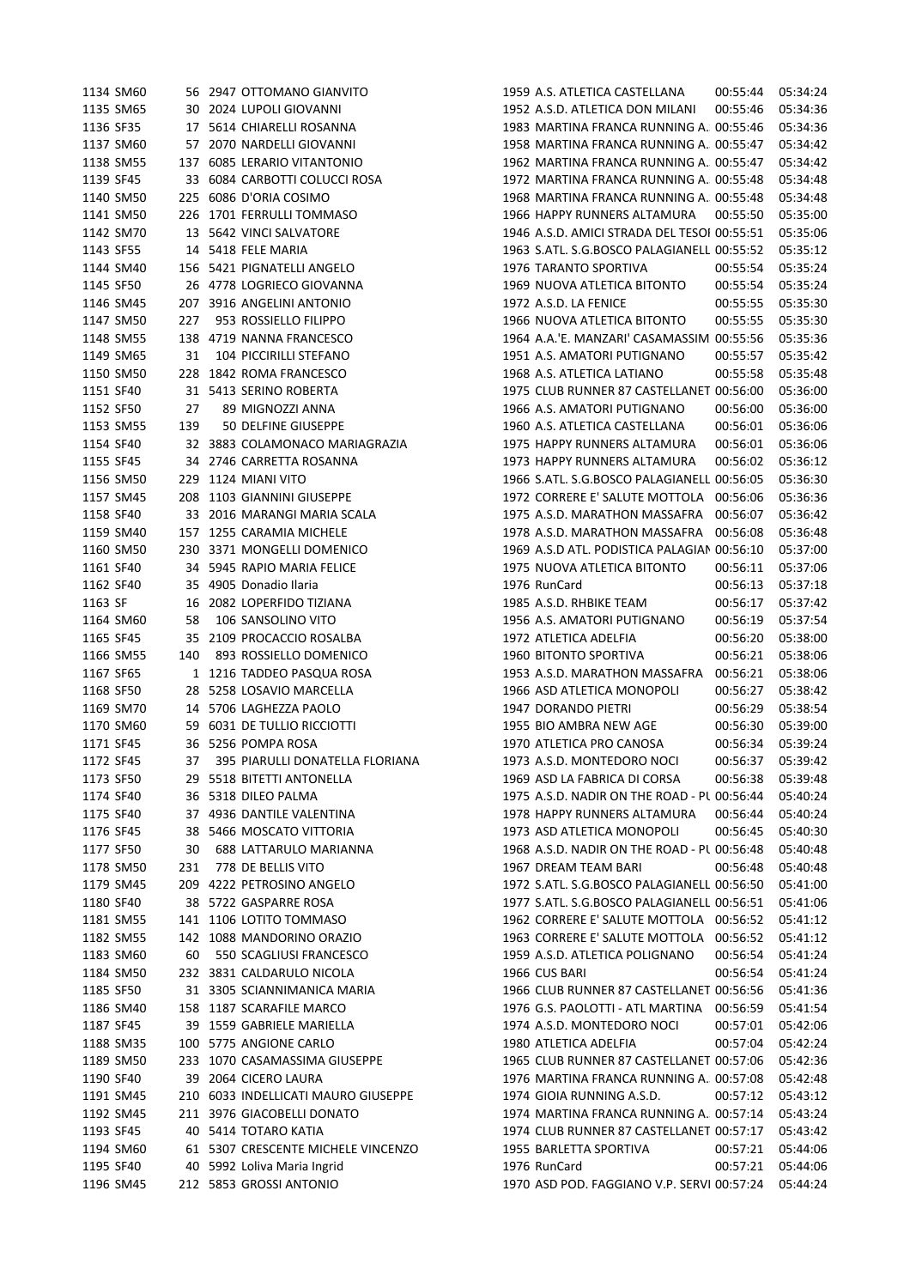| 1134 SM60              |     | 56 2947 OTTOMANO GIANVITO                              | 1959 A.S. ATLETICA CASTELLANA<br>00:55:44<br>05:34:24                                          |
|------------------------|-----|--------------------------------------------------------|------------------------------------------------------------------------------------------------|
| 1135 SM65              |     | 30 2024 LUPOLI GIOVANNI                                | 1952 A.S.D. ATLETICA DON MILANI<br>00:55:46<br>05:34:36                                        |
| 1136 SF35              |     | 17 5614 CHIARELLI ROSANNA                              | 1983 MARTINA FRANCA RUNNING A. 00:55:46<br>05:34:36                                            |
| 1137 SM60              |     | 57 2070 NARDELLI GIOVANNI                              | 1958 MARTINA FRANCA RUNNING A. 00:55:47<br>05:34:42                                            |
| 1138 SM55              |     | 137 6085 LERARIO VITANTONIO                            | 1962 MARTINA FRANCA RUNNING A. 00:55:47<br>05:34:42                                            |
| 1139 SF45              |     | 33 6084 CARBOTTI COLUCCI ROSA                          | 05:34:48<br>1972 MARTINA FRANCA RUNNING A. 00:55:48                                            |
| 1140 SM50              |     | 225 6086 D'ORIA COSIMO                                 | 05:34:48<br>1968 MARTINA FRANCA RUNNING A. 00:55:48                                            |
| 1141 SM50              |     | 226 1701 FERRULLI TOMMASO                              | 1966 HAPPY RUNNERS ALTAMURA<br>05:35:00<br>00:55:50                                            |
| 1142 SM70              |     | 13 5642 VINCI SALVATORE                                | 1946 A.S.D. AMICI STRADA DEL TESOI 00:55:51<br>05:35:06                                        |
| 1143 SF55              |     | 14 5418 FELE MARIA                                     | 1963 S.ATL. S.G.BOSCO PALAGIANELL 00:55:52<br>05:35:12                                         |
| 1144 SM40              |     | 156 5421 PIGNATELLI ANGELO                             | 1976 TARANTO SPORTIVA<br>00:55:54<br>05:35:24                                                  |
| 1145 SF50              |     | 26 4778 LOGRIECO GIOVANNA                              | 05:35:24<br>1969 NUOVA ATLETICA BITONTO<br>00:55:54                                            |
| 1146 SM45              |     | 207 3916 ANGELINI ANTONIO                              | 1972 A.S.D. LA FENICE<br>05:35:30<br>00:55:55                                                  |
| 1147 SM50              | 227 | 953 ROSSIELLO FILIPPO                                  | 05:35:30<br>1966 NUOVA ATLETICA BITONTO<br>00:55:55                                            |
| 1148 SM55              |     | 138 4719 NANNA FRANCESCO                               | 1964 A.A.'E. MANZARI' CASAMASSIM 00:55:56<br>05:35:36                                          |
| 1149 SM65              | 31  | 104 PICCIRILLI STEFANO                                 | 05:35:42<br>1951 A.S. AMATORI PUTIGNANO<br>00:55:57                                            |
| 1150 SM50              |     | 228 1842 ROMA FRANCESCO                                | 1968 A.S. ATLETICA LATIANO<br>00:55:58<br>05:35:48                                             |
| 1151 SF40              |     | 31 5413 SERINO ROBERTA                                 | 05:36:00<br>1975 CLUB RUNNER 87 CASTELLANET 00:56:00                                           |
| 1152 SF50              | 27  | 89 MIGNOZZI ANNA                                       | 1966 A.S. AMATORI PUTIGNANO<br>00:56:00<br>05:36:00                                            |
| 1153 SM55              | 139 | 50 DELFINE GIUSEPPE                                    | 1960 A.S. ATLETICA CASTELLANA<br>00:56:01<br>05:36:06                                          |
| 1154 SF40              |     | 32 3883 COLAMONACO MARIAGRAZIA                         | 1975 HAPPY RUNNERS ALTAMURA<br>00:56:01<br>05:36:06                                            |
| 1155 SF45              |     | 34 2746 CARRETTA ROSANNA                               | 1973 HAPPY RUNNERS ALTAMURA<br>00:56:02<br>05:36:12                                            |
| 1156 SM50              |     | 229 1124 MIANI VITO                                    | 1966 S.ATL. S.G.BOSCO PALAGIANELL 00:56:05<br>05:36:30                                         |
| 1157 SM45              |     | 208 1103 GIANNINI GIUSEPPE                             | 1972 CORRERE E' SALUTE MOTTOLA 00:56:06<br>05:36:36                                            |
| 1158 SF40              |     | 33 2016 MARANGI MARIA SCALA                            | 05:36:42<br>1975 A.S.D. MARATHON MASSAFRA<br>00:56:07                                          |
| 1159 SM40              |     | 157 1255 CARAMIA MICHELE                               | 1978 A.S.D. MARATHON MASSAFRA<br>05:36:48<br>00:56:08                                          |
| 1160 SM50              |     | 230 3371 MONGELLI DOMENICO                             | 1969 A.S.D ATL. PODISTICA PALAGIAN 00:56:10<br>05:37:00                                        |
| 1161 SF40              |     | 34 5945 RAPIO MARIA FELICE                             | 1975 NUOVA ATLETICA BITONTO<br>00:56:11<br>05:37:06                                            |
| 1162 SF40              |     | 35 4905 Donadio Ilaria                                 | 1976 RunCard<br>00:56:13<br>05:37:18                                                           |
| 1163 SF                |     | 16 2082 LOPERFIDO TIZIANA                              | 1985 A.S.D. RHBIKE TEAM<br>00:56:17<br>05:37:42                                                |
| 1164 SM60              | 58  | 106 SANSOLINO VITO                                     | 1956 A.S. AMATORI PUTIGNANO<br>05:37:54<br>00:56:19                                            |
| 1165 SF45              |     | 35 2109 PROCACCIO ROSALBA                              | 05:38:00<br>1972 ATLETICA ADELFIA<br>00:56:20                                                  |
| 1166 SM55              | 140 | 893 ROSSIELLO DOMENICO                                 | 1960 BITONTO SPORTIVA<br>00:56:21<br>05:38:06                                                  |
| 1167 SF65              |     | 1 1216 TADDEO PASQUA ROSA                              | 1953 A.S.D. MARATHON MASSAFRA<br>00:56:21<br>05:38:06                                          |
| 1168 SF50              |     | 28 5258 LOSAVIO MARCELLA                               | 1966 ASD ATLETICA MONOPOLI<br>00:56:27<br>05:38:42                                             |
| 1169 SM70              |     | 14 5706 LAGHEZZA PAOLO                                 | 1947 DORANDO PIETRI<br>00:56:29<br>05:38:54                                                    |
| 1170 SM60              |     | 59 6031 DE TULLIO RICCIOTTI                            | 1955 BIO AMBRA NEW AGE<br>00:56:30<br>05:39:00                                                 |
| 1171 SF45              |     | 36 5256 POMPA ROSA                                     | 1970 ATLETICA PRO CANOSA<br>05:39:24<br>00:56:34                                               |
| 1172 SF45              | 37  | 395 PIARULLI DONATELLA FLORIANA                        | 1973 A.S.D. MONTEDORO NOCI<br>00:56:37<br>05:39:42                                             |
| 1173 SF50              |     | 29 5518 BITETTI ANTONELLA                              | 1969 ASD LA FABRICA DI CORSA<br>05:39:48<br>00:56:38                                           |
| 1174 SF40              |     | 36 5318 DILEO PALMA                                    | 05:40:24<br>1975 A.S.D. NADIR ON THE ROAD - PL 00:56:44                                        |
| 1175 SF40              |     | 37 4936 DANTILE VALENTINA                              | 1978 HAPPY RUNNERS ALTAMURA<br>05:40:24<br>00:56:44                                            |
| 1176 SF45              |     | 38 5466 MOSCATO VITTORIA                               | 1973 ASD ATLETICA MONOPOLI<br>00:56:45<br>05:40:30                                             |
| 1177 SF50              | 30  | 688 LATTARULO MARIANNA                                 | 05:40:48<br>1968 A.S.D. NADIR ON THE ROAD - PL 00:56:48                                        |
| 1178 SM50              | 231 | 778 DE BELLIS VITO                                     | 1967 DREAM TEAM BARI<br>05:40:48<br>00:56:48                                                   |
| 1179 SM45              |     | 209 4222 PETROSINO ANGELO                              | 1972 S.ATL. S.G.BOSCO PALAGIANELL 00:56:50<br>05:41:00                                         |
| 1180 SF40              |     | 38 5722 GASPARRE ROSA                                  | 1977 S.ATL. S.G.BOSCO PALAGIANELL 00:56:51<br>05:41:06                                         |
| 1181 SM55              |     | 141 1106 LOTITO TOMMASO                                | 1962 CORRERE E' SALUTE MOTTOLA 00:56:52<br>05:41:12                                            |
| 1182 SM55              |     | 142 1088 MANDORINO ORAZIO                              | 1963 CORRERE E' SALUTE MOTTOLA 00:56:52<br>05:41:12                                            |
| 1183 SM60              | 60  | 550 SCAGLIUSI FRANCESCO                                | 05:41:24<br>1959 A.S.D. ATLETICA POLIGNANO<br>00:56:54                                         |
|                        |     |                                                        | 1966 CUS BARI<br>00:56:54<br>05:41:24                                                          |
| 1184 SM50              |     | 232 3831 CALDARULO NICOLA                              |                                                                                                |
| 1185 SF50              |     | 31 3305 SCIANNIMANICA MARIA                            | 1966 CLUB RUNNER 87 CASTELLANET 00:56:56<br>05:41:36                                           |
| 1186 SM40              |     | 158 1187 SCARAFILE MARCO                               | 1976 G.S. PAOLOTTI - ATL MARTINA 00:56:59<br>05:41:54                                          |
| 1187 SF45              |     | 39 1559 GABRIELE MARIELLA                              | 1974 A.S.D. MONTEDORO NOCI<br>00:57:01<br>05:42:06                                             |
| 1188 SM35              |     | 100 5775 ANGIONE CARLO                                 | 1980 ATLETICA ADELFIA<br>05:42:24<br>00:57:04                                                  |
| 1189 SM50              |     | 233 1070 CASAMASSIMA GIUSEPPE                          | 1965 CLUB RUNNER 87 CASTELLANET 00:57:06<br>05:42:36                                           |
| 1190 SF40              |     | 39 2064 CICERO LAURA                                   | 1976 MARTINA FRANCA RUNNING A. 00:57:08<br>05:42:48                                            |
| 1191 SM45              |     | 210 6033 INDELLICATI MAURO GIUSEPPE                    | 1974 GIOIA RUNNING A.S.D.<br>05:43:12<br>00:57:12                                              |
| 1192 SM45              |     | 211 3976 GIACOBELLI DONATO                             | 1974 MARTINA FRANCA RUNNING A. 00:57:14<br>05:43:24                                            |
| 1193 SF45              |     | 40 5414 TOTARO KATIA                                   | 1974 CLUB RUNNER 87 CASTELLANET 00:57:17<br>05:43:42                                           |
| 1194 SM60              |     | 61 5307 CRESCENTE MICHELE VINCENZO                     | 1955 BARLETTA SPORTIVA<br>00:57:21<br>05:44:06                                                 |
|                        |     |                                                        |                                                                                                |
| 1195 SF40<br>1196 SM45 |     | 40 5992 Loliva Maria Ingrid<br>212 5853 GROSSI ANTONIO | 1976 RunCard<br>05:44:06<br>00:57:21<br>1970 ASD POD. FAGGIANO V.P. SERVI 00:57:24<br>05:44:24 |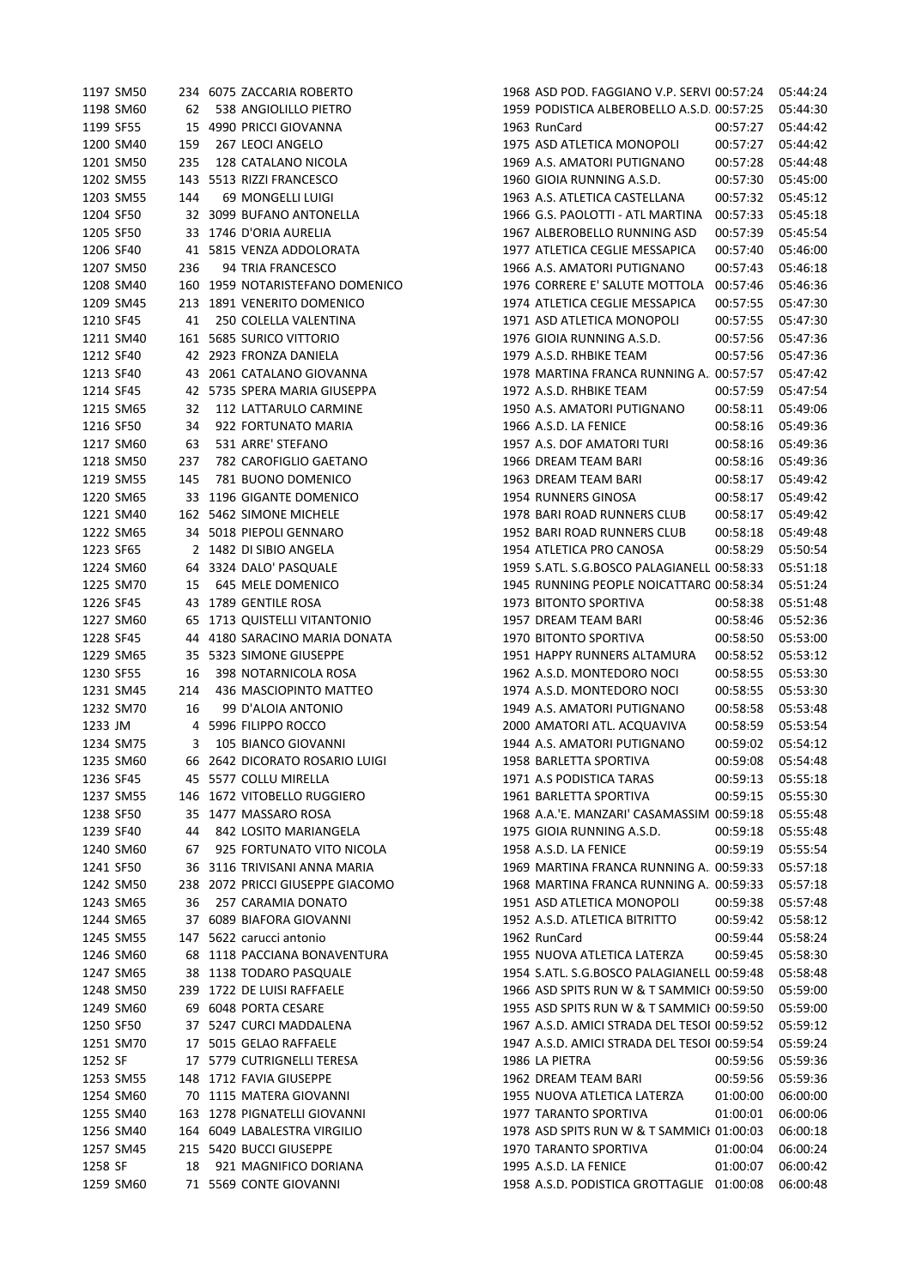|           | 1197 SM50 |     | 234 6075 ZACCARIA ROBERTO        | 1968 ASD POD. FAGGIANO V.P. SERVI 00:57:24  |          | 05:44:24 |
|-----------|-----------|-----|----------------------------------|---------------------------------------------|----------|----------|
|           | 1198 SM60 | 62  | 538 ANGIOLILLO PIETRO            | 1959 PODISTICA ALBEROBELLO A.S.D. 00:57:25  |          | 05:44:30 |
|           | 1199 SF55 |     | 15 4990 PRICCI GIOVANNA          | 1963 RunCard                                | 00:57:27 | 05:44:42 |
|           | 1200 SM40 | 159 | 267 LEOCI ANGELO                 | 1975 ASD ATLETICA MONOPOLI                  | 00:57:27 | 05:44:42 |
|           | 1201 SM50 | 235 | 128 CATALANO NICOLA              | 1969 A.S. AMATORI PUTIGNANO                 | 00:57:28 | 05:44:48 |
|           | 1202 SM55 |     | 143 5513 RIZZI FRANCESCO         | 1960 GIOIA RUNNING A.S.D.                   | 00:57:30 | 05:45:00 |
|           | 1203 SM55 | 144 | 69 MONGELLI LUIGI                | 1963 A.S. ATLETICA CASTELLANA               | 00:57:32 | 05:45:12 |
| 1204 SF50 |           |     | 32 3099 BUFANO ANTONELLA         | 1966 G.S. PAOLOTTI - ATL MARTINA            | 00:57:33 | 05:45:18 |
| 1205 SF50 |           |     | 33 1746 D'ORIA AURELIA           | 1967 ALBEROBELLO RUNNING ASD                | 00:57:39 | 05:45:54 |
| 1206 SF40 |           |     | 41 5815 VENZA ADDOLORATA         | 1977 ATLETICA CEGLIE MESSAPICA              | 00:57:40 | 05:46:00 |
|           | 1207 SM50 |     | 94 TRIA FRANCESCO                | 1966 A.S. AMATORI PUTIGNANO                 | 00:57:43 |          |
|           |           | 236 |                                  |                                             |          | 05:46:18 |
|           | 1208 SM40 |     | 160 1959 NOTARISTEFANO DOMENICO  | 1976 CORRERE E' SALUTE MOTTOLA              | 00:57:46 | 05:46:36 |
|           | 1209 SM45 |     | 213 1891 VENERITO DOMENICO       | 1974 ATLETICA CEGLIE MESSAPICA              | 00:57:55 | 05:47:30 |
| 1210 SF45 |           | 41  | 250 COLELLA VALENTINA            | 1971 ASD ATLETICA MONOPOLI                  | 00:57:55 | 05:47:30 |
|           | 1211 SM40 |     | 161 5685 SURICO VITTORIO         | 1976 GIOIA RUNNING A.S.D.                   | 00:57:56 | 05:47:36 |
| 1212 SF40 |           |     | 42 2923 FRONZA DANIELA           | 1979 A.S.D. RHBIKE TEAM                     | 00:57:56 | 05:47:36 |
| 1213 SF40 |           |     | 43 2061 CATALANO GIOVANNA        | 1978 MARTINA FRANCA RUNNING A. 00:57:57     |          | 05:47:42 |
|           | 1214 SF45 |     | 42 5735 SPERA MARIA GIUSEPPA     | 1972 A.S.D. RHBIKE TEAM                     | 00:57:59 | 05:47:54 |
|           | 1215 SM65 | 32  | 112 LATTARULO CARMINE            | 1950 A.S. AMATORI PUTIGNANO                 | 00:58:11 | 05:49:06 |
| 1216 SF50 |           | 34  | 922 FORTUNATO MARIA              | 1966 A.S.D. LA FENICE                       | 00:58:16 | 05:49:36 |
|           | 1217 SM60 | 63  | 531 ARRE' STEFANO                | 1957 A.S. DOF AMATORI TURI                  | 00:58:16 | 05:49:36 |
|           | 1218 SM50 | 237 | 782 CAROFIGLIO GAETANO           | 1966 DREAM TEAM BARI                        | 00:58:16 | 05:49:36 |
|           | 1219 SM55 | 145 | 781 BUONO DOMENICO               | 1963 DREAM TEAM BARI                        | 00:58:17 | 05:49:42 |
|           | 1220 SM65 |     | 33 1196 GIGANTE DOMENICO         | 1954 RUNNERS GINOSA                         | 00:58:17 | 05:49:42 |
|           | 1221 SM40 |     | 162 5462 SIMONE MICHELE          | 1978 BARI ROAD RUNNERS CLUB                 | 00:58:17 | 05:49:42 |
|           | 1222 SM65 |     | 34 5018 PIEPOLI GENNARO          | 1952 BARI ROAD RUNNERS CLUB                 | 00:58:18 | 05:49:48 |
| 1223 SF65 |           |     | 2 1482 DI SIBIO ANGELA           | 1954 ATLETICA PRO CANOSA                    | 00:58:29 | 05:50:54 |
|           | 1224 SM60 |     | 64 3324 DALO' PASQUALE           | 1959 S.ATL. S.G.BOSCO PALAGIANELL 00:58:33  |          | 05:51:18 |
|           | 1225 SM70 | 15  | 645 MELE DOMENICO                | 1945 RUNNING PEOPLE NOICATTARO 00:58:34     |          | 05:51:24 |
|           |           |     |                                  |                                             |          |          |
| 1226 SF45 |           | 43  | 1789 GENTILE ROSA                | 1973 BITONTO SPORTIVA                       | 00:58:38 | 05:51:48 |
|           | 1227 SM60 |     | 65 1713 QUISTELLI VITANTONIO     | 1957 DREAM TEAM BARI                        | 00:58:46 | 05:52:36 |
| 1228 SF45 |           |     | 44 4180 SARACINO MARIA DONATA    | 1970 BITONTO SPORTIVA                       | 00:58:50 | 05:53:00 |
|           | 1229 SM65 |     | 35 5323 SIMONE GIUSEPPE          | 1951 HAPPY RUNNERS ALTAMURA                 | 00:58:52 | 05:53:12 |
| 1230 SF55 |           | 16  | 398 NOTARNICOLA ROSA             | 1962 A.S.D. MONTEDORO NOCI                  | 00:58:55 | 05:53:30 |
|           | 1231 SM45 | 214 | 436 MASCIOPINTO MATTEO           | 1974 A.S.D. MONTEDORO NOCI                  | 00:58:55 | 05:53:30 |
|           | 1232 SM70 | 16  | 99 D'ALOIA ANTONIO               | 1949 A.S. AMATORI PUTIGNANO                 | 00:58:58 | 05:53:48 |
| 1233 JM   |           |     | 4 5996 FILIPPO ROCCO             | 2000 AMATORI ATL. ACQUAVIVA                 | 00:58:59 | 05:53:54 |
|           | 1234 SM75 | 3   | 105 BIANCO GIOVANNI              | 1944 A.S. AMATORI PUTIGNANO                 | 00:59:02 | 05:54:12 |
|           | 1235 SM60 |     | 66 2642 DICORATO ROSARIO LUIGI   | 1958 BARLETTA SPORTIVA                      | 00:59:08 | 05:54:48 |
| 1236 SF45 |           |     | 45 5577 COLLU MIRELLA            | 1971 A.S PODISTICA TARAS                    | 00:59:13 | 05:55:18 |
|           | 1237 SM55 |     | 146 1672 VITOBELLO RUGGIERO      | 1961 BARLETTA SPORTIVA                      | 00:59:15 | 05:55:30 |
| 1238 SF50 |           |     | 35 1477 MASSARO ROSA             | 1968 A.A.'E. MANZARI' CASAMASSIM 00:59:18   |          | 05:55:48 |
| 1239 SF40 |           | 44  | 842 LOSITO MARIANGELA            | 1975 GIOIA RUNNING A.S.D.                   | 00:59:18 | 05:55:48 |
|           | 1240 SM60 | 67  | 925 FORTUNATO VITO NICOLA        | 1958 A.S.D. LA FENICE                       | 00:59:19 | 05:55:54 |
| 1241 SF50 |           |     | 36 3116 TRIVISANI ANNA MARIA     | 1969 MARTINA FRANCA RUNNING A. 00:59:33     |          | 05:57:18 |
|           | 1242 SM50 |     | 238 2072 PRICCI GIUSEPPE GIACOMO | 1968 MARTINA FRANCA RUNNING A. 00:59:33     |          | 05:57:18 |
|           | 1243 SM65 | 36  | 257 CARAMIA DONATO               | 1951 ASD ATLETICA MONOPOLI                  | 00:59:38 | 05:57:48 |
|           | 1244 SM65 |     | 37 6089 BIAFORA GIOVANNI         | 1952 A.S.D. ATLETICA BITRITTO               | 00:59:42 | 05:58:12 |
|           | 1245 SM55 |     | 147 5622 carucci antonio         | 1962 RunCard                                | 00:59:44 | 05:58:24 |
|           | 1246 SM60 |     | 68 1118 PACCIANA BONAVENTURA     | 1955 NUOVA ATLETICA LATERZA                 | 00:59:45 | 05:58:30 |
|           |           |     |                                  |                                             |          |          |
|           | 1247 SM65 |     | 38 1138 TODARO PASQUALE          | 1954 S.ATL. S.G.BOSCO PALAGIANELL 00:59:48  |          | 05:58:48 |
|           | 1248 SM50 |     | 239 1722 DE LUISI RAFFAELE       | 1966 ASD SPITS RUN W & T SAMMICH 00:59:50   |          | 05:59:00 |
|           | 1249 SM60 |     | 69 6048 PORTA CESARE             | 1955 ASD SPITS RUN W & T SAMMICI 00:59:50   |          | 05:59:00 |
| 1250 SF50 |           |     | 37 5247 CURCI MADDALENA          | 1967 A.S.D. AMICI STRADA DEL TESOI 00:59:52 |          | 05:59:12 |
|           | 1251 SM70 |     | 17 5015 GELAO RAFFAELE           | 1947 A.S.D. AMICI STRADA DEL TESOI 00:59:54 |          | 05:59:24 |
| 1252 SF   |           |     | 17 5779 CUTRIGNELLI TERESA       | 1986 LA PIETRA                              | 00:59:56 | 05:59:36 |
|           | 1253 SM55 |     | 148 1712 FAVIA GIUSEPPE          | 1962 DREAM TEAM BARI                        | 00:59:56 | 05:59:36 |
|           | 1254 SM60 |     | 70 1115 MATERA GIOVANNI          | 1955 NUOVA ATLETICA LATERZA                 | 01:00:00 | 06:00:00 |
|           | 1255 SM40 |     | 163 1278 PIGNATELLI GIOVANNI     | 1977 TARANTO SPORTIVA                       | 01:00:01 | 06:00:06 |
|           | 1256 SM40 |     | 164 6049 LABALESTRA VIRGILIO     | 1978 ASD SPITS RUN W & T SAMMICI 01:00:03   |          | 06:00:18 |
|           | 1257 SM45 |     | 215 5420 BUCCI GIUSEPPE          | 1970 TARANTO SPORTIVA                       | 01:00:04 | 06:00:24 |
| 1258 SF   |           | 18  | 921 MAGNIFICO DORIANA            | 1995 A.S.D. LA FENICE                       | 01:00:07 | 06:00:42 |
|           | 1259 SM60 |     | 71 5569 CONTE GIOVANNI           | 1958 A.S.D. PODISTICA GROTTAGLIE 01:00:08   |          | 06:00:48 |
|           |           |     |                                  |                                             |          |          |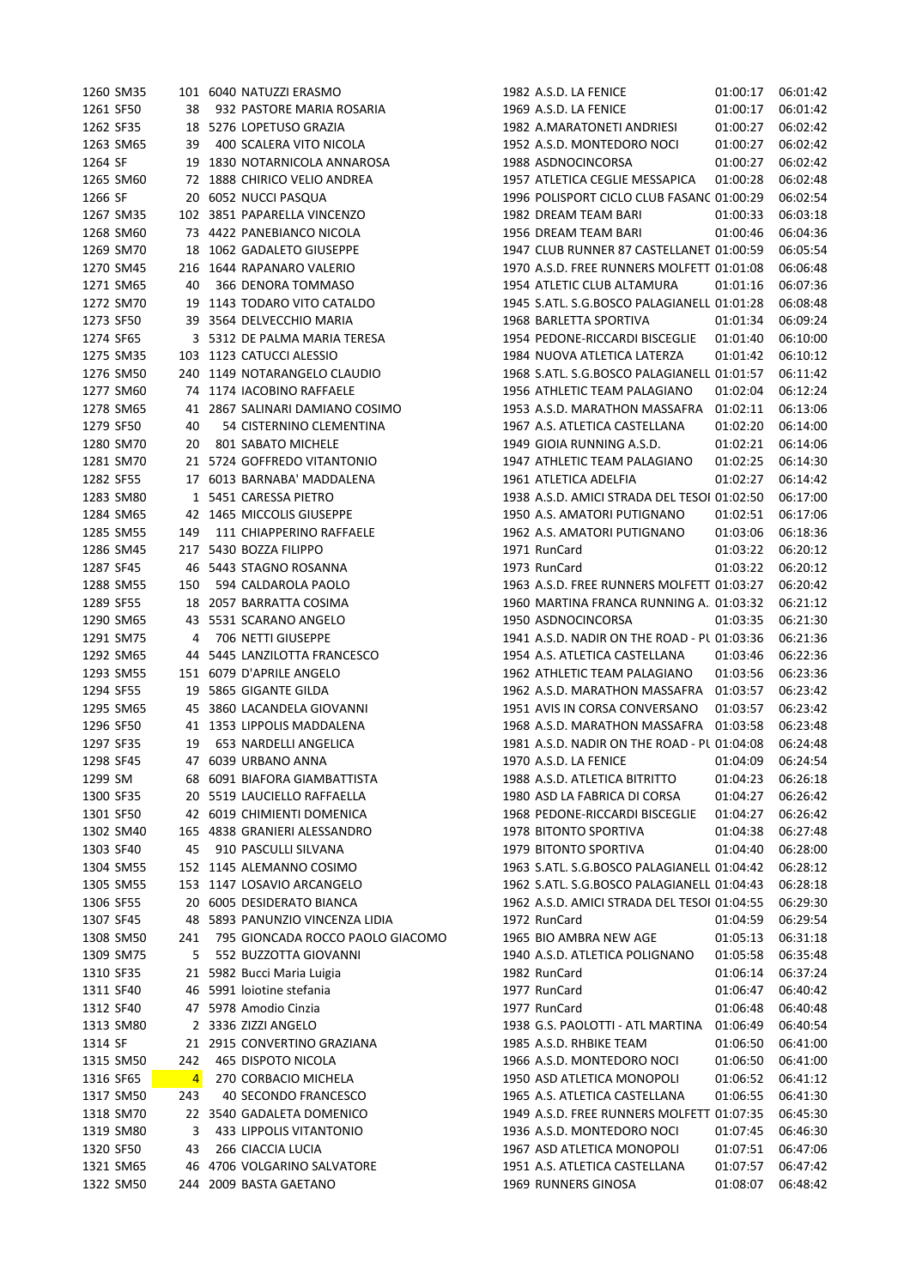|           | 1260 SM35 |                | 101 6040 NATUZZI ERASMO          | 1982 A.S.D. LA FENICE                       | 01:00:17 | 06:01:42 |
|-----------|-----------|----------------|----------------------------------|---------------------------------------------|----------|----------|
|           | 1261 SF50 | 38             | 932 PASTORE MARIA ROSARIA        | 1969 A.S.D. LA FENICE                       | 01:00:17 | 06:01:42 |
|           | 1262 SF35 |                | 18 5276 LOPETUSO GRAZIA          | 1982 A.MARATONETI ANDRIESI                  | 01:00:27 | 06:02:42 |
|           | 1263 SM65 | 39             | 400 SCALERA VITO NICOLA          | 1952 A.S.D. MONTEDORO NOCI                  | 01:00:27 | 06:02:42 |
| 1264 SF   |           |                | 19 1830 NOTARNICOLA ANNAROSA     | 1988 ASDNOCINCORSA                          | 01:00:27 | 06:02:42 |
|           | 1265 SM60 |                | 72 1888 CHIRICO VELIO ANDREA     | 1957 ATLETICA CEGLIE MESSAPICA              | 01:00:28 | 06:02:48 |
| 1266 SF   |           |                | 20 6052 NUCCI PASQUA             | 1996 POLISPORT CICLO CLUB FASANC 01:00:29   |          | 06:02:54 |
|           | 1267 SM35 |                | 102 3851 PAPARELLA VINCENZO      | 1982 DREAM TEAM BARI                        | 01:00:33 | 06:03:18 |
|           | 1268 SM60 |                | 73 4422 PANEBIANCO NICOLA        | 1956 DREAM TEAM BARI                        | 01:00:46 | 06:04:36 |
|           | 1269 SM70 |                | 18 1062 GADALETO GIUSEPPE        | 1947 CLUB RUNNER 87 CASTELLANET 01:00:59    |          | 06:05:54 |
|           | 1270 SM45 |                | 216 1644 RAPANARO VALERIO        | 1970 A.S.D. FREE RUNNERS MOLFETT 01:01:08   |          | 06:06:48 |
|           | 1271 SM65 | 40             | 366 DENORA TOMMASO               | 1954 ATLETIC CLUB ALTAMURA                  | 01:01:16 | 06:07:36 |
|           | 1272 SM70 |                | 19 1143 TODARO VITO CATALDO      | 1945 S.ATL. S.G.BOSCO PALAGIANELL 01:01:28  |          | 06:08:48 |
|           | 1273 SF50 |                | 39 3564 DELVECCHIO MARIA         | 1968 BARLETTA SPORTIVA                      | 01:01:34 | 06:09:24 |
|           | 1274 SF65 |                | 3 5312 DE PALMA MARIA TERESA     | 1954 PEDONE-RICCARDI BISCEGLIE              | 01:01:40 | 06:10:00 |
|           |           |                |                                  |                                             |          |          |
|           | 1275 SM35 |                | 103 1123 CATUCCI ALESSIO         | 1984 NUOVA ATLETICA LATERZA                 | 01:01:42 | 06:10:12 |
|           | 1276 SM50 |                | 240 1149 NOTARANGELO CLAUDIO     | 1968 S.ATL. S.G.BOSCO PALAGIANELL 01:01:57  |          | 06:11:42 |
|           | 1277 SM60 |                | 74 1174 IACOBINO RAFFAELE        | 1956 ATHLETIC TEAM PALAGIANO                | 01:02:04 | 06:12:24 |
|           | 1278 SM65 |                | 41 2867 SALINARI DAMIANO COSIMO  | 1953 A.S.D. MARATHON MASSAFRA               | 01:02:11 | 06:13:06 |
| 1279 SF50 |           | 40             | 54 CISTERNINO CLEMENTINA         | 1967 A.S. ATLETICA CASTELLANA               | 01:02:20 | 06:14:00 |
|           | 1280 SM70 | 20             | 801 SABATO MICHELE               | 1949 GIOIA RUNNING A.S.D.                   | 01:02:21 | 06:14:06 |
|           | 1281 SM70 |                | 21 5724 GOFFREDO VITANTONIO      | 1947 ATHLETIC TEAM PALAGIANO                | 01:02:25 | 06:14:30 |
|           | 1282 SF55 |                | 17 6013 BARNABA' MADDALENA       | 1961 ATLETICA ADELFIA                       | 01:02:27 | 06:14:42 |
|           | 1283 SM80 |                | 1 5451 CARESSA PIETRO            | 1938 A.S.D. AMICI STRADA DEL TESOI 01:02:50 |          | 06:17:00 |
|           | 1284 SM65 |                | 42 1465 MICCOLIS GIUSEPPE        | 1950 A.S. AMATORI PUTIGNANO                 | 01:02:51 | 06:17:06 |
|           | 1285 SM55 | 149            | 111 CHIAPPERINO RAFFAELE         | 1962 A.S. AMATORI PUTIGNANO                 | 01:03:06 | 06:18:36 |
|           | 1286 SM45 |                | 217 5430 BOZZA FILIPPO           | 1971 RunCard                                | 01:03:22 | 06:20:12 |
|           | 1287 SF45 |                | 46 5443 STAGNO ROSANNA           | 1973 RunCard                                | 01:03:22 | 06:20:12 |
|           | 1288 SM55 | 150            | 594 CALDAROLA PAOLO              | 1963 A.S.D. FREE RUNNERS MOLFETT 01:03:27   |          | 06:20:42 |
|           | 1289 SF55 |                | 18 2057 BARRATTA COSIMA          | 1960 MARTINA FRANCA RUNNING A. 01:03:32     |          | 06:21:12 |
|           | 1290 SM65 |                | 43 5531 SCARANO ANGELO           | 1950 ASDNOCINCORSA                          | 01:03:35 | 06:21:30 |
|           | 1291 SM75 | 4              | 706 NETTI GIUSEPPE               | 1941 A.S.D. NADIR ON THE ROAD - PL 01:03:36 |          | 06:21:36 |
|           | 1292 SM65 |                | 44 5445 LANZILOTTA FRANCESCO     | 1954 A.S. ATLETICA CASTELLANA               | 01:03:46 | 06:22:36 |
|           | 1293 SM55 |                | 151 6079 D'APRILE ANGELO         | 1962 ATHLETIC TEAM PALAGIANO                | 01:03:56 | 06:23:36 |
|           | 1294 SF55 |                | 19 5865 GIGANTE GILDA            | 1962 A.S.D. MARATHON MASSAFRA 01:03:57      |          | 06:23:42 |
|           | 1295 SM65 |                | 45 3860 LACANDELA GIOVANNI       | 1951 AVIS IN CORSA CONVERSANO               | 01:03:57 | 06:23:42 |
|           | 1296 SF50 |                | 41 1353 LIPPOLIS MADDALENA       | 1968 A.S.D. MARATHON MASSAFRA 01:03:58      |          | 06:23:48 |
|           | 1297 SF35 | 19             | 653 NARDELLI ANGELICA            | 1981 A.S.D. NADIR ON THE ROAD - PL 01:04:08 |          | 06:24:48 |
| 1298 SF45 |           |                | 47 6039 URBANO ANNA              | 1970 A.S.D. LA FENICE                       | 01:04:09 | 06:24:54 |
| 1299 SM   |           |                | 68 6091 BIAFORA GIAMBATTISTA     | 1988 A.S.D. ATLETICA BITRITTO               | 01:04:23 | 06:26:18 |
|           | 1300 SF35 |                | 20 5519 LAUCIELLO RAFFAELLA      | 1980 ASD LA FABRICA DI CORSA                | 01:04:27 | 06:26:42 |
|           |           |                | 42 6019 CHIMIENTI DOMENICA       | 1968 PEDONE-RICCARDI BISCEGLIE              | 01:04:27 | 06:26:42 |
|           | 1301 SF50 |                |                                  |                                             |          |          |
|           | 1302 SM40 |                | 165 4838 GRANIERI ALESSANDRO     | 1978 BITONTO SPORTIVA                       | 01:04:38 | 06:27:48 |
|           | 1303 SF40 | 45             | 910 PASCULLI SILVANA             | 1979 BITONTO SPORTIVA                       | 01:04:40 | 06:28:00 |
|           | 1304 SM55 |                | 152 1145 ALEMANNO COSIMO         | 1963 S.ATL. S.G.BOSCO PALAGIANELL 01:04:42  |          | 06:28:12 |
|           | 1305 SM55 |                | 153 1147 LOSAVIO ARCANGELO       | 1962 S.ATL. S.G.BOSCO PALAGIANELL 01:04:43  |          | 06:28:18 |
|           | 1306 SF55 |                | 20 6005 DESIDERATO BIANCA        | 1962 A.S.D. AMICI STRADA DEL TESOI 01:04:55 |          | 06:29:30 |
|           | 1307 SF45 |                | 48 5893 PANUNZIO VINCENZA LIDIA  | 1972 RunCard                                | 01:04:59 | 06:29:54 |
|           | 1308 SM50 | 241            | 795 GIONCADA ROCCO PAOLO GIACOMO | 1965 BIO AMBRA NEW AGE                      | 01:05:13 | 06:31:18 |
|           | 1309 SM75 | 5              | 552 BUZZOTTA GIOVANNI            | 1940 A.S.D. ATLETICA POLIGNANO              | 01:05:58 | 06:35:48 |
|           | 1310 SF35 |                | 21 5982 Bucci Maria Luigia       | 1982 RunCard                                | 01:06:14 | 06:37:24 |
|           | 1311 SF40 |                | 46 5991 loiotine stefania        | 1977 RunCard                                | 01:06:47 | 06:40:42 |
|           | 1312 SF40 |                | 47 5978 Amodio Cinzia            | 1977 RunCard                                | 01:06:48 | 06:40:48 |
|           | 1313 SM80 |                | 2 3336 ZIZZI ANGELO              | 1938 G.S. PAOLOTTI - ATL MARTINA 01:06:49   |          | 06:40:54 |
| 1314 SF   |           |                | 21 2915 CONVERTINO GRAZIANA      | 1985 A.S.D. RHBIKE TEAM                     | 01:06:50 | 06:41:00 |
|           | 1315 SM50 | 242            | 465 DISPOTO NICOLA               | 1966 A.S.D. MONTEDORO NOCI                  | 01:06:50 | 06:41:00 |
|           | 1316 SF65 | $\overline{4}$ | 270 CORBACIO MICHELA             | 1950 ASD ATLETICA MONOPOLI                  | 01:06:52 | 06:41:12 |
|           | 1317 SM50 | 243            | 40 SECONDO FRANCESCO             | 1965 A.S. ATLETICA CASTELLANA               | 01:06:55 | 06:41:30 |
|           | 1318 SM70 |                | 22 3540 GADALETA DOMENICO        | 1949 A.S.D. FREE RUNNERS MOLFETT 01:07:35   |          | 06:45:30 |
|           | 1319 SM80 | 3              | 433 LIPPOLIS VITANTONIO          | 1936 A.S.D. MONTEDORO NOCI                  | 01:07:45 | 06:46:30 |
|           | 1320 SF50 | 43             | 266 CIACCIA LUCIA                | 1967 ASD ATLETICA MONOPOLI                  | 01:07:51 | 06:47:06 |
|           |           |                |                                  |                                             |          |          |
|           | 1321 SM65 |                | 46 4706 VOLGARINO SALVATORE      | 1951 A.S. ATLETICA CASTELLANA               | 01:07:57 | 06:47:42 |